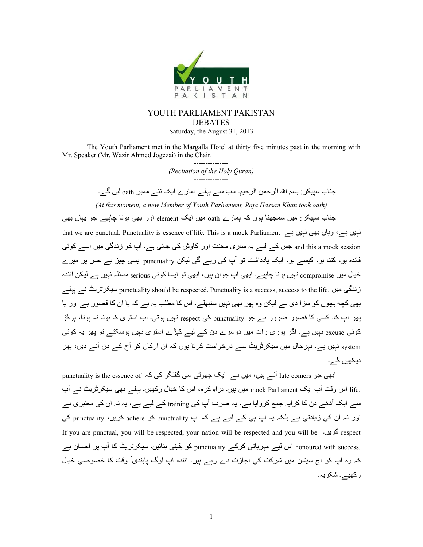

# YOUTH PARLIAMENT PAKISTAN DEBATES Saturday, the August 31, 2013

The Youth Parliament met in the Margalla Hotel at thirty five minutes past in the morning with Mr. Speaker (Mr. Wazir Ahmed Jogezai) in the Chair.

> --------------- *(Recitation of the Holy Quran)*  ---------------

جناب سپیکر : بسم اللہ الرحمٰن الرحیم۔ سب سے پہلے ہمارے ایک نئے ممبر oath لیں گے۔

*(At this moment, a new Member of Youth Parliament, Raja Hassan Khan took oath)*

جناب سپیکر : میں سمجھتا ہوں کہ ہمارے oath میں ایک element اور بھی ہونا چاہیے جو یہاں بھی

that we are punctual. Punctuality is essence of life. This is a mock Parliament نبیں ہے، وہاں بھی نہیں ہے and this a mock session جس کے لیے یہ ساری محنت اور کاوش کی جاتی ہے۔ آپ کو زندگی میں اسے کوئی فائدہ ہو، کتنا ہو، کیسے ہو، ایک یادداشت تو آپ کی رہے گی لیکن punctuality ایسی چیز ہے جس پر میرے خیال میں compromise نہیں ہونا چاہیے۔ ابھی آپ جوان ہیں، ابھی تو ایسا کوئی serious مسئلہ نہیں ہے لیکن آئندہ زندگی میں .punctuality should be respected. Punctuality is a success, success to the life سیکرٹریٹ نسے پہلسے بھی کچه بچوں کو سزا دی ہے لیکن وہ پھر بھی نہیں سنبھلے۔ اس کا مطلب یہ ہے کہ یا ان کا قصور ہے اور یا پھر آپ کا۔ کسی کا قصور ضرور ہے جو punctuality کی respect نہیں ہوتی۔ اب استری کا ہونا نہ ہونا، ہرگز کوئی excuse نہیں ہے۔ اگر پوری رات میں دوسرے دن کے لیے کپڑے استری نہیں ہوسکتے تو پھر یہ کوئی system نہیں ہے۔ بہرحال میں سیکرٹریٹ سے درخواست کرتا ہوں کہ ان ارکان کو آج کے دن آنے دیں، پھر دیکھیں گے۔

punctuality is the essence of  $\lambda \geq 8$ ابھی جو late comers آئے ہیں، میں نے  $\pm$ ایک چھوٹی سی گفتگو کی کہ .life اس وقت آپ ایک mock Parliament میں ہیں۔ بر اہِ کرم، اس کا خیال رکھیں۔ پہلے بھی سیکرٹریٹ نے آپ سے ایک آدھے دن کا کرایہ جمع کروایا ہے، یہ صرف آپ کی training کے لیے ہے، یہ نہ ان کی معتبری ہے اور نہ ان کی زیادتی ہے بلکہ یہ آپ ہی کے لیے ہے کہ آپ punctuality کو adhere کریں، punctuality کی If you are punctual, you will be respected, your nation will be respected and you will be <a>
respect .honoured with success اس لیے مہربانی کرکے punctuality کو یقینی بنائیں۔ سیکرٹریٹ کا آپ پر احسان ہے کہ وہ آپ کو آج سیشن میں شرکت کی اجازت دے رہے ہیں۔ آنندہ آپ لوگ پابندی ٗ وقت کا خصوصی خیال ركھيے۔ شكريہ۔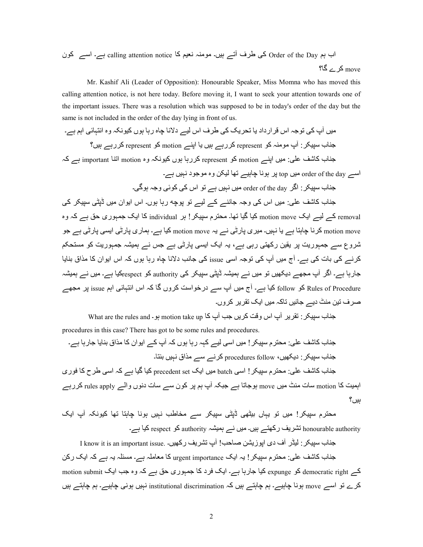ن\Z ے8ا ہے۔ calling attention notice :Z O6C ہ @\@;ں۔6ہ ےji ف4` Z Order of the Day Oہ اب ؟:W ے4Z move

 Mr. Kashif Ali (Leader of Opposition): Honourable Speaker, Miss Momna who has moved this calling attention notice, is not here today. Before moving it, I want to seek your attention towards one of the important issues. There was a resolution which was supposed to be in today's order of the day but the same is not included in the order of the day lying in front of us.

 @6ں iپ Z `j<\ہ اس ~4ارداد E: mj4DE Z `4ف اس Q6ے دC: a:ہ رہ: ہ\ں Z6\C5ہ وہ اC]ہ:e `اہO ہے۔ >;:ب :45678 iپ @\@;ہ Z \represent Z4رہے ہ6ں E: اL;ے motion Z \represent Z4رہے ہ6ں؟ ہZ ہے important :;jا motion وہ ہ5C\6Z ں\ہ :رہ4Z represent \Z motion ے;Lا ں6 @:`J p:Z ب: >; ہے۔ ں6ہC د @\>\وہ R56Q :^j ے6ہ:a :C\ہ 4L top ں6 @order of the day ے8ا

جناب سپیکر : اگر order of the day میں نہیں ہے تو اس کی کوئی وجہ ہوگی۔

جناب کاشف علی: میں اس کی وجہ جاننے کے لیے تو پوچه رہا ہوں۔ اس ایوان میں ڈیٹی سپیکر کی removal کے لیے ایک motion move کیا گیا تھا۔ محترم سپیکر ! ہر individual کا ایک جمہوری حق ہے کہ وہ motion move کرنا جاہتا ہے یا نہیں۔ میری پارٹی نے یہ motion move کیا ہے۔ ہماری پارٹی ایسی پارٹی ہے جو شروع سے ج*مہو*ریت پر یقین رکھتی رہی ہے، یہ ایک ایسی پارٹی ہے جس نے ہمیشہ ج*مہو*ریت کو مستحکم کرنے کی بات کی ہے۔ آج میں آپ کی توجہ اسی issue کی جانب دلانا جاہ رہا ہوں کہ اس ایوان کا مذاق بنایا جارہا ہے۔ اگر آپ مجھے دیکھیں تو میں نے ہمیشہ ڈیٹی سپیکر کی authority کو respectکیا ہے۔ میں نے ہمیشہ Rules of Procedure کو follow کیا ہے۔ آج میں آپ سے درخواست کروں گا کہ اس انتہائی اہم issue پر مجھے صر ف تین منٹ دیے جائیں تاکہ میں ایک تقر پر کر وں۔

جناب سیپکر : تقریر آپ اس وقت کریں جب آپ کا motion take up ہو۔ What are the rules and procedures in this case? There has got to be some rules and procedures.

جناب کاشف علٰی: محتر م سیبکر ! میں اسی لیے کہہ رہا ہوں کہ آپ کے ایوان کا مذاق بنایا جار ہا ہے۔ جناب سیبکر : دبکھیں، procedures follow کرنے سے مذاق نہیں بنتا۔ جناب کاشف علی: محترم سبیکر ! اسی batch میں ایک precedent set کیا گیا ہے کہ اسی طرح کا فور ی اہمیت کا motion سات منٹ میں move ہوجاتا ہے جبکہ آپ ہم پر کون سے سات دنوں والے rules apply کررہے  $?$ بیر

محتر ِم سییکر ! میں تو یہاں بیٹھی ڈیٹی سییکر سے مخاطب نہیں ہونا چاہتا تھا کیونکہ آپ ایک honourable authority تشریف رکھتے ہیں۔ میں نے ہمیشہ authority کو respect کیا ہے۔

جناب سببکر : لبڈر آف دی ابو ز بشن صاحب! آب تشر بف ر کھیں۔ .I know it is an important issue جناب کاشف علی: محترم سپیکر ! یہ ایک urgent importance کا معاملہ ہے۔ مسئلہ یہ ہے کہ ایک رکن کے democratic right کو expunge کیا جارہا ہے۔ ایک فرد کا جمہوری حق ہے کہ وہ جب ایک motion submit کرے تو اسے move ہونا چاہیے۔ ہم چاہتے ہیں کہ institutional discrimination نہیں ہونی چاہیے۔ ہم چاہتے ہیں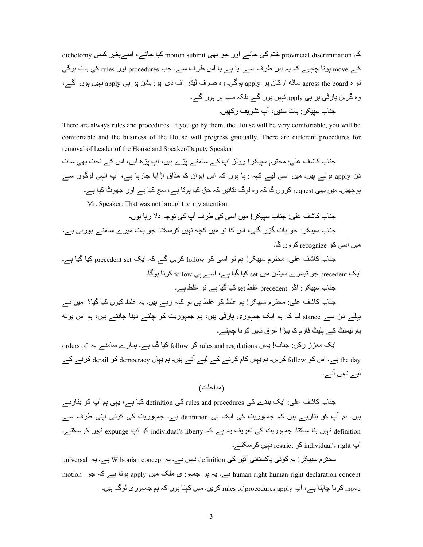کہ provincial discrimination ختم کی جائے اور جو بھی motion submit کیا جائے، اسےبغیر کسی dichotomy کے move ہونا جاہیے کہ یہ اِس طرف سے آیا ہے یا اُس طرف سے۔ جب procedures اور rules کی بات ہوگی تو ہ across the board ساٹه ارکان پر apply ہوگی۔ وہ صرف لیڈر آف دی ایوزیشن پر ہی apply نہیں ہوں گے، وہ گرین پارٹی پر ہی apply نہیں ہوں گے بلکہ سب پر ہوں گے۔ جناب سیبکر ۰ بات سنیں، آپ نشر یف ر کھیں۔

There are always rules and procedures. If you go by them, the House will be very comfortable, you will be comfortable and the business of the House will progress gradually. There are different procedures for removal of Leader of the House and Speaker/Deputy Speaker.

جناب کاشف علی: محترم سپیکر ! رولز آپ کے سامنے بڑے ہیں، آپ بڑھ لیں، اس کے تحت بھی سات دن apply ہوتے ہیں۔ میں اسی لیے کہہ رہا ہوں کہ اس ایوان کا مذاق اڑایا جارہا ہے، آپ انہی لوگوں سے پوچھیں۔ میں بھی request کروں گا کہ وہ لوگ بتائیں کہ حق کیا ہوتا ہے، سچ کیا ہے اور جھوٹ کیا ہے۔ Mr. Speaker: That was not brought to my attention.

جناب كاشف على: جناب سبيكر ! ميں اسى كى طر ف آب كى تو جہ دلا ر با ہوں۔ جناب سیپکر : جو بات گزر گئی، اس کا تو میں کچه نہیں کرسکتا۔ جو بات میرے سامنے ہورہی ہے، میں اسی کو recognize کروں گا۔

جناب کاشف علی: محترم سپیکر ! ہم تو اسی کو follow کریں گے کہ ایک precedent set کیا گیا ہے۔ ایک precedent جو تیسرے سیشن میں set کیا گیا ہے، اسے ہی follow کرنا ہوگا۔

حناب سببکر : اگر precedent غلط set کیا گیا ہے تو غلط ہے۔ جناب کاشف علی: محترم سیپکر ! ہم غلط کو غلط ہی تو کہہ رہے ہیں۔ یہ غلط کیوں کیا گیا؟ میں نے پہلے دن سے stance لیا کہ ہم ایک جمہوری پارٹی ہیں، ہم جمہوریت کو جلنے دینا چاہتے ہیں، ہم اس پوته یار لیمنٹ کے بلیٹ فار مکا بیڑا غرق نہیں کرنا جاہتے۔

ایک معزز رکن: جناب! یہاں rules and regulations کو follow کیا گیا ہے۔ ہمارے سامنے یہ orders of the day ہے۔ اس کو follow کریں۔ ہم یہاں کام کرنے کے لیے آئے ہیں۔ ہم یہاں democracy کو derail کرنے کے لیے نبیں آئے۔

(مداخلت)

جناب کاشف علی: ایک بندے کی rules and procedures کی definition کیا ہے، یہی ہم آپ کو بتارہے ہیں۔ ہم آپ کو بتارہے ہیں کہ جمہوریت کی ایک ہی definition ہے۔ جمہوریت کی کوئی اپنی طرف سے definition نہیں بنا سکتا۔ جمہوریت کی تعریف یہ ہے کہ individual's liberty کو آپ expunge نہیں کرسکتے۔ آپ individual's right کو restrict نہیں کر سکتے۔

محترم سپیکر ! یہ کوئی پاکستانی آئین کی definition نہیں ہے۔ یہ wilsonian concept ہے۔ یہ universal motion ہے۔ یہ ہر جمہوری ملک میں apply ہوتا ہے کہ جو motion motion ہے۔ یہ ہر جمہوری ملک move کرنا چاہتا ہے، آپ rules of procedures apply کریں۔ میں کہتا ہوں کہ ہم جمہوری لوگ ہیں۔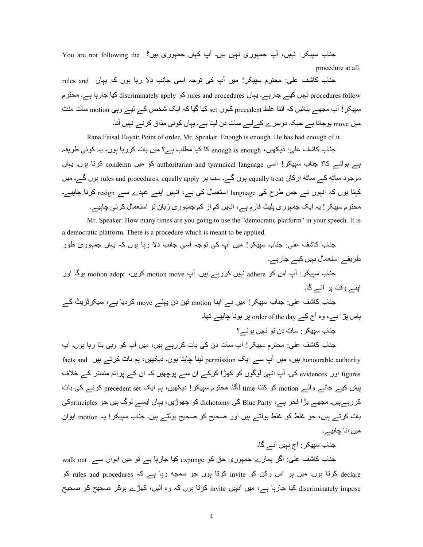جناب سپیکر : نہیں، آپ جمہوری نہیں ہیں۔ آپ کہاں جمہوری ہیں؟ You are not following the procedure at all.

جناب کاشف علی: محترم سیپکر! میں آپ کی توجہ اسی جانب دلا رہا ہوں کہ یہاں rules and procedures ہے۔ یہاں rules and procedures کو discriminately apply کو discriminately apply کیا جارہا ہے۔ محترم سپیکر ! آپ مجھے بتائیں کہ اتنا غلط precedent کیوں set کیا گیا کہ ایک شخص کے لیے ویی motion سات منٹ میں move ہوجاتا ہے جبکہ دوسرے کے لیے سات دن لیتا ہے۔ یہاں کوئی مذاق کرنے نہیں آتا۔

Rana Faisal Hayat: Point of order, Mr. Speaker. Enough is enough. He has had enough of it.

جناب کاشف علی: دیکھیں، enough is enough کا کیا مطلب ہے؟ میں بات کررہا ہوں، یہ کوئی طریقہ ہے بولنے کا؟ جناب سپیکر! اسی authoritarian and tyrannical language کرتا ہوں۔ یہاں موجود ساٹتہ کے ساٹتہ ارکان equally treat ہوں گے۔ سب پر rules and procedures, equally apply ہوں گے۔ میں کہتا ہوں کہ انہوں نے جس طرح کی language استعمال کی ہے، انہیں اپنے عہدے سے resign کرنا چاہیے۔ محترم سپیکر ! یہ ایک جمہوری پلیٹ فارم ہے، انہیں کم از کم جمہوری زبان تو استعمال کرنی چاہیے۔

 Mr. Speaker: How many times are you going to use the "democratic platform" in your speech. It is a democratic platform. There is a procedure which is meant to be applied.

 >;:ب Z:p J`:;< :ب 45678! @6ں iپ Z `j<\ہ ا8` >:MC د رہ: ہ\ں Zہ Eہ:ں >?ہ\رn \ر 4Eے ا8[?:ل Cہ6ں Z6ے >:رہے۔ اور :W\ہ motion adopt ،ںE4Z motion move پi ں۔6ہ رہے4Z ں6ہC adhere \Z اس پi :45678 ب: >; اL;ے و~l L4 eiے W:۔ ےZ ٹE4ٹ4568 ،ہے :Eد4Z move ےJہL دن R6j motion :;Lا ےC ں6! @45678 ب: >;:`J p:Z ب: >; ۔:^j ے6ہ:a :C\ہ 4L order of the day ےZ جi وہ ،ہے ڑاL س:L

جناب سبیکر : سات دن تو نہیں ہوئے ؟

جناب کاشف علی: محترم سپیکر ! آپ سات دن کی بات کررہے ہیں، میں آپ کو وہی بتا رہا ہوں۔ آپ honourable authority ہیں، میں آپ سے ایک permission لینا چاہتا ہوں۔ دیکھیں، ہم بات کرتے ہیں facts and figures اور evidences کی۔ آپ انہی لوگوں کو کھڑا کرکے ان سے پوچھیں کہ ان کے پر ائم منسٹر کے خلاف بیش کیے جانے والے motion کو کتنا time لگا۔ محترم سپیکر ! دیکھیں، ہم ایک precedent set کرنے کی بات کررہےہیں۔ مجھے بڑا فخر ہے، Blue Party کی dichotomy کو چھوڑیں، یہاں ایسے لوگ ہیں جو principlesکی بات کرتے ہیں، جو غلط کو غلط بولتے ہیں اور صحیح کو صحیح بولتے ہیں۔ جناب سیپکر ! یہ motion ابوان میں آنا چاہیے۔

>;:ب :45678 iج Cہ6ں eiے W:۔

 $\kappa$ سناب کانٹنف علی: اگر ہمارے جمبوری حق کو  $\epsilon$ xpunge کیا جارہا ہے تو میں ایوان سے  $\kappa$  walk out declare کرتا ہوں۔ میں ہر اس رکن کو invite کرتا ہوں جو سمجه رہا ہے کہ rules and procedures کو discriminately impose کیا جارہا ہے، میں انہیں invite کرتا ہوں کہ وہ آئیں، کھڑے ہوکر صحیح کو صحیح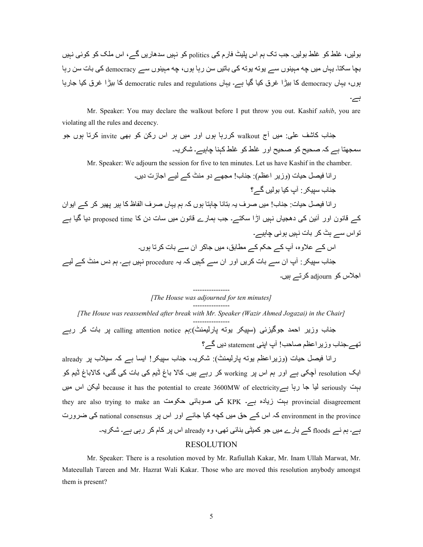بولیں، غلط کو غلط بولیں۔ جب تک ہم اس بلیٹ فارم کی politics کو نہیں سدھاریں گے، اس ملک کو کوئی نہیں بچا سکتا۔ یہاں میں چه مہینوں سے پوته پوته کی باتیں سن رہا ہوں، چه مہینوں سے democracy کی بات سن رہا بوں، یہاں democracy کا بیڑا غرق کیا گیا ہے۔ یہاں democratic rules and regulations کا بیڑا غرق کیا جارہا ہے۔

 Mr. Speaker: You may declare the walkout before I put throw you out. Kashif *sahib*, you are violating all the rules and decency.

جناب کاشف علی: میں آج walkout کررہا ہوں اور میں ہر اس رکن کو بھی invite کرتا ہوں جو سمجھتا ہے کہ صحیح کو صحیح اور غلط کو غلط کہنا چاہیے۔ شکریہ۔

Mr. Speaker: We adjourn the session for five to ten minutes. Let us have Kashif in the chamber.

 راC: s6 ¶}P:6ت ( وزE4 ا·O :;< ( :ب! @\_^ے دو @;ٹ Zے Q6ے ا>:زت دEں۔ ے؟W ں6Q\V :6Z پi :45678 ب: >; راC: s6 ¶}P:6ت >: ;:ب! @6ں 4ف Eہ V]:C: a:ہ[: ہ\ں Zہ ہO Eہ:ں 4ف اQ:ظ Z: ہ46 L^46 Z4 Zے اE\ان Zے ~:C\ن اور ei6R Z `ده\_:6ں Cہ6ں اڑا 58[ے۔ >M ہ?:رے ~:C\ن @6ں :8ت دن Z: time proposed دE: W:6 ہے j\اس 8ے ہٹ Z4 V:ت Cہ6ں ہ\C `a:ہ6ے۔ اس Zے ±وہ، iپ Zے P5O Zے @:V،@ 6ں >:Z4 ان 8ے V:ت Z4j: ہ\ں۔ >;:ب :45678 iپ ان 8ے V:ت Z4Eں اور ان 8ے Zہ6ں Zہ Eہ procedure Cہ6ں ہے۔ ہO دس @;ٹ Zے Q6ے

اجلاس کو adjourn کرتے ہیں۔

## ---------------- *[The House was adjourned for ten minutes]*  ----------------

*[The House was reassembled after break with Mr. Speaker (Wazir Ahmed Jogazai) in the Chair]* 

---------------- جناب وزیر احمد جوگیزئی (سپیکر یونه پارلیمنٹ):ہم calling attention notice پر بات کر رہے تھے۔جناب وزیر اعظم صاحب! آپ اپنی statement دیں گے؟

رانا فیصل حیات (وزیراعظم بوته پارلیمنٹ): شکریہ، جناب سپیکر! ایسا ہے کہ سیلاب پر already ایک resolution آچکی ہے اور ہم اس پر working کر رہے ہیں۔ کالا باغ ٹیم کی بات کی گئی، کالاباغ ٹیم کو بہت because it has the potential to create 3600MW of electricity لیا جا رہا ہے :6Q0MW of electricity they are also trying to make an کی صوبائی حکومت kPK ہے۔ they are also trying to make an environment in the province کہ اس کے حق میں کچه کیا جائے اور اس پر national consensus کی ضرورت ہے۔ ہم نے floods کے بارے میں جو کمیٹی بنائی تھی، وہ already اس پر کام کر رہی ہے۔ شکریہ۔ RESOLUTION

Mr. Speaker: There is a resolution moved by Mr. Rafiullah Kakar, Mr. Inam Ullah Marwat, Mr. Mateeullah Tareen and Mr. Hazrat Wali Kakar. Those who are moved this resolution anybody amongst them is present?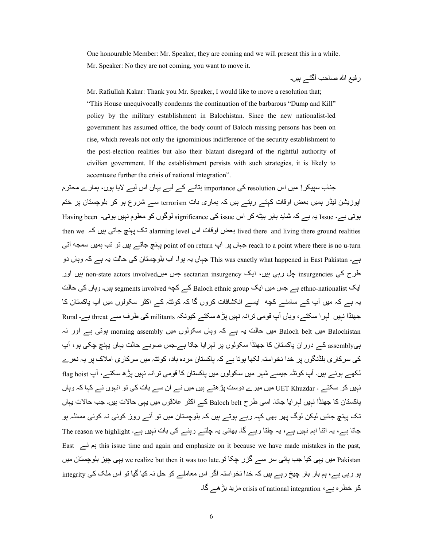One honourable Member: Mr. Speaker, they are coming and we will present this in a while. Mr. Speaker: No they are not coming, you want to move it.

ر فبع اللہ صاحب آگئے ہیں۔

 Mr. Rafiullah Kakar: Thank you Mr. Speaker, I would like to move a resolution that; "This House unequivocally condemns the continuation of the barbarous "Dump and Kill" policy by the military establishment in Balochistan. Since the new nationalist-led government has assumed office, the body count of Baloch missing persons has been on rise, which reveals not only the ignominious indifference of the security establishment to the post-election realities but also their blatant disregard of the rightful authority of civilian government. If the establishment persists with such strategies, it is likely to accentuate further the crisis of national integration".

جناب سپیکر ! میں اس resolution کی importance بتانہ کے لیے یہاں اس لیے لایا ہوں، ہمارے محترم اپوزیشن لیڈر ہمیں بعض اوقات کہتے رہتے ہیں کہ ہماری بات terrorism سے شروع ہو کر بلوچستان پر ختم بوتی ہے۔ Issue یہ ہے کہ شاید بابر بیٹه کر اس issue کی significance لوگوں کو معلوم نبیں ہوتی۔ Having been then we نک پہنچ جاتی ہیں کہ ived there and living there ground realities reach to a point where there is no u-turn ہ جہاں پر آپ point of on return پہنچ جاتے ہیں تو تب ہمیں سمجه آتی ہے۔ This was exactly what happened in East Pakistan جہاں یہ ہوا۔ اب بلوچستان کی حالت یہ ہے کہ وہاں دو طرح کی insurgencies چل رہی ہیں، ایک sectarian insurgency جس میںnon-state actors involved بیں اور ایک ethno-nationalist ہے جس میں ایک Baloch ethnic group کے کچه segments involved ہے حالت یہ ہے کہ میں آپ کے سامنے کچه ایسے انکشافات کروں گا کہ کوئٹہ کے اکثر سکولوں میں آپ پاکستان کا جھنڈا نبیں لبر ا سکتے، وہاں آپ قومی تر انہ نہیں پڑھ سکتے کیونکہ militants کی طرف سے threat ہے۔ Rural ہے Baloch belt میں Baloch میں حالت یہ ہے کہ وہاں سکولوں میں morning assembly ہوتی ہے اور نہ بیassembly کے دوران پاکستان کا جھنڈا سکولوں پر لہرایا جاتا ہے۔جس صوبے حالت یہاں پہنچ چکی ہو، آپ کی سرکاری بلڈنگوں پر خدا نخو استہ لکھا ہوتا ہے کہ پاکستان مردہ باد، کوئٹہ میں سرکاری املاک پر پہ نعرے لکھے ہوئے ہیں۔ آپ کوئٹہ جیسے شہر میں سکولوں میں پاکستان کا قومی تر انہ نہیں پڑ ھ سکتے، آپ flag hoist نہیں کر سکتے ۔ UET Khuzdar میں میر ے دوست پڑ ھتے ہیں میں نے ان سے بات کی تو انہوں نے کہا کہ وہاں یاکستان کا جھنڈا نہیں لہر ایا جاتا۔ اسی طرح Baloch belt کے اکثر علاقوں میں بہی حالات ہیں۔ جب حالات بہاں تک بہنچ جائیں لیکن لوگ بھر بھی کہہ رہے ہوتے ہیں کہ بلوچستان میں تو آئے روز کوئی نہ کوئی مسئلہ ہو جاتا ہے، یہ اتنا اہم نہیں ہے، یہ چلتا رہے گا۔ بھائی یہ چلتے رہنے کی بات نہیں ہے۔ The reason we highlight East بم نے this issue time and again and emphasize on it because we have made mistakes in the past, Pakistan میں یہی کیا جب پانی سر سے گزر چکا تو we realize but then it was too late یہی چیز بلوچستان میں بو رہی ہے، ہم بار بار چیخ رہے ہیں کہ خدا نخواستہ اگر اس معاملے کو حل نہ کیا گیا تو اس ملک کی integrity کو خطرہ ہے، crisis of national integration مزید بڑھے گا۔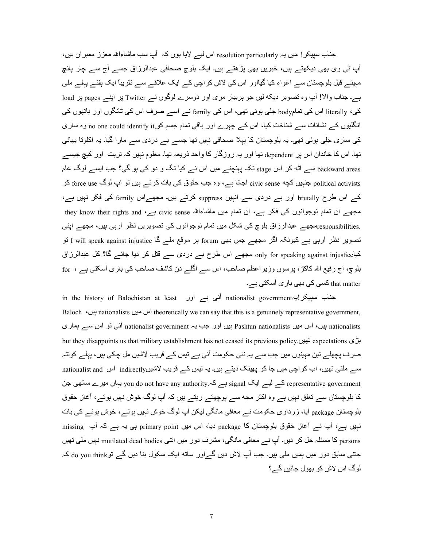جناب سپیکر ! میں یہ resolution particularly اس لیے لایا ہوں کہ آپ سب ماشاءاللہ معزز ممبران ہیں، آپ ٹی وی بھی دیکھتے ہیں، خبریں بھی پڑھتے ہیں۔ ایک بلوچ صحافی عبدالرزاق جسے آج سے چار پانچ مہینے قبل بلوچستان سے اغواء کیا گیااور اس کی لاش کر اچی کے ایک علاقے سے تقریباً ایک ہفتے پہلے ملی ہے۔ جناب والا! آپ وہ تصویر دیکه لیں جو ہربیار مری اور دوسرے لوگوں نے Twitter پر اپنے pages پر load کی، literally اس کی تمامbody جلی ہوئی تھی، اس کی family نسر اسسر صرف اس کی ٹانگوں اور ہاتھوں کی انگلیوں کے نشانات سے شناخت کیا، اس کے چہرے اور باقی تمام جسم کو no one could identify it, وہ ساری کی ساری جلی ہوئی تھی۔ یہ بلوچستان کا پہلا صحافی نہیں تھا جسے بے دردی سے مارا گیا۔ یہ اکلوتا بھائی تھا۔ اس کا خاندان اس پر dependent تھا اور یہ روزگار کا واحد ذریعہ تھا۔ معلوم نہیں کہ تربت اور کیچ جیسے backward areas سے اٹه کر اس <sub>stage</sub> تک پہنچنے میں اس نے کیا تگ و دو کی ہو گی؟ جب ایسے لوگ عام political activists جنبیں کچه civic sense آجاتا ہے، وہ جب حقوق کی بات کرتے ہیں تو آپ لوگ force use کر کے اس طرح brutally اور بے دردی سے انہیں suppress کرتے ہیں۔ مجھےاس family کی فکر نہیں ہے، مجھے ِ ان تمام نوجوانوں کی فکر ہے، ان تمام میں ماشاءاللہ civic sense ہے، they know their rights and .responsibilitiesشجھے عبدالرزاق بلوچ کی شکل میں تمام نوجوانوں کی تصویریں نظر آرہی ہیں، مجھے اپنی تصویر نظر آرہی ہے کیونکہ اگر مجھے جس بھی forum پر موقع ملے گا I will speak against injustice تو کیاonly for speaking against injustice مجھے اس طرح بے دردی سے فتل کر دیا جائے گا؟ کل عبدالرزاق بلوچ، آج رفیع اللہ کاکڑ ، پرسوں وزیر اعظم صاحب، اس سے اگلے دن کاشف صاحب کی باری آسکتی ہے ، for that matter کسی کی بھی باری آسکتی ہے۔

in the history of Balochistan at least آئی ہے اور in the history of Balochistan at least Baloch ، بین nationalists اس معین theoretically we can say that this is a genuinely representative government, nationalists ہیں، اس میں Pashtun nationalists ہیں اور جب یہ nationalist government آئی تو اس سے ہماری but they disappoints us that military establishment has not ceased its previous policy. تهیں.6^j expectations صرف پچھلے تین مہینوں میں جب سے یہ نئی حکومت آئی ہے تیس کے قریب لاشیں مل چکی ہیں، پہلے کوئٹہ سے ملتی تھیں، اب کر اچی میں جا کر پھینک دیتے ہیں۔ یہ تیس کے قریب لاشیںindirectly اس nationalist and representative government کے لیے ایک signal ہے کہ you do not have any authority یہاں میرے ساتھی جن کا بلوچستان سے تعلق نہیں ہے وہ اکثر مجه سے پوچھتے رہتے ہیں کہ آپ لوگ خوش نہیں ہوتے، آغاز حقوق بلوچستان <sub>package</sub> آیا، زرداری حکومت نـــر معافی مانگی لیکن آپ لوگ خوش نبیں بوتـــر، خوش بونـــر کی بات نبیں ہے، آپ نے آغاز حقوق بلوچستان کا package دیا، اس میں primary point ہی یہ ہے کہ آپ missing persons کا مسئلہ حل کر دیں۔ آپ نے معافی مانگی، مشرف دور میں اننی mutilated dead bodies نہیں ملی تھیں جتنبی سابق دور میں ہمیں ملی ہیں۔ جب آپ لاش دیں گے اور ساته ایک سکول بنا دیں گے تو do you think کہ  $\Omega$ لو گ اس لاش کو بھول جائیں گے۔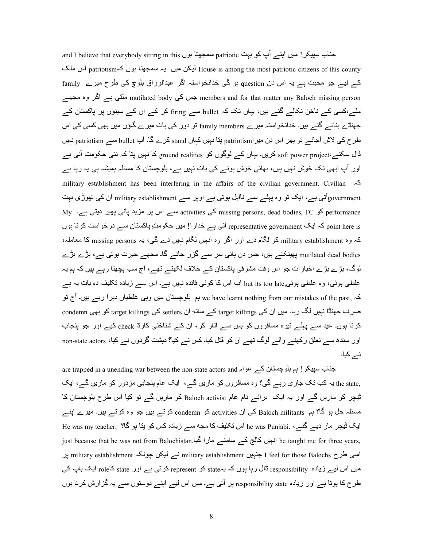and I believe that everybody sitting in this سمجھتا ہوں and I believe that everybody sitting in this سمجھتا DJ@ اس patriotismہZ ں\ہ :?\_^[8 ہE ں6 @R56Q House is among the most patriotic citizens of this county کے لیے جو محبت ہے یہ اس دن question ہو گی خدانخواستہ اگر عبدالرزاق بلوچ کی طرح میرے family جس کی mutilated body ہے members and for that matter any Baloch missing person ملتی ہے اگر وہ مجھے ملے،کسی کے ناخن نکالے گئے ہیں، یہاں تک کہ bullet سے firing کر کے ان کے سینوں پر پاکستان کے جھنڈے بنائے گئے ہیں۔ خدانخواستہ میرے family members تو دور کی بات میرے گاؤں میں بھی کسی کی اس طرح کی لاش آجائے تو پھر اس دن میر patriotism پنا نہیں کہاں stand کرے گا۔ آپ bullet سے patriotism نہیں  $^2$ ال سکتے $^2$  hower project کریں۔ یہاں کے لوگوں کو ground realities کا نہیں پتا کہ نئی حکومت آئی ہے اور آپ ابھی تک خوش نہیں ہیں، بھائی خوش ہونے کی بات نہیں ہے، بلوچستان کا مسئلہ ہمیشہ ہی یہ رہا ہے military establishment has been interfering in the affairs of the civilian government. Civilian ہZ governmentاتی ہے، ایک تو وہ پہلے سے نااہل ہوتی ہے اوپر سے military establishment ان کی تھوڑی بہت My کو۔ $M$  Performance کو missing persons, dead bodies, FC سے activities کو erformance point here is کہ ایک representative government آئی ہے خدار !! میں حکومتِ پاکستان سے درخواست کرتا ہوں کہ وہ military establishment کو لگام دے اور اگر وہ انہیں لگام نہیں دے گی، یہ missing persons کا معاملہ، mutilated dead bodies یھینکتے ہیں، جس دن پانی سر سے گزر جائے گا۔ مجھے حیرت ہوتی ہے، بڑے بڑے لوگ، بڑے بڑے اخبار ات جو اس وقت مشرقی پاکستان کے خلاف لکھتے تھے، آج سب پچھتا رہے ہیں کہ ہم یہ غلطی ہوئی، وہ غلطی ہوئی,but its too late اب اس کا کوئی فائدہ نہیں ہے۔ اس سے زیادہ تکلیف دہ بات یہ ہے کہ ,we have learnt nothing from our mistakes of the past ہم بلوچستان میں وہی غلطیاں دہرا رہے ہیں۔ آج تو صرف جھنڈا نہیں لگ رہا۔ میں ان کی target killings کے ماته ان settlers کی target killings کو بھی condemn کرتا ہوں۔ عید سے پہلے تیرہ مسافروں کو بس سے اتار کر ، ان کے شناختی کارڈ check کیے اور جو پنجاب اور سندھ سے تعلق رکھنے والے لوگ تھے ان کو قتل کیا۔ کس نے کیا؟ دہشت گردوں نے کیا، non-state actors نے کیا۔

are trapped in a unending war between the non-state actors and حناب سپیکر ! ہم بلوچستان کے عوام ,the state یہ کب تک جاری رہے گی؟ وہ مسافروں کو ماریں گے، ایک عام پنجابی مزدور کو ماریں گے، ایک تیچر کو ماریں گے اور یہ ایک برائے نام عام Baloch activist کو ماریں گے تو کیا اس طرح بلوچستان کا مسئلہ حل ہو گا؟ ہم Baloch militants کی ان activities کو condemn کرتے ہیں جو وہ کرتے ہیں۔ میرے اپنے ایک ٹیچر مار دیے گئے، .he was Punjabi اس تکلیف کا مجه سے زیادہ کس کو پتا ہو گا؟ He was my teacher, just because that he was not from Balochistan. انہیں کالج کے سامنے مارا گیا اسی طرح I feel for those Balochs ہنبہیں military establishment نے لیکن چونکہ military establishment بر میں اس لیے زیادہ responsibility ڈال رہا ہوں کہ بہstateہ کو represent کرتی ہے اور state کاrole ایک باپ کی طرح کا ہوتا ہے اور زیادہ responsibility state پر آتی ہے۔ میں اس لیے اپنے دوستوں سے یہ گزارش کرتا ہوں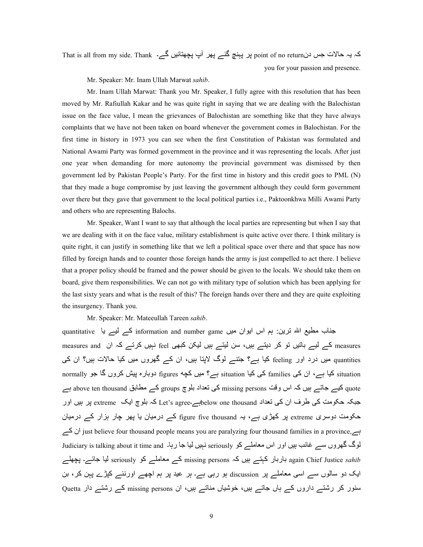That is all from my side. Thank ۔کہ یہ حالات جس دنpoint of no return پر پہنچ گئے ہیر آپ پچھتائیں گے۔ you for your passion and presence.

Mr. Speaker: Mr. Inam Ullah Marwat *sahib*.

Mr. Inam Ullah Marwat: Thank you Mr. Speaker, I fully agree with this resolution that has been moved by Mr. Rafiullah Kakar and he was quite right in saying that we are dealing with the Balochistan issue on the face value, I mean the grievances of Balochistan are something like that they have always complaints that we have not been taken on board whenever the government comes in Balochistan. For the first time in history in 1973 you can see when the first Constitution of Pakistan was formulated and National Awami Party was formed government in the province and it was representing the locals. After just one year when demanding for more autonomy the provincial government was dismissed by then government led by Pakistan People's Party. For the first time in history and this credit goes to PML (N) that they made a huge compromise by just leaving the government although they could form government over there but they gave that government to the local political parties i.e., Paktoonkhwa Milli Awami Party and others who are representing Balochs.

Mr. Speaker, Want I want to say that although the local parties are representing but when I say that we are dealing with it on the face value, military establishment is quite active over there. I think military is quite right, it can justify in something like that we left a political space over there and that space has now filled by foreign hands and to counter those foreign hands the army is just compelled to act there. I believe that a proper policy should be framed and the power should be given to the locals. We should take them on board, give them responsibilities. We can not go with military type of solution which has been applying for the last sixty years and what is the result of this? The foreign hands over there and they are quite exploiting the insurgency. Thank you.

Mr. Speaker: Mr. Mateeullah Tareen *sahib*.

جناب مطیع اللہ ترین: ہم اس ایوان میں information and number game کے لیے یا quantitative measures and کے لیے باتیں تو کر دیتے ہیں، سن لیتے ہیں لیکن کبھی feel نہیں کرتے کہ ان measures and quantities میں درد اور feeling کیا ہے؟ جتنے لوگ لاپتا ہیں، ان کے گھروں میں کیا حالات ہیں؟ ان کی normally کیا ہے، ان کی families کی کیا situation ہے؟ میں کچه figures دوبارہ پیش کروں گا جو normally quote کیے جاتے ہیں کہ اس وقت missing persons کی تعداد بلوچ groups کے مطابق above ten thousand ہے جبکہ حکومت کی طرف ان کی تعداد below one thousandہے۔ Let's agree کہ بلوچ ایک extreme پر بیں اور حکومت دوسری extreme پر کھڑی ہے، یہ figure five thousand کے درمیان یا پھر چار ہزار کے درمیان ےZ ان just believe four thousand people means you are paralyzing four thousand families in a province,ہے لوگ گھروں سے غائب بیں اور اس معاملے کو seriously نہیں لیا جا رہا۔ Judiciary is talking about it time and again Chief Justice *sahib* باربار کہتے ہیں کہ missing persons کے معاملے کو seriously لیا جائے۔ پچھلے ایک دو سالوں سے اسی معاملے پر discussion ہو رہی ہے۔ ہر عید پر ہم اچھے اورنئے کپڑے پہن کر، بن سنور کر رشتے داروں کے ہاں جاتے ہیں، خوشیاں مناتے ہیں، ان missing persons کے رشتے دار Quetta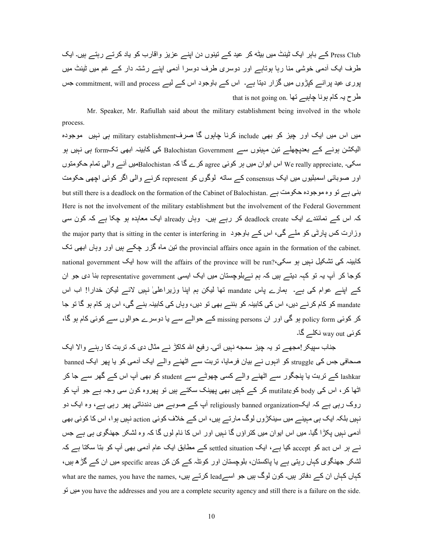Press Club کے باہر ایک ٹینٹ میں بیٹه کر عید کے تینوں دن اپنے عزیز واقارب کو یاد کرتے رہتے ہیں۔ ایک طرف ایک آدمی خوشی منا رہا ہوتاہے اور دوسری طرف دوسرا آدمی اپنے رشتہ دار کے غم میں ٹینٹ میں پوری عید پر انسر کپڑوں میں گز ار دیتا ہے۔ اس کے باوجود اس کے لیے commitment, will and process جس that is not going on. نظر ح یہ کام ہونا چاہیے تھا

Mr. Speaker, Mr. Rafiullah said about the military establishment being involved in the whole process.

میں اس میں ایک اور چیز کو بھی include کرنا چاہوں گا صرفmilitary establishment ہی نہیں موجودہ الیکشن ہونے کے بعدپچھلے تین مہینوں سے Balochistan Government کی کابینہ ابھی تکform ہی نہیں ہو سکی۔ ,We really appreciate اس ایوان میں ہر کوئی agree کرے گا کہ Balochistanکس آنے والی تمام حکومتوں اور صوبائی اسمبلیوں میں ایک consensus کے ساته لوگوں کو represent کرنے والی اگر کوئی اچھی حکومت but still there is a deadlock on the formation of the Cabinet of Balochistan. ہنی ہے تو وہ موجودہ حکومت ہے Here is not the involvement of the military establishment but the involvement of the Federal Government کہ اس کے نمائندے ایک deadlock create کر رہے ہیں۔ وہاں already ایک معاہدہ ہو چکا ہے کہ کون سی وزارت کس پارٹی کو ملے گی، اس کے باوجود the major party that is sitting in the center is interfering in the provincial affairs once again in the formation of the cabinet. نُنِن ماہ گزر چکے ہیں اور وہاں ابھی تک national government ایک how will the affairs of the province will be run?،'لاہ کی تشکیل نہیں ہو سکی کوجا کر آپ یہ تو کہہ دیتے ہیں کہ ہم نےبلوچستان میں ایک ایسی representative government بنا دی جو ان کے اپنے عوام کی ہے۔ ہمارے پاس mandate تھا لیکن ہم اپنا وزیراعلیٰ نہیں لائے لیکن خدارا! اب اس mandate کو کام کر نے دیں، اس کی کابینہ کو بننے بھی تو دیں، وہاں کی کابینہ بنے گی، اس پر کام ہو گا تو جا کر کوئی policy form ہو گی اور ان missing persons کے حوالے سے یا دوسرے حوالوں سے کوئی کام ہو گا، کوئی way out نکلے گا۔

جناب سیپکر اِمجھے تو یہ چیز سمجه نہیں آتی۔ رفیع اللہ کاکڑ نے مثال دی کہ تربت کا رہنے والا ایک صحافی جس کی struggle کو انبوں نے بیان فرمایا، تربت سے اٹھنے والے ایک آدمی کو یا بھر ایک banned lashkar کے تربت یا پنجگور سے اٹھنے والے کسی چھوٹے سے student کو بھی آپ اس کے گھر سے جا کر اٹھا کر ، اس کی body کو mutilate کر کہ کہیں بھی پھینک سکتہ ہیں تو پھروہ کون سی وجہ ہے جو آپ کو روک رہی ہے کہ ایکreligiously banned organization آپ کے صوبے میں دندناتی پھر رہی ہے، وہ ایک دو نبیں بلکہ ایک ہے مبینے میں سینکڑوں لوگ مار تے ہیں، اس کے خلاف کوئی action نبیں ہوا، اس کا کوئی بھی آدمی نہیں بکڑا گیا۔ میں اس ایوان میں کثر اؤں گا نہیں اور اس کا نام لوں گا کہ وہ لشکر ِ جھنگوی ہی ہے جس نسر بر اس act کو accept کیا ہے، ایک settled situation کے مطابق ایک عام آدمی بھی آپ کو بنا سکتا ہے کہ لشکر جھنگوی کہاں رہتی ہے یا پاکستان، بلوچستان اور کوئٹہ کے کن کن specific areas میں ان کے گڑ ہ ہیں، کہاں کہاں ان کے دفاتر ہیں۔ کون لوگ ہیں جو اسےlead کرتے ہیں، what are the names, you have the names, \j ں6 @you have the addresses and you are a complete security agency and still there is a failure on the side.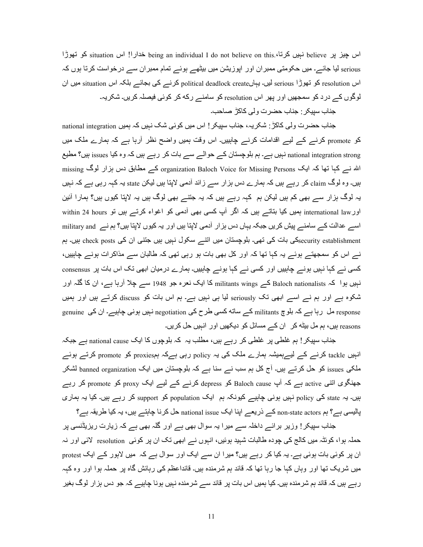اس چیز پر believe نہیں کرتا، being an individual I do not believe on this کو تھوڑا اس situation کو تھوڑا serious لیا جائے۔ میں حکومتی ممبر ان اور اپوزیشن میں بیٹھے ہوئے تمام ممبر ان سے درخواست کرتا ہوں کہ اس resolution کو تھوڑا serious لیں۔ یہاںpolitical deadlock create کرنے کی بجائے بلکہ اس situation میں ان لوگوں کے درد کو سمجھیں اور پھر اس resolution کو سامنے رکه کر کوئی فیصلہ کریں۔ شکریہ۔

جناب سبیکر : جناب حضر ت و لی کاکڑ مصاحب۔

جناب حضرت ولی کاکڑ : شکریہ، جناب سپیکر ! اس میں کوئی شک نہیں کہ ہمیں national integration کو promote کرنے کے لیے اقدامات کرنے چاہییں۔ اس وقت ہمیں واضح نظر أرہا ہے کہ ہمارے ملک میں national integration strong نہیں ہے۔ ہم بلوچستان کے حوالے سے بات کر رہے ہیں کہ وہ کیا issues ہیں؟ مطیع اللہ نسر کہا تھا کہ ایک organization Baloch Voice for Missing Persons کسر مطابق دس ہزار لوگ missing ہیں۔ وہ لوگ claim کر رہے ہیں کہ ہمارے دس ہزار سے زائد آدمی لاپتا ہیں لیکن state یہ کہہ رہی ہے کہ نہیں یہ لوگ ہزار سے بھی کم ہیں لیکن ہم کہہ رہے ہیں کہ یہ جتنے بھی لوگ ہیں یہ لاپتا کیوں ہیں؟ ہمارا آئین اور international law ہمیں کیا بناتے ہیں کہ اگر آپ کسی بھی آدمی کو اغواء کرتے ہیں تو within 24 hours اسے عدالت کے سامنے پیش کریں جبکہ یہاں دس ہزار آدمی لاپتا ہیں اور یہ کیوں لاپتا ہیں؟ ہم نے military and esecurity establishmentکی بات کی تھی۔ بلوچستان میں اتنے سکول نہیں ہیں جتنی ان کی check posts ہیں۔ ہم نے اس کو سمجھتے ہوئے یہ کہا تھا کہ اور کل بھی بات ہو رہی تھی کہ طالبان سے مذاکرات ہونے چاہییں، کسی نے کہا نہیں ہونے چاہییں اور کسی نے کہا ہونے چاہییں۔ ہمارے درمیان ابھی تک اس بات پر consensus نہیں ہوا کہ Baloch nationalists کے militants wings کا ایک نعرہ جو 1948 سے چلا آرہا ہے، ان کا گلہ اور شکوہ ہے اور ہم نے اسے ابھی تک seriously لیا ہی نہیں ہے۔ ہم اس بات کو discuss کرتے ہیں اور ہمیں response مل رہا ہے کہ بلوچ militants کے ساته کسی طرح کی negotiation نہیں ہونی چاہیے۔ ان کی genuine reasons ہیں، ہم مل بیٹه کر ان کے مسائل کو دیکھیں اور انہیں حل کریں۔

جناب سپیکر ! ہم غلطی پر غلطی کر رہے ہیں، مطلب یہ کہ بلوچوں کا ایک national cause ہے جبکہ انہیں tackle کرنے کے لیےہعیشہ ہمارے ملک کی یہ policy رہی ہےکہ ہمproxies کو promote کرتے ہوئے ِملکی issues کو حل کرتے ہیں۔ آج کل ہم سب نے سنا ہے کہ بلوچستان میں ایک banned organization لشکر جھنگوی اتنی active ہے کہ آپ Baloch cause کو depress کرنے کے لیے ایک proxy کو promote کر رہے بیں۔ یہ state کی policy نہیں ہونی چاہیے کیونکہ ہم ایک population کو support کر رہے ہیں۔ کیا یہ ہماری پالیسی ہے؟ ہم non-state actors کے ذریعے اپنا ایک national issue حل کرنا چاہتے ہیں، یہ کیا طریقہ ہے؟

جناب سپیکر ! وزیر بر ائے داخلہ سے میر ا یہ سوال بھی ہے اور گلہ بھی ہے کہ زیارت ریزیڈنسی پر حملہ ہوا، کوئٹہ میں کالج کی چودہ طالبات شہید ہوئیں، انہوں نے ابھی تک ان پر کوئی resolution لائی اور نہ ان پر کوئی بات ہوئی ہے۔ یہ کیا کر رہے ہیں؟ میرا ان سے ایک اور سوال ہے کہ میں لاہور کے ایک protest میں شریک تھا اور وہاں کہا جا رہا تھا کہ قائد ہم شرمندہ ہیں۔ قائداعظم کی رہائش گاہ پر حملہ ہوا اور وہ کہہ رہے ہیں کہ قائد ہم شرمندہ ہیں۔ کیا ہمیں اس بات پر قائد سے شرمندہ نہیں ہونا چاہیے کہ جو دس ہزار لوگ بغیر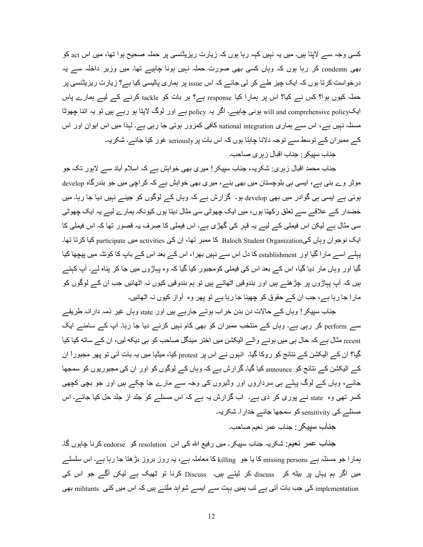کسی وجہ سے لاپنا ہیں۔ میں یہ نہیں کہہ رہا ہوں کہ زیارت ریزیڈنسی پر حملہ صحیح ہوا تھا، میں اس act کو بھی condemn کر رہا ہوں کہ وہاں کسی بھی صورت حملہ نہیں ہونا چاہیے تھا۔ میں وزیر داخلہ سے یہ درخواست کرتا ہوں کہ ایک چیز طے کر لی جائے کہ اس issue پر ہماری پالیسی کیا ہے؟ زیارت ریزیڈنسی پر حملہ کیوں ہوا؟ کس نے کیا؟ اس پر ہمارا کیا response ہے؟ ہر بات کو tackle کرنے کے لیے ہمارے پاس ایکpolicyہے۔ ایک will and comprehensive policy ہے policy ہے اور لوگ لاپتا ہو رہے ہیں تو یہ اتنا چھوٹا مسئلہ نہیں ہے، اس سے ہماری national integration کافی کمزور ہوتی جا رہی ہے۔ لہذا میں اس ایوان اور اس کے ممبر ان کے توسط سے توجہ دلانا چاہتا ہوں کہ اس بات پر seriously غور کیا جائے۔ شکریہ۔

جناب سپیکر : جناب اقبال زہری صاحب۔

جناب محمد اقبال زہری: شکریہ، جناب سپیکر ! میری بھی خواہش ہے کہ اسلام آباد سے لاہور تک جو موٹر وے بنی ہے، ایسی ہی بلوچستان میں بھی بنے، میری بھی خواہش ہے کہ کر اچی میں جو بندرگاہ develop ہوئی ہے ایسی ہی گوادر میں بھی develop ہو۔ گزارش ہے کہ وہاں کے لوگوں کو جینے نہیں دیا جا رہا۔ میں خضدار کے علاقے سے تعلق رکھتا ہوں، میں ایک چھوٹی سی مثال دیتا ہوں کیونکہ ہمارے لیے یہ ایک چھوٹی سی مثال ہے لیکن اس فیملی کے لیے یہ قہر کی گھڑی ہے۔ اس فیملی کا صرف یہ قصور تھا کہ اس فیملی کا ایک نوجو ان وہاں کے،Baloch Student Organization کا ممبر تھا، ان کی activities میں participate کیا کرتا تھا۔ یہلے اسے مارا گیا اور establishment کا دل اس سے نہیں بھرا، اس کے بعد اس کے باپ کا کوئٹہ میں بیچھا کیا گیا اور وہاں مار دیا گیا، اس کے بعد اس کی فیملی کومجبور کیا گیا کہ وہ پہاڑوں میں جا کر پناہ لے۔ آپ کہتے ہیں کہ آپ پہاڑوں پر چڑھتے ہیں اور بندوقیں اٹھاتے ہیں تو ہم بندوقیں کیوں نہ اٹھائیں جب ان کے لوگوں کو مار ا جا رہا ہے، جب ان کے حقوق کو چھینا جا رہا ہے تو پھر وہ آواز کیوں نہ اٹھائیں۔

جناب سپیکر ! وہاں کے حالات دن بدن خراب ہوتے جارہے ہیں اور state وہاں غیر ذمہ دارانہ طریقے سے perform کر رہی ہے۔ وہاں کے منتخب ممبران کو بھی کام نہیں کرنے دیا جا رہا۔ آپ کے سامنے ایک recent مثال ہے کہ حال ہی میں ہونے والے الیکشن میں اختر مینگل صاحب کو ہی دیکه لیں، ان کے ساته کیا کیا گیا؟ ان کے الیکشن کے نتائج کو روکا گیا۔ انہوں نے اس پر protest کیا، میڈیا میں یہ بات آئی تو پھر مجبوراً ان کے الیکشن کے نتائج کو announce کیا گیا۔ گزارش ہے کہ وہاں کے لوگوں کو اور ان کی مجبوریوں کو سمجھا ً جائے، وہاں کے لوگ پہلے ہی سرداروں اور وڈیروں کی وجہ سے مارے جا چکے ہیں اور جو بچی کچھی کسر تھی وہ state نسر پوری کر دی ہے۔ اب گزارش یہ ہے کہ اس مسئلے کو جلد از جلد حل کیا جائے۔ اس مسئلے کی sensitivity کو سمجھا جائے خدارا۔ شکریہ۔

جناب سيپكر : جناب عمر نعيم صاحب۔

جناب عمر نعیم: شکریہ جناب سپیکر۔ میں رفیع اللہ کی اس resolution کو endorse کرنا چاہوں گا۔ ہمارا جو مسئلہ ہے missing persons کا یا جو killing کا معاملہ ہے، یہ روز بروز بڑھتا جا رہا ہے۔ اس سلسلے میں اگر ہم یہاں پر بیٹه کر discuss کر لیتے ہیں۔ Discuss کرنا تو ٹھیک ہے لیکن آگے جو اس کی implementation کی جب بات آتی ہے تب ہمیں بہت سے ایسے شواہد ملتے ہیں کہ اس میں کئی militants بھی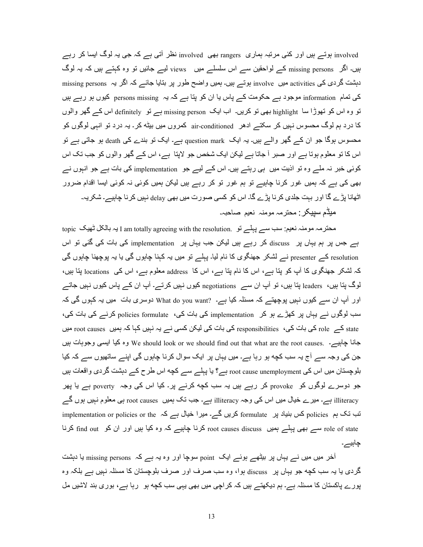involved ہوتے ہیں اور کئی مرتبہ ہماری rangers بھی involved نظر أتی ہے کہ جی یہ لوگ ایسا کر رہے ہیں۔ اگر missing persons کے لواحقین سے اس سلسلے میں views لیے جائیں تو وہ کہتے ہیں کہ یہ لوگ دہشت گردی کی activities میں involve ہوتے ہیں۔ ہمیں واضح طور پر بنایا جائے کہ اگر یہ missing persons کی تمام information موجود ہے حکومت کے پاس یا ان کو پتا ہے کہ یہ persons missing کیوں ہو رہے ہیں نو وہ اس کو تھوڑا سا highlight بھی تو کریں۔ اب ایک missing person ہے تو definitely اس کے گھر والوں کا درد ہم لوگ محسوس نہیں کر سکتے ادھر air-conditioned کمروں میں بیٹه کر ـ یہ درد تو انہی لوگوں کو محسوس ہوگا جو ان کے گھر والے ہیں۔ یہ ایک question mark ہے۔ ایک نو بندے کی death ہو جاتی ہے تو اس کا تو معلوم ہوتا ہے اور صبر آ جاتا ہے لیکن ایک شخص جو لاپتا ہے، اس کے گھر والوں کو جب تک اس کوئی خبر نہ ملے وہ تو اذیت میں ہی رہتے ہیں۔ اس کے لیے جو implementation کی بات ہے جو انہوں نے بھی کی ہے کہ ہمیں غور کرنا چاہیے تو ہم غور تو کر رہے ہیں لیکن ہمیں کوئی نہ کوئی ایسا اقدام ضرور اٹھانا پڑے گا اور بہت جلدی کرنا پڑے گا۔ اس کو کسی صورت میں بھی delay نہیں کرنا چاہیے۔ شکریہ۔ میڈم سبیکر : محترمہ مومنہ نعیم صاحبہ۔

topic محترمہ مومنہ نعیم: سب سے پہلے تو I am totally agreeing with the resolution. یہ بالکل ٹھیک ہے جس پر ہم یہاں پر discuss کر رہے ہیں لیکن جب یہاں پر implementation کی بات کی گئی تو اس resolution کے presenter نے لشکر جھنگوی کا نام لیا۔ پہلے تو میں یہ کہنا چاہوں گی یا یہ پوچھنا چاہوں گی کہ لشکر جھنگوی کا آپ کو پتا ہے، اس کا نام پتا ہے، اس کا address معلوم ہے، اس کی locations پتا ہیں، لوگ پتا ہیں، leaders پتا ہیں، تو آپ ان سے negotiations کیوں نہیں کرتے۔ آپ ان کے پاس کیوں نہیں جاتے اور آپ ان سے کیوں نہیں پوچھتے کہ مسئلہ کیا ہے۔ ?What do you want دوسری بات میں یہ کہوں گی کہ سب لوگوں نے یہاں پر کھڑے ہو کر implementation کی بات کی، policies formulate کرنے کی بات کی، state کے root causes کے fole کی بات کی، responsibilities کی بات کی لیکن کسی نے یہ نہیں کہا کہ ہمیں root causes میں جانا چاہیے۔ .We should look or we should find out that what are the root causes وہ کیا ایسی وجوہات ہیں جن کی وجہ سے آج یہ سب کچه ہو رہا ہے۔ میں یہاں پر ایک سوال کرنا چاہوں گی اپنے ساتھیوں سے کہ کیا بلوچستان میں اس کی root cause unemployment ہے؟ یا پہلے سے کچه اس طرح کے دہشت گردی واقعات ہیں جو دوسرے لوگوں کو provoke کر رہے ہیں یہ سب کچه کرنے پر۔ کیا اس کی وجہ poverty ہے یا پھر illiteracy ہے۔ میرے خیال میں اس کی وجہ illiteracy ہے۔ جب تک ہمیں root causes ہی معلوم نہیں ہوں گے implementation or policies or the  $\sim$  کریں گے۔ میرا خیال ہے کہ implementation or policies or the  $\sim$ root causes discuss سے بھی پہلے ہمیں state iscuss کرنا چاہیے کہ وہ کیا ہیں اور ان کو find out کرنا چاہیے۔

آخر میں میں نے یہاں پر بیٹھے ہوئے ایک point سوچا اور وہ یہ ہے کہ missing persons یا دہشت گردی یا یہ سب کچه جو یہاں پر discuss ہوا، وہ سب صرف اور صرف بلوچستان کا مسئلہ نہیں ہے بلکہ وہ پورے پاکستان کا مسئلہ ہے۔ ہم دیکھتے ہیں کہ کراچی میں بھی یہی سب کچه ہو۔ رہا ہے، بوری بند لاشیں مل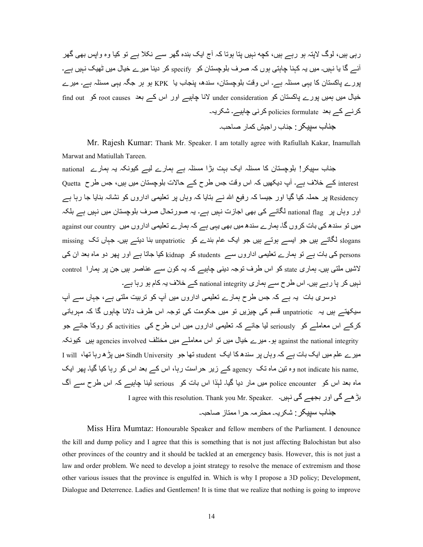رہی ہیں، لوگ لاپتہ ہو رہے ہیں، کچه نہیں پتا ہوتا کہ آج ایک بندہ گھر سے نکلا ہے تو کیا وہ واپس بھی گھر آئے گا یا نہیں۔ میں یہ کہنا چاہتی ہوں کہ صرف بلوچستان کو specify کر دینا میر ے خیال میں ٹھیک نہیں ہے۔ پورے پاکستان کا یہی مسئلہ ہے۔ اس وقت بلوچستان، سندھ، پنجاب یا KPK ہو ہر جگہ یہی مسئلہ ہے۔ میرے خیال میں بمیں پورے پاکستان کو under consideration لانا چاہیے اور اس کے بعد root causes کو find out کرنے کے بعد policies formulate کرنی چاہیے۔ شکریہ۔ جناب سبیکر : جناب ر اجیش کمار صاحب۔

Mr. Rajesh Kumar: Thank Mr. Speaker. I am totally agree with Rafiullah Kakar, Inamullah Marwat and Matiullah Tareen.

جناب سبیکر ! بلوچستان کا مسئلہ ایک بہت بڑا مسئلہ ہے ہمارے لیے کیونکہ یہ ہمارے national interest کے خلاف ہے۔ آپ دیکھیں کہ اس وقت جس طرح کے حالات بلوچستان میں ہیں، جس طرح Quetta Residency پر حملہ کیا گیا اور جیسا کہ رفیع اللہ نے بتایا کہ وہاں پر تعلیمی اداروں کو نشانہ بنایا جا رہا ہے اور وہاں بر ِ national flag لگانے کی بھی اجازت نہیں ہے۔ یہ صورتحال صرف بلوچستان میں نہیں ہے بلکہ میں تو سندھ کی بات کروں گا۔ ہمارے سندھ میں بھی یہی ہے کہ ہمارے تعلیمی اداروں میں against our country slogans لگاتے ہیں جو ایسے ہوتے ہیں جو ایک عام بندے کو unpatriotic بنا دیتے ہیں۔ جہاں تک missing persons کی بات ہے تو ہمارے تعلیمی اداروں سے students کو kidnap کیا جاتا ہے اور بھر دو ماہ بعد ان کی لاشیں ملتی ہیں۔ ہماری state کو اس طرف توجہ دینی چاہیے کہ یہ کون سے عناصر ہیں جن پر ہمارا control نہیں کر یا رہے ہیں۔ اس طرح سے ہماری national integrity کے خلاف یہ کام ہو رہا ہے۔

دوسری بات یہ ہے کہ جس طرح ہمارے تعلیمی اداروں میں آپ کو نربیت ملتی ہے، جہاں سے آپ سیکھتے ہیں یہ unpatriotic قسم کی چیزیں تو میں حکومت کی توجہ اس طرف دلانا جابوں گا کہ مہر بانے، کرکے اس معاملے کو seriously لیا جائے کہ تعلیمی اداروں میں اس طرح کی activities کو روکا جائے جو against the national integrity ہو۔ میرے خیال میں تو اس معاملے میں مختلف agencies involved ہیں کیونکہ میر ے علم میں ایک بات ہے کہ وہاں پر سندھکا ایک student تھا جو Sindh University میں بڑھ رہا تھا، I will I ,not indicate his name وہ نین ماہ نک agency کسر زیر حراست رہا، اس کسر بعد اس کو رہا کیا گیا۔ پھر ایک ماہ بعد اس کو police encounter میں مار دیا گیا۔ لہٰذا اس بات کو serious لینا چاہیے کہ اس طرح سے آگ I agree with this resolution. Thank you Mr. Speaker. ابڑ ہے کی اور بجھے گی نہیں۔ جناب سبیکر : شکر یہ۔ محتر مہ حر ا ممتاز صاحبہ۔

Miss Hira Mumtaz: Honourable Speaker and fellow members of the Parliament. I denounce the kill and dump policy and I agree that this is something that is not just affecting Balochistan but also other provinces of the country and it should be tackled at an emergency basis. However, this is not just a law and order problem. We need to develop a joint strategy to resolve the menace of extremism and those other various issues that the province is engulfed in. Which is why I propose a 3D policy; Development, Dialogue and Deterrence. Ladies and Gentlemen! It is time that we realize that nothing is going to improve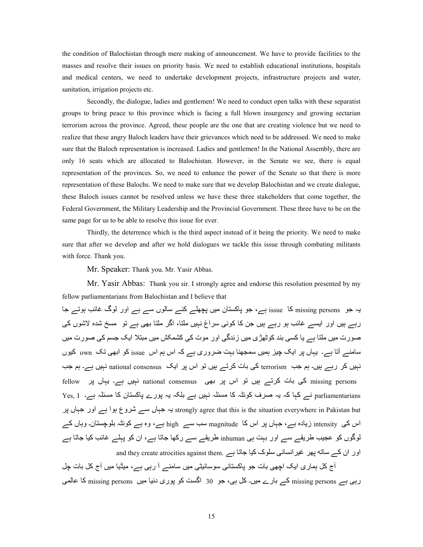the condition of Balochistan through mere making of announcement. We have to provide facilities to the masses and resolve their issues on priority basis. We need to establish educational institutions, hospitals and medical centers, we need to undertake development projects, infrastructure projects and water, sanitation, irrigation projects etc.

 Secondly, the dialogue, ladies and gentlemen! We need to conduct open talks with these separatist groups to bring peace to this province which is facing a full blown insurgency and growing sectarian terrorism across the province. Agreed, these people are the one that are creating violence but we need to realize that these angry Baloch leaders have their grievances which need to be addressed. We need to make sure that the Baloch representation is increased. Ladies and gentlemen! In the National Assembly, there are only 16 seats which are allocated to Balochistan. However, in the Senate we see, there is equal representation of the provinces. So, we need to enhance the power of the Senate so that there is more representation of these Balochs. We need to make sure that we develop Balochistan and we create dialogue, these Baloch issues cannot be resolved unless we have these three stakeholders that come together, the Federal Government, the Military Leadership and the Provincial Government. These three have to be on the same page for us to be able to resolve this issue for ever.

 Thirdly, the deterrence which is the third aspect instead of it being the priority. We need to make sure that after we develop and after we hold dialogues we tackle this issue through combating militants with force. Thank you.

Mr. Speaker: Thank you. Mr. Yasir Abbas.

Mr. Yasir Abbas: Thank you sir. I strongly agree and endorse this resolution presented by my fellow parliamentarians from Balochistan and I believe that

یہ جو missing persons کا issue ہے، جو پاکستان میں پچھلے کئے سالوں سے ہے اور لوگ غائب ہوتے جا رہے ہیں اور ایسے غائب ہو رہے ہیں جن کا کوئی سراغ نہیں ملتا، اگر ملتا بھی ہے تو مسخ شدہ لاشوں کی صورت میں ملتا ہے یا کسی بند کوٹھڑی میں زندگی اور موت کی کشمکش میں مبتلا ایک جسم کی صورت میں سامنے آتا ہے۔ یہاں پر ایک چیز ہمیں سمجھنا بہت ضروری ہے کہ اس ہم اس  $_{\rm issue}$  کو ابھی تک  $_{\rm own}$  کیوں نہیں کر رہے ہیں۔ ہم جب terrorism کی بات کرتے ہیں تو اس پر ایک aational consensus نہیں ہے۔ ہم جب fellow نبیں ہے۔ یہاں پر اس پر بھی national consensus تنہیں ہے۔ یہاں پر fellow نہیں ہے yes, I ۔ کہا کہ یہ صرف کوئٹہ کا مسئلہ نہیں ہے بلکہ یہ پورے پاکستان کا مسئلہ ہے۔ Yes, I strongly agree that this is the situation everywhere in Pakistan but یہ جہاں سے شروع ہوا ہے اور جہاں پر اس کی intensity زیادہ ہے، جہاں پر اس کا magnitude سب سے high ہے، وہ ہے کوئٹہ بلوچستان۔ وہاں کے لوگوں کو عجیب طریقے سے اور بہت ہی inhuman طریقے سے رکھا جاتا ہے، ان کو پہلے غائب کیا جاتا ہے and they create atrocities against them. ہور ان کے ساته بھر غیرانسانی سلوک کیا جاتا ہے

آج کل ہماری ایک اچھی بات جو پاکستانی سوسائیٹی میں سامنے آ رہی ہے، میڈیا میں آج کل بات چل رہی ہے missing persons کے بارے میں۔ کل ہی، جو 30 اگست کو پوری دنیا میں missing persons کا عالمی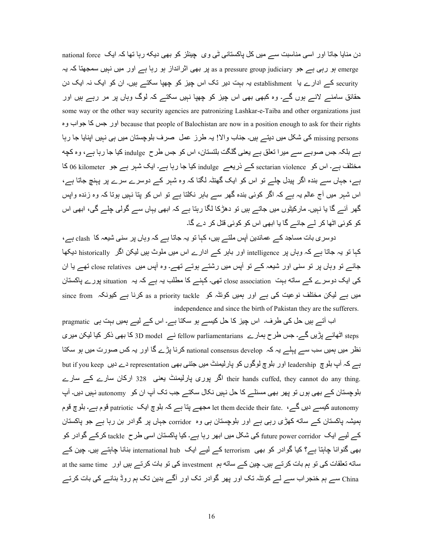دن منایا جاتا اور اسی مناسبت سے میں کل پاکستانی ٹی وی چینلز کو بھی دیکه رہا تھا کہ ایک national force emerge ہو رہی ہے جو as a pressure group judiciary ہو رہا ہے اور میں نہیں سمجھتا کہ یہ gressure ہو رہی ہے security کے ادارے یا۔ establishment یہ بہت دیر تک اس چیز کو چھپا سکتے ہیں۔ ان کو ایک نہ ایک دن حقائق سامنے لانے ہوں گے۔ وہ کبھی بھی اس چیز کو چھپا نہیں سکتے کہ لوگ وہاں پر مر رہے ہیں اور some way or the other way security agencies are patronizing Lashkar-e-Taiba and other organizations just ور جس كا جواب وہ because that people of Balochistan are now in a position enough to ask for their rights missing persons کی شکل میں دیتے ہیں۔ جناب والا! یہ طرز عمل صرف بلوچستان میں ہی نہیں اپنایا جا رہا ہے بلکہ جس صوبے سے میرا تعلق ہے یعنی گلگت بلتستان، اس کو جس طرح indulge کیا جا رہا ہے، وہ کچه مختلف ہے۔ اس کو sectarian violence کے ذریعے indulge کیا جا رہا ہے۔ ایک شہر ہے جو 6G kilometer کا ہے، جہاں سے بندہ اگر بیدل چلے تو اس کو ایک گھنٹہ لگتا کہ وہ شہر کے دوسرے سرے پر پہنچ جاتا ہے، اس شہر میں آج عالم یہ ہے کہ اگر کوئی بندہ گھر سے باہر نکلتا ہے تو اس کو بتا نہیں ہوتا کہ وہ زندہ واپس گھر آئے گا یا نہیں۔ مارکیٹوں میں جاتے ہیں تو دھڑکا لگا رہتا ہے کہ ابھی یہاں سے گولی چلے گی، ابھی اس کو کوئی اٹھا کر لے جائے گا یا ابھی اس کو کوئی قتل کر دے گا۔

دوسری بات مساجد کے عمائدین آپس ملتے ہیں، کہا تو یہ جاتا ہے کہ وہاں پر سنی شیعہ کا clash ہے، کہا تو یہ جاتا ہے کہ وہاں پر intelligence اور بابر کے ادارے اس میں ملوث ہیں لیکن اگر historically دیکھا جائسے نو وہاں پر نو سنی اور شیعہ کسے نو آپس میں رشتسے ہوتسے تھے۔ وہ آپس میں close relatives تھے یا ان کی ایک دوسرے کے ساته بہت close association تھی۔ کہنے کا مطلب یہ ہے کہ یہ situation پورے پاکستان since from ہیں ہے لیکن مختلف نوعیت کی ہے اور ہمیں کوئٹہ کو as a priority tackle کرنا ہے کیونکہ independence and since the birth of Pakistan they are the sufferers.

اب آتے ہیں حل کی طرف۔ اس چیز کا حل کیسے ہو سکتا ہے۔ اس کے لیے ہمیں بہت ہی pragmatic teps اٹھانے پڑیں گے۔ جس طرح ہمارے fellow parliamentarians نے 3D model کا بھی ذکر کیا لیکن میری نظر میں ہمیں سب سے پہلے یہ کہ national consensus develop کرنا پڑے گا اور یہ کس صورت میں ہو سکتا ں دیں leadership اور بلوچ لوگوں کو پارلیمنٹ میں جتنی بھی representation دے دیں but if you keep ہے کہ آپ بلوچ their hands cuffed, they cannot do any thing. اگر پوری پارلیمنٹ یعنی 328 ارکان سارے کہ سارے بلوچستان کے بھی ہوں تو پھر بھی مسئلے کا حل نہیں نکال سکتے جب تک آپ ان کو autonomy نہیں دیں۔ آپ autonomy کیپسے دیں گے۔ . .let them decide their fate مجھے بنا ہے کہ بلوچ ایک patriotic قوم ہے۔ بلوچ قوم ہمیشہ پاکستان کے ساته کھڑی رہی ہے اور بلوچستان ہی وہ corridor جہاں پر گوادر بن رہا ہے جو پاکستان کے لیے ایک future power corridor کی شکل میں ابھر رہا ہے۔ کیا پاکستان اسی طرح tackle کرکے گوادر کو بھی گنوانا چاہتا ہے؟ کیا گوادر کو بھی terrorism کے لیے ایک international hub بنانا چاہتے ہیں۔ چین کے ساته تعلقات کی تو ہم بات کرتے ہیں۔ چین کے ساته ہم investment کی تو بات کرتے ہیں اور at the same time China سے ہم خنجر اب سے لے کوئٹہ تک اور پھر گوادر تک اور آگے بدین تک ہم روڈ بنانے کی بات کرتے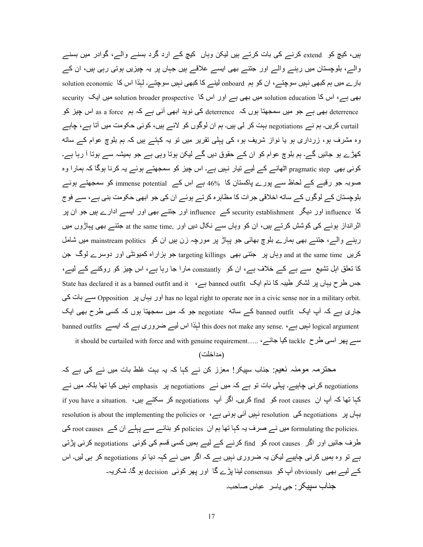ہیں، کیچ کو extend کرنے کی بات کرتے ہیں لیکن وہاں کیچ کے ارد گرد بسنے والے، گوادر میں بسنے والے، بلوچستان میں رہنے والے اور جننے بھی ایسے علاقے ہیں جہاں پر یہ چیزیں ہوتی رہی ہیں، ان کے بار ے میں ہم کبھی نہیں سوچتے ، ان کو ہم onboard لینے کا کبھی نہیں سوچتے۔ لہٰذا اس کا solution economic بھی ہے، اس کا solution education میں بھی ہے اور اس کا solution broader prospective میں ایک security deterrence ابھی ہے جو میں سمجھتا ہوں کہ deterrence کی نوید ابھی آئی ہے کہ ہم as a force اس چیز کو : curtail کریں۔ ہم نے negotiations بہت کر لی ہیں۔ ہم ان لوگوں کو لائے ہیں، کوئی حکومت میں آتا ہے، جاہے وہ مشرف ہو، زرداری ہو یا نواز شریف ہو، کی پہلی تقریر میں تو یہ کہتے ہیں کہ ہم بلوچ عوام کے ساته کھڑے ہو جائیں گے۔ ہم بلوچ عوام کو ان کے حقوق دیں گے لیکن ہوتا وہی ہے جو ہمیشہ سے ہوتا آ رہا ہے۔ کوئی بھی pragmatic step اٹھانے کے لیے تیار نہیں ہے۔ اس چیز کو سمجھتے ہوئے یہ کرنا ہوگا کہ ہمارا وہ صوبہ جو رقبے کے لحاظ سے پورے پاکستان کا  $\sim 46$  ہے اس کے immense potential کو سمجھتے ہوئے بلوچستان کے لوگوں کے ساته اخلاقی جرات کا مظاہرہ کرتے ہوئے ان کی جو ابھی حکومت بنی ہے، سے فوج کا influence اور دیگر security establishment اور حتم influence اور ایسے ادارے ہیں جو ان پر اثر انداز ہونے کی کوشش کرتے ہیں، ان کو وہاں سے نکال دیں اور ,at the same time جنتے بھی پہاڑوں میں رہنے والے، جتنے بھی ہمارے بلوچ بھائی جو پباڑ پر مورچہ زن ہیں ان کو mainstream politics میں شامل کریں and at the same time وہاں بر جتنی بھی targeting killings جو ہزاراہ کمیونٹی اور دوسرے لوگ جن کا تعلق اہل تشیع سے ہے کے خلاف ہے، ان کو constantly مارا جا رہا ہے، اس چیز کو روکنے کے لیے، State has declared it as a banned outfit and it ،ہے banned outfit DEا م:C :Z ہ<6 45Q 4L ں:ہE ح4 o< سے بات کی has no legal right to operate nor in a civic sense nor in a military orbit. جاری ہے کہ آپ ایک  $_2$  banned outfit کے ساته  $_2$  negotiate جو کہ میں سمجھتا ہوں کہ کسی طرح بھی ایک banned outfits نہیں ہے۔ this does not make any sense. ہے کہ ایسے banned outfits اس لیے ضروری ہے کہ ایسے

it should be curtailed with force and with genuine requirement….. ، کیا جائے tackle کیا جائے tackle ک

# (مداخلت)

محترمہ مومنہ نعیم: جناب سپیکر! معزز کن نے کہا کہ یہ بہت غلط بات میں نے کی ہے کہ negotiations کرنی چاہیے۔ پہلی بات تو ہے کہ میں نے negotiations پر emphasis نہیں کیا تھا بلکہ میں نے if you have a situation. <br/> کریں۔ اگر آپ negotiations کریں۔ ان find کریں۔ ان میں if you have a situation. <br/>  $\Delta$ resolution is about the implementing the policies or ، نہیں آئی ہوئی ہے ہ $\epsilon$  resolution is about the implementing the policies or formulating the policies. میں نے صرف یہ کہا تھا ہم ان policies کو بنانے سے پہلے ان کے root causes کی طرف جائیں اور اگر root causes کو find کرنے کے لیے ہمیں کسی قسم کی کوئی negotiations کرنی پڑتی ہے تو وہ ہمیں کرنی جاہیے لیکن یہ ضروری نہیں ہے کہ اگر میں نے کہہ دیا تو negotiations کر ہی لیں۔ اس کے لیے بھی obviously آپ کو consensus لینا پڑے گا اور پھر کوئی decision ہو گا۔ شکریہ۔ جناب سببکر : جے باسر حباس صاحب۔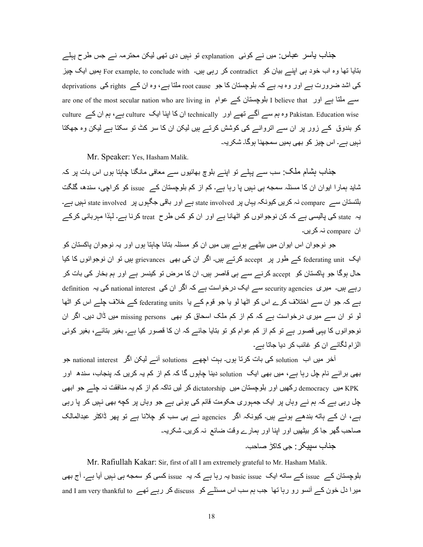جذاب یاسر عباس: میں نـــر کوئی explanation تو نہیں دی تھی لیکن محترمہ نـــر جس طرح پہلـــر بتایا تھا وہ اب خود ہی اپنے بیان کو contradict کر رہی ہیں۔ For example, to conclude with ہمیں ایک چیز کی اشد ضرورت ہے اور وہ یہ ہے کہ بلوچستان کا جو root cause ملتا ہے، وہ ان کے rights کی deprivations are one of the most secular nation who are living in الموجستان كے عوام ان  $1$  believe that اور ہے: culture ان کا اپنا ایک culture نے culture اور technically اور echnically اور علیے culture کے مناف کو بندوق کے زور پر ان سے انروانے کی کوشش کرتے ہیں لیکن ان کا سر کٹ تو سکتا ہے لیکن وہ جھکتا نہیں ہے۔ اس چیز کو بھی ہمیں سمجھنا ہوگا۔ شکر یہ۔

Mr. Speaker: Yes, Hasham Malik.

جذاب بِشام ملک: سب سے پہلے تو اپنے بلوچ بھائیوں سے معافی مانگنا چاہتا ہوں اس بات پر کہ شاید ہمارا ایوان ان کا مسئلہ سمجه ہی نہیں پا رہا ہے۔ کم از کم بلوچستان کے issue کو کراچی، سندھ، گلگت بلتستان سے compare نہ کریں کیونکہ یہاں پر state involved ہے اور باقی جگہوں پر state involved نہیں ہے۔ یہ state کی پالیسی ہے کہ کن نوجوانوں کو اٹھانا ہے اور ان کو کس طرح treat کرنا ہے۔ لہٰذا مہربانی کرکے ان compare نہ کر یں۔

جو نوجوان اس ایوان میں بیٹھے ہوئے ہیں میں ان کو مسئلہ بتانا چاہتا ہوں اور یہ نوجوان پاکستان کو ایک federating unit کے طور پر accept کرتے ہیں۔ اگر ان کی بھی grievances ہیں تو ان نوجوانوں کا کیا حال ہوگا جو پاکستان کو accept کرنے سے ہی قاصر ہیں۔ ان کا مرض تو کینسر ہے اور ہم بخار کی بات کر رہے ہیں۔ میری security agencies سے ایک درخواست ہے کہ اگر ان کی national interest کی یہ definition ہے کہ جو ان سے اختلاف کرے اس کو اٹھا لو یا جو قوم کے یا federating units کے خلاف چلے اس کو اٹھا لو تو ان سے میری درخواست ہے کہ کم از کم ملک اسحاق کو بھی missing persons میں ڈال دیں۔ اگر ان نوجوانوں کا یہی قصور ہے تو کم از کم عوام کو تو بتایا جائے کہ ان کا قصور کیا ہے۔ بغیر بتائے، بغیر کوئی الزام لگائے ان کو غائب کر دیا جاتا ہے۔

آخر میں اب solution کی بات کرتا ہوں۔ بہت اچھے solutions آئے لیکن اگر national interest جو بھی برائے نام چل رہا ہے، میں بھی ایک  $_{\rm solution}$  دینا چاہوں گا کہ کم از کم یہ کریں کہ پنجاب، سندھ اور KPK میں democracy رکھیں اور بلوچستان میں dictatorship کر لیں ناکہ کم از کم یہ منافقت نہ چلے جو ابھی چل رہی ہے کہ ہم نے وہاں پر ایک جمہوری حکومت قائم کی ہوئی ہے جو وہاں پر کچه بھی نہیں کر پا رہی ہے، ان کے ہاته بندھے ہوئے ہیں۔ کیونکہ اگر agencies نے ہی سب کو چلانا ہے تو پھر ڈاکٹر عبدالمالک صاحب گھر جا کر بیٹھیں اور اپنا اور ہمارے وقت ضائع نہ کریں۔ شکریہ۔ جناب سببکر : جی کاکڑ صاحب۔

 Mr. Rafiullah Kakar: Sir, first of all I am extremely grateful to Mr. Hasham Malik. بلوچستان کے issue کے ساته ایک basic issue یہ رہا ہے کہ یہ issue کسی کو سمجه ہی نہیں آیا ہے۔ آج بھی and I am very thankful to کر رہے تھے 5U discuss اس مسئلے کو discuss کر رہے تھے 6U and I am very thankful to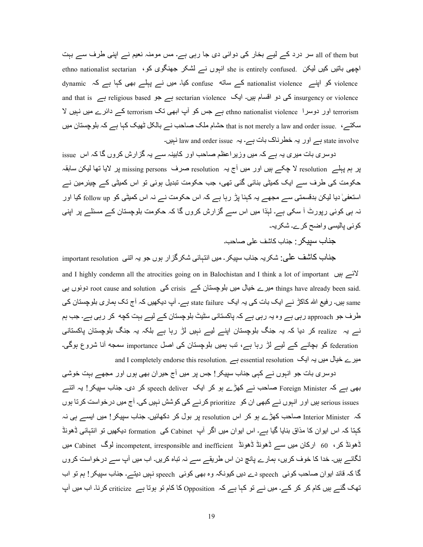all of them but سر درد کے لیے بخار کی دوائی دی جا رہی ہے۔ مس مومنہ نعیم نے اپنی طرف سے بہت ethno nationalist sectarian ، اچھی باتیں کیں لیکن جو انہوں نے لشکر جھنگوی کو dynamic کو اپنے :ہationalist violence کے ساته :confuse کیا۔ میں نے پہلے بھی کہا ہے کہ dynamic and that is ہے religious based ہے جو sectarian violence کی دو اقسام ہیں۔ ایک and that is terrorism اور دوسرا ethno nationalist violence ہے جس کو آپ ابھی نک terrorism کے دائرے میں نہیں لا سکتے، . that is not merely a law and order issue حشام ملک صاحب نے بالکل ٹھیک کہا ہے کہ بلوچستان میں state involve ہے اور یہ خطرناک بات ہے۔ یہ law and order issue نہیں۔

دوسری بات میری یہ ہے کہ میں وزیر اعظم صاحب اور کابینہ سے یہ گزارش کروں گا کہ اس issue پر ہم پہلے resolution لا چکے ہیں اور میں آج یہ resolution صرف missing persons پر لایا تھا لیکن سابقہ حکومت کی طرف سے ایک کمیٹی بنائی گئی تھی، جب حکومت تبدیل ہوئی تو اس کمیٹی کے چیئرمین نے استعفیٰ دیا لیکن بدقسمتی سے مجھے یہ کہنا پڑ رہا ہے کہ اس حکومت نے نہ اس کمیٹی کو follow up کیا اور نہ ہی کوئی رپورٹ آ سکی ہے۔ لہٰذا میں اس سے گزارش کروں گا کہ حکومت بلوچستان کے مسئلے پر اپنی کو ئے، پالیسی و اضح کر ہے۔ شکر پہ۔

جناب سبیکر : جناب کاشف علی صاحب۔

جناب کاشف علٰی: شکریہ جناب سپیکر ـ میں انتہائی شکرگز ار ہوں جو یہ اتنی important resolution and I highly condemn all the atrocities going on in Balochistan and I think a lot of important  $\mathcal{Y}$ .things have already been said میرے خیال میں بلوچستان کے crisis کی root cause and solution دونوں ہی same ہیں۔ رفیع اللہ کاکڑ نے ایک بات کی یہ ایک state failure ہے۔ آپ دیکھیں کہ آج تک ہماری بلوچستان کی طرف جو approach رہی ہے وہ یہ رہی ہے کہ پاکستانی سٹیٹ بلوچستان کے لیے بہت کچه کر رہی ہے۔ جب ہم نسر یہ realize کر دیا کہ یہ جنگ بلوچستان اپنسر لیسر نہیں لڑ رہا ہسر بلکہ یہ جنگ بلوچستان پاکستانی federation کو بچانے کے لیے لڑ رہا ہے، تب ہمیں بلوچستان کی اصل importance سمجه آنا شروع ہوگی۔ and I completely endorse this resolution. ہے essential resolution ہے essential ہے

دوسری بات جو انہوں نے کہی جناب سپیکر ! جس پر میں آج حیران بھی ہوں اور مجھے بہت خوشی بھی ہے کہ Foreign Minister صاحب نے کھڑے ہو کر ایک speech deliver کر دی۔ جناب سپیکر! یہ انتے serious issues ہیں اور انہوں نے کبھی ان کو prioritize کرنے کے کوشش نہیں کی۔ آج میں درخواست کرتا ہوں کہ Interior Minister صاحب کھڑے ہو کر اس resolution پر بول کر دکھائیں۔ جناب سپیکر ! میں ایسے ہی نہ کہتا کہ اس ایوان کا مذاق بنایا گیا ہے۔ اس ایوان میں اگر آپ Cabinet کی formation دیکھیں تو انتہائی ڈھونڈ ڈھونڈ کر، 60 ارکان میں سے ڈھونڈ ڈھونڈ ڈھونڈ cabinet لوگ cabinet لوگ cabinet میں لگائے ہیں۔ خدا کا خوف کریں، ہمارے پانچ دن اس طریقے سے نہ تباہ کریں۔ اب میں آپ سے درخواست کروں گا کہ قائد ابوان صاحب کوئی speech دے دیں کیونکہ وہ بھی کوئی speech نہیں دیتے۔ جناب سپیکر ! ہم تو اب نھک گئے ہیں کام کر کر کے۔ میں نے تو کہا ہے کہ Opposition کا کام تو ہوتا ہے criticize کرنا۔ اب میں آپ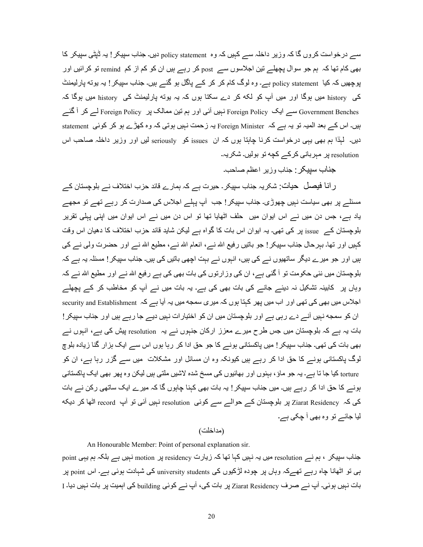سے درخواست کروں گا کہ وزیر داخلہ سے کہیں کہ وہ policy statement دیں۔ جناب سپیکر ! یہ ڈپٹی سپیکر کا بھی کام تھا کہ ہم جو سوال پچھلے تین اجلاسوں سے post کر رہے ہیں ان کو کم از کم remind تو کر ائیں اور پوچھیں کہ کیا policy statement ہے۔ وہ لوگ کام کر کر کے پاگل ہو گئے ہیں۔ جناب سپیکر ! یہ یوته پارلیمنٹ کی history میں ہوگا اور میں آپ کو لکه کر دے سکتا ہوں کہ یہ یوته پارلیمنٹ کی history میں ہوگا کہ Government Benches سے ایک Foreign Policy نہیں آئی اور ہم تین ممالک پر Foreign Policy لے کر آ گئے بیں۔ اس کے بعد المیہ تو یہ ہے کہ Foreign Minister یہ زحمت نہیں ہوتی کہ وہ کھڑے ہو کر کوئی statement دیں۔ لہٰذا ہم بھی یہی درخواست کرنا چاہتا ہوں کہ ان issues کو seriously لیں اور وزیر داخلہ صاحب اس resolution پر مبربانی کرکے کچه تو بولیں۔ شکریہ۔

جناب سيپكر : جناب وزير اعظم صاحب۔

رانا فیصل حیات: شکریہ جناب سپیکر۔ حیرت ہے کہ ہمارے قائد حزب اختلاف نے بلوچستان کے مسئلے پر بھی سیاست نہیں چھوڑی۔ جناب سپیکر ! جب آپ پہلے اجلاس کی صدارت کر رہے تھے تو مجھے یاد ہے، جس دن میں نے اس ایوان میں حلف اٹھایا تھا تو اس دن میں نے اس ایوان میں اپنی پہلی تقریر بلوچستان کے issue پر کی تھی۔ یہ ایوان اس بات کا گواہ ہے لیکن شاید قائد حزب اختلاف کا دھیان اس وقت کہیں اور تھا۔ بہرحال جناب سیپکر ! جو باتیں رفیع اللہ نسر، انعام اللہ نسر، مطیع اللہ نسر اور حضرت ولی نسر کی ہیں اور جو میرے دیگر ساتھیوں نے کی ہیں، انہوں نے بہت اچھی باتیں کی ہیں۔ جناب سپیکر ! مسئلہ یہ ہے کہ بلوچستان میں نئی حکومت تو آ گئی ہے، ان کی وزارتوں کی بات بھی کی ہے رفیع الله نے اور مطیع الله نے کہ وہاں پر کابینہ تشکیل نہ دیئے جانے کی بات بھی کی ہے۔ یہ بات میں نے آپ کو مخاطب کر کے پچھلے اجلاس میں بھی کی تھی اور اب میں پھر کہنا ہوں کہ میری سمجه میں یہ آیا ہے کہ security and Establishment s ان کو سمجه نہیں آنے دے رہی ہے اور بلوچستان میں ان کو اختیار ات نہیں دیے جا رہے ہیں اور جناب سپیکر ! بات یہ ہے کہ بلوچستان میں جس طرح میرے معزز ارکان جنہوں نے یہ resolution پیش کی ہے، انہوں نے بھی بات کی تھی۔ جناب سپیکر ! میں پاکستانی ہونے کا جو حق ادا کر رہا ہوں اس سے ایک ہزار گنا زیادہ بلوچ لوگ پاکستانی ہونے کا حق ادا کر رہے ہیں کیونکہ وہ ان مسائل اور مشکلات میں سے گزر رہا ہے، ان کو torture کیا جا تا ہے۔ یہ جو ماؤ ، بہنوں اور بھائیوں کی مسخ شدہ لاشیں ملتی ہیں لیکن وہ پھر بھی ایک پاکستانی ہونے کا حق ادا کر رہے ہیں۔ میں جناب سپیکر ! یہ بات بھی کہنا چاہوں گا کہ میر ے ایک ساتھی رکن نے بات کی کہ Ziarat Residency پر بلوچستان کے حوالے سے کوئی resolution نبیں آئی تو آپ record اٹھا کر دیکه لیا جائـــر تو وہ بھی أ جک*ی ہـــر*-

# (مداخلت)

An Honourable Member: Point of personal explanation sir.

جناب سپیکر ، ہم نـــر resolution میں یہ نـہیں کہا تھا کہ زیارت residency پر motion نہیں ہــر بلکہ ہم یہی point ہی تو اٹھانا چاہ رہے تھےکہ وہاں پر چودہ لڑکیوں کی university students کی شہادت ہوئی ہے۔ اس point پر بات نہیں ہوئی۔ آپ نے صرف Ziarat Residency پر بات کی، آپ نے کوئی building کی اہمیت پر بات نہیں دیا۔ I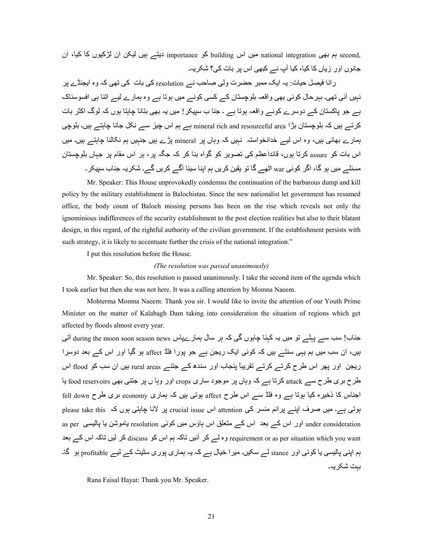,second ہم بھی national integration میں اس building کو importance دیتے ہیں لیکن ان لڑکیوں کا کیا، ان جانوں اور زیاں کا کیا، کیا آپ نے کبھی اس بر بات کی؟ شکریہ۔

ر انا فیصل حیات: یہ ایک ممبر حضرت ولی صاحب نـــر resolution کی بات کی تھی کہ وہ ایجنڈے پر نہیں آئی تھی۔ بہرحال کوئی بھی واقعہ بلوچستان کے کسی کونے میں ہوتا ہے وہ ہمارے لیے اتنا ہی افسوسناک ہے جو پاکستان کے دوسرے کونے واقعہ ہوتا ہے ۔ جنا ب سپیکر ! میں یہ بھی بتانا چاہتا ہوں کہ لوگ اکثر بات کر تے ہیں کہ بلوچستان بڑا mineral rich and resourceful area ہے ہم اس چیز سے نکل جانا چاہتے ہیں۔ بلوچی ہمارے بھائی ہیں، وہ اس لیے خدانخواستہ نہیں کہ وہاں پر mineral پڑے ہیں جنہیں ہم نکالنا چاہتــہ ہیں۔ میں اس بات کو assure کرتا ہوں، قائداعظم کی تصویر کو گواہ بنا کر کہ جگہ بر ، ہر اس مقام پر جہاں بلوچستان مسئلے میں ہو گا، اگر کوئی war اٹھے گا تو یقین کریں ہم اپنا سینا آگے کریں گے۔ شکریہ جناب سیپکر ۔

 Mr. Speaker: This House unprovokedly condemns the continuation of the barbarous dump and kill policy by the military establishment in Balochistan. Since the new nationalist let government has resumed office, the body count of Baloch missing persons has been on the rise which reveals not only the ignominious indifferences of the security establishment to the post election realities but also to their blatant design, in this regard, of the rightful authority of the civilian government. If the establishment persists with such strategy, it is likely to accentuate further the crisis of the national integration."

I put this resolution before the House.

# *(The resolution was passed unanimously)*

 Mr. Speaker: So, this resolution is passed unanimously. I take the second item of the agenda which I took earlier but then she was not here. It was a calling attention by Momna Naeem.

 Mohterma Momna Naeem: Thank you sir. I would like to invite the attention of our Youth Prime Minister on the matter of Kalabagh Dam taking into consideration the situation of regions which get affected by floods almost every year.

جناب! سب ســـر پہلـــر تو میں یہ کہنا چاہوں گی کہ ہر سال ہمار ےپاس during the moon soon season news آتی ہیں، ان سب میں ہم یہی سنتے ہیں کہ کوئی ایک ریجن ہے جو پورا فلڈ affect ہو گیا اور اس کے بعد دوسرا ریجن ً اور پھر اس طرح کرتے کرتے تقریباً پنجاب اور سندھ کے جتنے rural areas بیں ان سب کو flood اس طرح بری طرح سے attack کرتا ہے کہ وہاں پر موجود ساری crops اور وہا ں پر جتنی بھی food reservoirs یا اجناس کا ذخیرہ کیا ہوتا ہے وہ فلڈ سے اس طرح affect ہوتی ہیں کہ ہماری economy بری طرح fell down ہوتی ہے۔ میں صرف اپنے پرائم منسر کی attention اس crucial issue پر لانا چاہتی ہوں کہ please take this as per اور اس کے بعد اس کے متعلق اس ہاؤس میں کوئی resolution یاموشن یا پالیسی as per requirement or as per situation which you want وہ لے کر آئیں تاکہ ہم اس کو discuss کر لیں تاکہ اس کے بعد ہم اپنی پالیسی یا کوئی اور stance لـــر سکیں۔ میرا خیال ہـــر کہ یہ ہماری پوری سٹیٹ کـــر لیـــر profitable ہو گا۔ بہت شکر یہ۔

Rana Faisal Hayat: Thank you Mr. Speaker.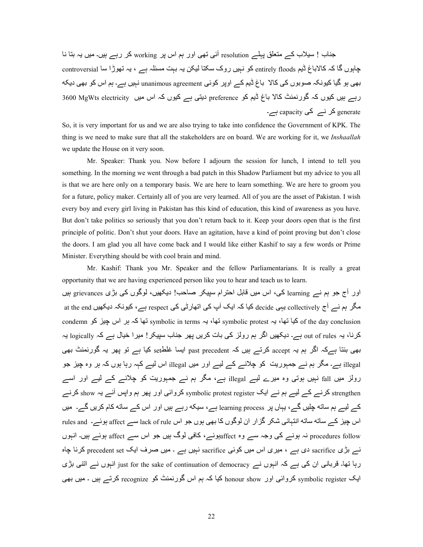جناب ! سیلاب کے متعلق پہلے resolution آئی تھی اور ہم اس پر working کر رہے ہیں۔ میں یہ بتا نا جابوں گا کہ کالاباغ ڈیم entirely floods کو نہیں روک سکتا لیکن یہ بہت مسئلہ ہے ، یہ تھوڑا سا controversial بھی ہو گیا کیونکہ صوبوں کی کالا باغ ڈیم کے اوپر کوئی unanimous agreement نہیں ہے۔ ہم اس کو بھی دیکه رہے ہیں کیوں کہ گورنمنٹ کالا باغ ڈیم کو preference دیتی ہے کیوں کہ اس میں 3600 MgWts electricity ( enerate کر نے capacity ہے۔

So, it is very important for us and we are also trying to take into confidence the Government of KPK. The thing is we need to make sure that all the stakeholders are on board. We are working for it, we *Inshaallah* we update the House on it very soon.

 Mr. Speaker: Thank you. Now before I adjourn the session for lunch, I intend to tell you something. In the morning we went through a bad patch in this Shadow Parliament but my advice to you all is that we are here only on a temporary basis. We are here to learn something. We are here to groom you for a future, policy maker. Certainly all of you are very learned. All of you are the asset of Pakistan. I wish every boy and every girl living in Pakistan has this kind of education, this kind of awareness as you have. But don't take politics so seriously that you don't return back to it. Keep your doors open that is the first principle of politic. Don't shut your doors. Have an agitation, have a kind of point proving but don't close the doors. I am glad you all have come back and I would like either Kashif to say a few words or Prime Minister. Everything should be with cool brain and mind.

 Mr. Kashif: Thank you Mr. Speaker and the fellow Parliamentarians. It is really a great opportunity that we are having experienced person like you to hear and teach us to learn. اور آج جو ہم نے learning کی، اس میں قابل احترام سپیکر صاحب! دیکھیں، لوگوں کی بڑی grievances ہیں مگر ہم نے آج collectively یہی decide کیا کہ ایک آپ کی اتھارٹی کی respect ہے، کیونکہ دیکھیں at the end condemn کیا تھا، یہ symbolic in terms تھا، ہے symbolic protest تھا کہ ہر اس چیز کو condemn کرنا، یہ out of rules ہے۔ دیکھیں اگر ہم رولز کی بات کریں پھر جناب سپیکر ! میر ! خیال ہے کہ logically ہہ بھی بنتا ہےکہ اگر ہم یہ accept کرتے ہیں کہ past precedent ایسا غلط $_{\rm est}$  کیا ہے تو پھر یہ گورنمنٹ بھی illegal ہے۔ مگر ہم نے جمبوریت کو چلانے کے لیے اور میں illegal اس لیے کہہ رہا ہوں کہ ہر وہ چیز جو رولز میں fall نہیں ہوتی وہ میرے لیے illegal ہے، مگر ہم نے جمہوریت کو چلانے کے لیے اور اسے strengthen کرنے کے لیے ہم نے ایک symbolic protest register کروائی اور پھر ہم واپس آئے یہ show کرنے کے لیے ہم ساته چلیں گے، یہاں پر learning process ہے، سیکه رہے ہیں اور اس کے ساته کام کریں گے۔ میں اس چیز کے ساته ساته انتہائی شکر گزار ان لوگوں کا بھی بوں جو اس lack of rule سے affect بوئے۔ rules and procedures follow نہ ہونے کی وجہ سے وہ affectہوئے، کافی لوگ ہیں جو اس سے affect ہوئے ہیں۔ انہوں نہ بڑی sacrifice دی ہے ، میری اس میں کوئی sacrifice نہیں ہے ۔ میں صرف ایک precedent set کرنا چاہ رہا تھا۔ قربانی ان کی ہے کہ انہوں نے just for the sake of continuation of democracy انہوں نے اتنی بڑی ایک symbolic register کروائی اور honour show کیا کہ ہم اس گورنمنٹ کو recognize کرتے ہیں ۔ میں بھی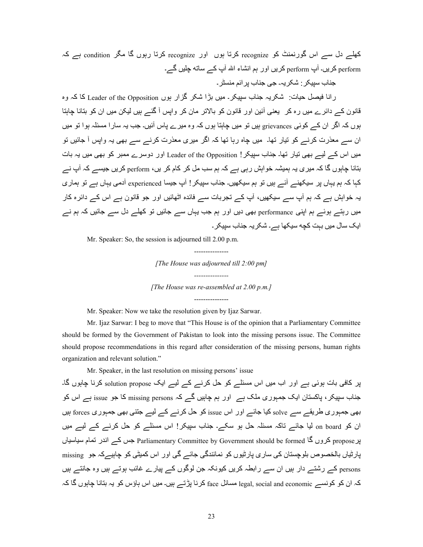کھلے دل سے اس گورنمنٹ کو recognize کرتا ہوں اور recognize کرتا رہوں گا مگر condition ہے کہ perform کریں۔ آپ perform کریں اور ہم انشاء اللہ آپ کے ساته چلیں گے۔

جناب سبیکر : شکر یہ۔ جے جناب بر ائم منسٹر ۔

رانا فیصل حیات: شکر یہ جناب سپیکر ـ میں بڑا شکر گزار ہوں Leader of the Opposition کا کہ وہ قانون کے دائرے میں رہ کر ً یعنی أئین اور قانون کو بالاتر مان کر واپس أ گئے ہیں لیکن میں ان کو بتانا چاہتا ہوں کہ اگر ان کے کوئی grievances ہیں تو میں جاہتا ہوں کہ وہ میرے پاس آئیں۔ جب یہ سار ا مسئلہ ہو ا تو میں ان سے معذرت كرنے كو نيار تھا۔ ميں جاہ رہا تھا كہ اگر ميري معذرت كرنے سے بھى يہ واپس أ جائيں تو میں اس کے لیے بھی نیار تھا۔ جناب سیپکر ! Leader of the Opposition اور دوسرے ممبر کو بھی میں یہ بات بتانا چاہوں گا کہ میری یہ ہمیشہ خو ابش رہی ہے کہ ہم سب مل کر ِ کام کر ایں، perform کر یں جیسے کہ آپ نے کہا کہ ہم یہاں پر سیکھنے آئے ہیں تو ہم سیکھیں۔ جناب سیپکر ! آپ جیسا experienced آدمی یہاں ہے تو ہماری یہ خواہش ہے کہ ہم آپ سے سیکھیں، آپ کے تجربات سے فائدہ اٹھائیں اور جو قانون ہے اس کے دائرہ کار میں رہتے ہوئے ہم اپنی performance بھی دیں اور ہم جب یہاں سے جائیں تو کھلے دل سے جائیں کہ ہم نے ایک سال میں بہت کچه سیکھا ہے۔ شکر یہ جناب سبیکر ۔

Mr. Speaker: So, the session is adjourned till 2.00 p.m.

--------------- *[The House was adjourned till 2:00 pm] ---------------* 

*[The House was re-assembled at 2.00 p.m.]*  ---------------

Mr. Speaker: Now we take the resolution given by Ijaz Sarwar.

 Mr. Ijaz Sarwar: I beg to move that "This House is of the opinion that a Parliamentary Committee should be formed by the Government of Pakistan to look into the missing persons issue. The Committee should propose recommendations in this regard after consideration of the missing persons, human rights organization and relevant solution."

Mr. Speaker, in the last resolution on missing persons' issue

پر کافی بات ہوئی ہے اور اب میں اس مسئلے کو حل کرنے کے لیے ایک solution propose کرنا چاہوں گا۔ جناب سپیکر ، پاکستان ایک جمہوری ملک ہے اور ہم چاہیں گے کہ missing persons کا جو issue ہے اس کو بھی جمہوری طریقے سے solve کیا جائے اور اس issue کو حل کرنے کے لیے جتنی بھی جمہوری forces ہیں ان کو on board لیا جائے تاکہ مسئلہ حل ہو سکے۔ جناب سپیکر! اس مسئلے کو حل کرنے کے لیے میں پر propose کروں گا Parliamentary Committee by Government should be formed جس کے اندر نمام سیاسیاں پارٹیاں بالخصوص بلوچستان کی ساری پارٹیوں کو نمائندگی جائے گی اور اس کمیٹی کو چاہیےکہ جو missing persons کے رشتے دار ہیں ان سے رابطہ کریں کیونکہ جن لوگوں کے بیارے غائب ہوتے ہیں وہ جانتے ہیں کہ ان کو کونسے legal, social and economic مسائل face کرنا پڑتے ہیں۔ میں اس ہاؤس کو یہ بتانا چاہوں گا کہ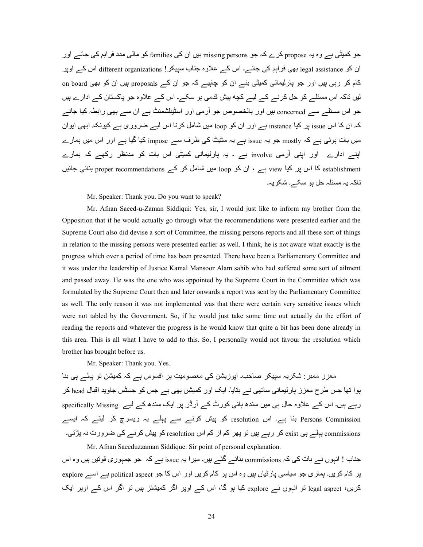جو کمیٹی ہے وہ یہ propose کرے کہ جو missing persons ہیں ان کی families کو مالی مدد فر اہم کی جائے اور ان کو legal assistance بھی فراہم کی جائے۔ اس کے علاوہ جناب سپیکر ! different organizations اس کے اوپر کام کر رہی ہیں اور جو بارلیمانی کمیٹی بنے ان کو چاہیے کہ جو ان کے proposals ہیں ان کو بھی on board لیں تاکہ اس مسئلے کو حل کرنے کے لیے کچه بیش قدمی ہو سکے۔ اس کے علاوہ جو پاکستان کے ادارے ہیں جو اس مسئلے سے concerned ہیں اور بالخصوص جو آرمی اور اسٹیبلشمنٹ ہے ان سے بھی رابطہ کیا جائے کہ ان کا اس issue ہی کیا instance ہے اور ان کو loop میں شامل کرنا اس لیے ضروری ہے کیونکہ ابھی ایوان میں بات ہوئی ہے کہ mostly جو یہ issue ہے بہ سٹیٹ کی طرف سے impose کیا گیا ہے اور اس میں ہمارے اپنے ادارے اور اپنی آرمی involve ہے ۔ یہ پارلیمانی کمیٹی اس بات کو مدنظر رکھے کہ ہمارے establishment کا اس پر کیا view ہے ، ان کو loop میں شامل کر کے proper recommendations بنائی جائیں تاکہ یہ مسئلہ حل ہو سکے۔ شکر یہ۔

Mr. Speaker: Thank you. Do you want to speak?

 Mr. Afnan Saeed-u-Zaman Siddiqui: Yes, sir, I would just like to inform my brother from the Opposition that if he would actually go through what the recommendations were presented earlier and the Supreme Court also did devise a sort of Committee, the missing persons reports and all these sort of things in relation to the missing persons were presented earlier as well. I think, he is not aware what exactly is the progress which over a period of time has been presented. There have been a Parliamentary Committee and it was under the leadership of Justice Kamal Mansoor Alam sahib who had suffered some sort of ailment and passed away. He was the one who was appointed by the Supreme Court in the Committee which was formulated by the Supreme Court then and later onwards a report was sent by the Parliamentary Committee as well. The only reason it was not implemented was that there were certain very sensitive issues which were not tabled by the Government. So, if he would just take some time out actually do the effort of reading the reports and whatever the progress is he would know that quite a bit has been done already in this area. This is all what I have to add to this. So, I personally would not favour the resolution which brother has brought before us.

Mr. Speaker: Thank you. Yes.

معزز ممبر : شکریہ سپیکر صاحب۔ اپوزیشن کی معصومیت پر افسوس ہے کہ کمیشن تو پہلے ہی بنا بوا تھا جس طرح معزز پارلیمانی ساتھی نے بتایا۔ ایک اور کمیشن بھی ہے جس کو جسٹس جاوید اقبال head کر رہے ہیں۔ اس کے علاوہ حال ہی میں سندھ ہائی کورٹ کے آرڈر پر ایک سندھ کے لیے specifically Missing Persons Commission بنا ہے۔ اس resolution کو پیش کرنے سے پہلے یہ ریسرچ کر لیتے کہ ایسے commissions پہلے ہی exist کر رہے ہیں تو پھر کم از کم اس resolution کو پیش کرنے کی ضرورت نہ پڑتی۔ Mr. Afnan Saeeduzzaman Siddique: Sir point of personal explanation.

جناب ! انہوں نـــر بات کی کہ commissions بنائــے گئــے ہیں۔ میر ا یہ issue ہے کہ جو جمہوری قوتیں ہیں وہ اس یر کام کریں۔ ہماری جو سیاسی پارٹیاں ہیں وہ اس پر کام کریں اور اس کا جو political aspect ہے اسے explore کریں، legal aspect تو انہوں نے explore کیا ہو گا، اس کے اوپر اگر کمیشنز ہیں تو اگر اس کے اوپر ایک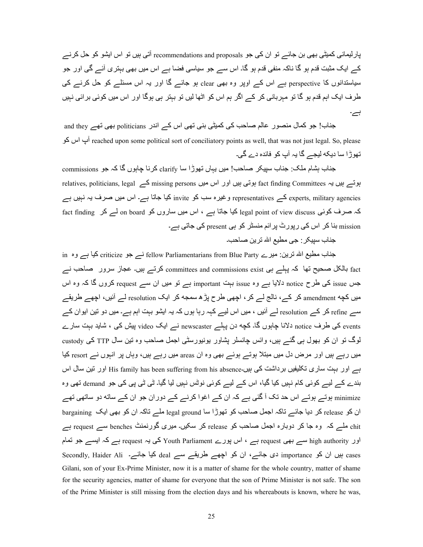پارلیمانی کمیٹی بھی بن جائے تو ان کی جو recommendations and proposals آتی ہیں تو اس ایشو کو حل کرنے کے ایک مثبت قدم ہو گا ناکہ منفی قدم ہو گا۔ اس سے جو سیاسی فضا ہے اس میں بھی بہتری آئے گی اور جو سیاستدانوں کا perspective ہے اس کے اوپر وہ بھی clear ہو جائے گا اور یہ اس مسئلے کو حل کرنے کی طر ف ایک اہم قدم ہو گا تو مہر بانی کر کے اگر ہم اس کو اٹھا لیں تو بہتر ہی ہوگا اور اس میں کوئی بر ائی نہیں ہے۔

جناب! جو کمال منصور عالم صاحب کی کمیٹی بنی تھی اس کے اندر politicians بھی تھے and they \Z اس پi reached upon some political sort of conciliatory points as well, that was not just legal. So, please تھوڑا سا دیکه لیجے گا پہ آپ کو فائدہ دے گی۔

جناب بشام ملک: جناب سیپکر \_صاحب! میں یہاں تھوڑا سا clarify کرنا جابوں گا کہ جو \_commissions ہوتے ہیں یہ fact finding Committees ہوتی ہیں اور اس میں missing persons کے relatives, politicians, legal experts, military agencies کے representatives و غیرہ سب کو invite کیا جاتا ہے۔ اس میں صرف یہ نہیں ہے  $fact$  finding کہ صرف کوئی legal point of view discuss کیا جاتا ہے ، اس میں ساروں کو on board لے کر mission بنا کر اس کی رپورٹ پر ائم منسٹر کو ہی present کی جاتی ہے۔

جناب سببکر : جے مطبع اللہ تر بن صباحب۔

خاب مطبع اللہ ترین: میر ے fellow Parliamentarians from Blue Party کیا ہے وہ in فرین ت fact بالکل صحیح تھا کہ پہلے ہی committees and commissions exist کرتے ہیں۔ عجاز سرور ً صاحب نسر جس issue کی طرح notice دلایا ہے وہ issue بہت important ہے تو میں ان سے request کروں گا کہ وہ اس میں کچه amendment کر کے، نالج لے کر ، اچھی طرح پڑ ہ سمجه کر ایک resolution لے آئیں، اچھے طریقے سے refine کر کے resolution لے آئیں ، میں اس لیے کہہ رہا ہوں کہ یہ ایشو بہت اہم ہے۔ میں دو نین ایو ان کے events کی طرف notice دلانا جابوں گا۔ کچه دن پہلے newscaster نے ایک video پیش کی ، شاید بہت سارے لوگ تو ان کو بھول ہے گئے ہیں، وائس چانسلر بشاور یونیورسٹی اجمل صاحب وہ تین سال TTP کی custody میں رہے ہیں اور مرض دل میں مبتلا ہوتے ہوئے بھی وہ ان areas میں رہے ہیں، وہاں پر انبوں نے resort کیا ہے اور بہت ساری تکلیفیں برداشت کی ہیں۔His family has been suffering from his absence اور نین سال اس بندے کے لیے کوئی کام نہیں کیا گیا، اس کے لیے کوئی نوٹس نہیں لیا گیا۔ ٹی ٹی پی کی جو demand تھی وہ minimize ہوتے ہوتے اس حد تک آ گئی ہے کہ ان کے اغوا کرنے کے دوران جو ان کے ساته دو ساتھی تھے ان کو release کر دیا جائے تاکہ اجمل صاحب کو تھوڑا سا legal ground ملے تاکہ ان کو بھی ایک bargaining chit ملے کہ وہ جا کر دوبارہ اجمل صاحب کو release کر سکیں۔ میری گورنمنٹ benches سے request ہے اور high authority ہے ، اس پورے Youth Parliament کی یہ request ہے کہ ایسے جو تمام secondly, Haider Ali ۔کیا جائے۔ deal کیا جائے۔ secondly, Haider Ali این صد عبد ان کو Gilani, son of your Ex-Prime Minister, now it is a matter of shame for the whole country, matter of shame for the security agencies, matter of shame for everyone that the son of Prime Minister is not safe. The son of the Prime Minister is still missing from the election days and his whereabouts is known, where he was,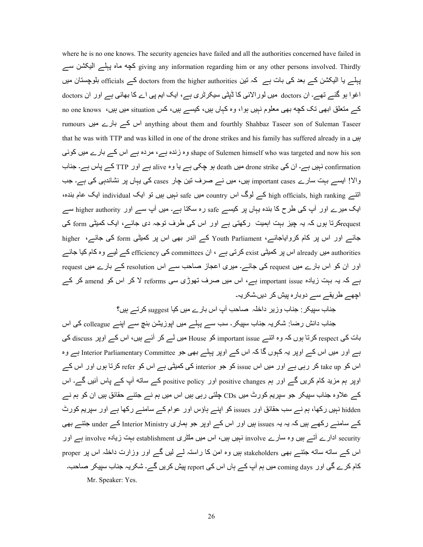where he is no one knows. The security agencies have failed and all the authorities concerned have failed in ے8 R56Qا ےJہL ہ:}| @Z giving any information regarding him or any other persons involved. Thirdly پہلے یا الیکشن کے بعد کی بات ہے کہ تین doctors from the higher authorities ہلوچستان میں ہ اغوا ہو گئے تھے۔ ان doctors میں لورالائی کا ڈپٹی سیکرٹری ہے، ایک ایم پی اے کا بھائی ہے اور ان doctors کے متعلق ابھی تک کچه بھی معلوم نہیں ہوا، وہ کہاں ہیں، کیسے ہیں، کس situation میں ہیں، mo one knows o rumours اس کے بارے میں anything about them and fourthly Shahbaz Taseer son of Suleman Taseer that he was with TTP and was killed in one of the drone strikes and his family has suffered already in a بیں وہ زندہ ہے، مردہ ہے اس کے بارے میں کوئی shape of Sulemen himself who was targeted and now his son confirmation نہیں ہے۔ ان کی drone strike میں death ہو چکی ہے یا وہ alive ہے اور TTP کے پاس ہے۔ جناب والا! ایسے بہت سارے important cases بیں، میں نے صرف تین چار cases کی یہاں پر نشاندہی کی ہے۔ جب اتنے high officials, high ranking کے لوگ اس country میں safe نہیں ہیں تو ایک Individual ایک عام بندہ، ایک میرے اور آپ کی طرح کا بندہ یہاں پر کیسے safe رہ سکتا ہے۔ میں آپ سے اور higher authority سے requestکرتا ہوں کہ یہ چیز بہت اہمیت رکھتی ہے اور اس کی طرف توجہ دی جائے، ایک کمیٹی form کی جائے اور اس پر کام کروایاجائے، Youth Parliament کے اندر بھی اس پر کمیٹی form کی جائسے، higher authorities میں already اس پر کمیٹی exist کرتی ہے ، ان committees کے efficiency کے لیے وہ کام کیا جائے اور ان کو اس بارے میں request کی جائے۔ میری اعجاز صاحب سے اس resolution کے بارے میں request ہے کہ یہ بہت زیادہ important issue ہے، اس میں صرف تھوڑی سی reforms لا کر اس کو amend کر کے اچھے طریقے سے دوبارہ پیش کر دیں شکریہ۔

جناب سیپکر : جناب وزیر ِ داخلہ ِ صاحب آپ اس بارے میں کیا suggest کرتے ہیں؟

جناب دانش رضا: شکریہ جناب سپیکر۔ سب سے پہلے میں اپوزیشن بنچ سے اپنے colleague کی اس بات کی respect کرتا ہوں کہ وہ اتنے important issue کو House میں لے کر آئے ہیں، اس کے اوپر discuss کی ہے اور میں اس کے اوپر یہ کہوں گا کہ اس کے اوپر پہلے بھی جو Interior Parliamentary Committee ہے وہ اس کو take up کر رہی ہے اور میں اس issue کو جو interior کی کمیٹی ہے اس کو refer کرتا ہوں اور اس کے اوپر ہم مزید کام کریں گے اور ہم positive changes اور positive policy کے ساته آپ کے پاس آئیں گے۔ اس کے علاوہ جناب سپیکر جو سپریم کورٹ میں CDs چلتی رہی ہیں اس میں ہم نے جتنے حقائق ہیں ان کو ہم نے hidden نہیں رکھا، ہم نے سب حقائق اور issues کو اپنے ہاؤس اور عوام کے سامنے رکھا ہے اور سپریم کورٹ کے سامنے رکھے ہیں کہ یہ یہ issues ہیں اور اس کے اوپر جو ہماری Interior Ministry کے under جتنے بھی security ادارے آتے ہیں وہ سارے involve نہیں ہیں، اس میں ملٹری establishment بہت زیادہ involve ہے اور اس کے ساته ساته جتنے بھی stakeholders بیں وہ امن کا راستہ لے لیں گے اور وزارت داخلہ اس پر proper کام کرے گی اور coming days میں ہم آپ کے رہاں اس کی report پیش کریں گے۔ شکریہ جناب سپیکر صاحب۔ Mr. Speaker: Yes.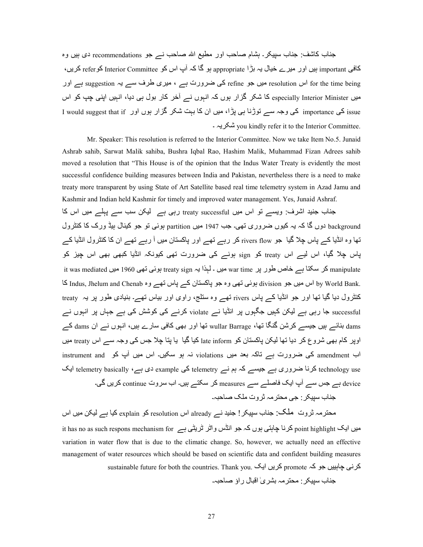جناب کاشف: جناب سپیکر۔ ہشام صاحب اور مطیع اللہ صاحب نے جو recommendations دی ہیں وہ کافی important بیں اور میرے خیال یہ بڑا appropriate ہو گا کہ آب اس کو Interior Committee کریں، for the time being اس resolution میں جو refine کی ضرورت ہے ، میری طرف سے یہ suggestion ہے اور میں especially Interior Minister کا شکر گزار ہوں کہ انہوں نے آخر کار بول ہی دیا، انہیں اپنی چپ کو اس I would suggest that if کی وجہ سے توڑنا ہی پڑا، میں ان کا بہت شکر گزار ہوں اور I would suggest that if ۔ ہE45p you kindly refer it to the Interior Committee.

 Mr. Speaker: This resolution is referred to the Interior Committee. Now we take Item No.5. Junaid Ashrab sahib, Sarwat Malik sahiba, Bushra Iqbal Rao, Hashim Malik, Muhammad Fizan Adrees sahib moved a resolution that "This House is of the opinion that the Indus Water Treaty is evidently the most successful confidence building measures between India and Pakistan, nevertheless there is a need to make treaty more transparent by using State of Art Satellite based real time telemetry system in Azad Jamu and Kashmir and Indian held Kashmir for timely and improved water management. Yes, Junaid Ashraf. جناب جنید اشرف: ویسے تو اس میں treaty successful رہی ہے کیکن سب سے پہلے میں اس کا background دوں گا کہ یہ کیوں ضروری تھی۔ جب 1947 میں partition ہوئی تو جو کینال ہیڈ ورک کا کنٹرول تھا وہ انڈیا کے پاس چلا گیا جو rivers flow کر رہے تھے اور پاکستان میں آ رہے تھے ان کا کنٹرول انڈیا کے پاس چلا گیا، اس لیے اس treaty کو sign ہونے کی ضرورت تھی کیونکہ انڈیا کبھی بھی اس جیز کو it was mediated کر سکتا ہے خاص طور پر war time میں ۔ لہذا یہ treaty sign ہوئی تھی 1960 میں it was mediated .J اس میں جو division ہوئی تھی وہ جو پاکستان کے پاس تھے وہ Indus, Jhelum and Chenab کا Indus, کا by World Bank کنٹرول دیا گیا تھا اور جو انڈیا کہ باس rivers تھہ وہ سنلج، راوی اور بیاس تھہ۔ بنیادی طور پر یہ treaty successful جا رہی ہے لیکن کبیں جگہوں پر انڈیا نے violate کرنے کی کوشش کی ہے جہاں پر انہوں نے dams بنائس بیں جیسے کرشن گنگا تھا، wullar Barrage نیا اور بھی کافی سارے ہیں، انہوں نسے ان dams کے اوپر کام بھی شروع کر دیا تھا لیکن پاکستان کو late inform کیا گیا یا پتا چلا جس کی وجہ سے اس treaty میں instrument and کی ضرورت ہے تاکہ بعد میں violations نہ ہو سکیں۔ اس میں آپ کو instrument and technology use کرنا ضروری ہے جیسے کہ ہم نے example کی example دی ہے، elemetry basically ایک device ہے جس سے آپ ایک فاصلے سے measures کر سکتے ہیں۔ اب سروت continue کریں گی۔ جناب سبیکر : جے محتر مہ ٹر وت ملک صاحبہ۔

محترمہ ثروت ملک: جناب سپیکر ! جنید نے already اس resolution کو explain کیا ہے لیکن میں اس it has no as such respons mechanism for کرنا چاہتی ہوں کہ جو انڈس واٹر ٹریٹی ہے  $\rm point$  highlight کرنا ہ variation in water flow that is due to the climatic change. So, however, we actually need an effective management of water resources which should be based on scientific data and confident building measures sustainable future for both the countries. Thank you. كريں ايک promote کريں ايک

>;:ب :45678 @m]4@ہ V4nٰ ا~<:ل راؤ :P>ہ۔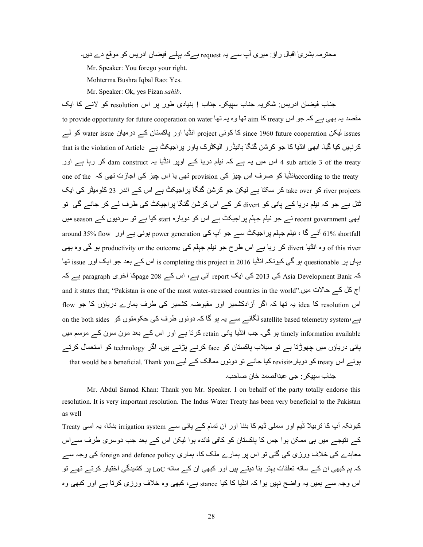محترمہ بشریٰ اقبال راؤ: میری آپ سے یہ request ہےکہ پہلے فیضان ادریس کو موقع دے دیں۔

Mr. Speaker: You forego your right.

Mohterma Bushra Iqbal Rao: Yes.

Mr. Speaker: Ok, yes Fizan *sahib*.

جناب فیضان ادریس: شکریہ جناب سپیکر۔ جناب ! بنیادی طور پر اس resolution کو لانس کا ایک to provide opportunity for future cooperation on water 'تھا وہ یہ تھا aim نکا ہوہ ہے کہ جو اس ہے کہ ہو اس ہے ک issues لیکن issue rissue issue کا کوئی project انڈیا اور پاکستان کے درمیان water issue کو لے کرنبیں کیا گیا۔ ابھی انڈیا کا جو کرشن گنگا ہائیڈرو الیکٹرک پاور پراجیکٹ ہے that is the violation of Article 4 sub article 3 of the treaty اس میں یہ ہے کہ نیلم دریا کے اوپر انڈیا یہ dam construct کر رہا ہے اور one of the انڈیا کو صرف اس جیز کی provision تھی یا اس جیز کی اجازت تھی کہ one of the  $\frac{1}{\Delta}$  : river projects کو take over کر سکتا ہے لیکن جو کرشن گنگا پراجیکٹ ہے اس کے اندر 23 کلومیٹر کی ایک ٹنل ہے جو کہ نیلم در یا کے بانی کو divert کر کے اس کر شن گنگا پر اجیکٹ کی طرف لے کر جائے گی تو ابھی recent government نسر جو نیلم جہلم پر اجیکٹ ہس اس کو دوبارہ start کیا ہے تو سردیوں کے season میں around 35% flow اور ہوتی ہے اور around 35% flow اور میں ہے اور around 35% flow of this river وہ انڈیا divert کر رہا ہے اس طرح جو نیلم جہلم کی productivity or the outcome ہو گی وہ بھی یہاں پر questionable ہو گی کیونکہ انڈیا is completing this project in 2016 اس کے بعد جو ایک اور issue نہا کہ Asia Development Bank کی 2013 کی ایک report آئی ہے، اس کے 208 page 208 آخری paragraph ہے کہ and it states that; "Pakistan is one of the most water-stressed countries in the world".نح کل کے حالات میں اس resolution کا idea یہ تھا کہ اگر آزادکشمیر اور مقبوضہ کشمیر کی طرف ہمارے دریاؤں کا جو flow on the both sides کانے سے یہ ہو گا کہ دونوں طرف کی حکومتوں کو on the both sides ہے timely information available ہو گی۔ جب انڈیا پانی retain کرتا ہے اور اس کے بعد مون سون کے موسم میں یانی دریاؤں میں جھوڑتا ہے تو سیلاب پاکستان کو face کرنے بڑتے ہیں۔ اگر technology کو استعمال کرتے that would be a beneficial. Thank you.ہوئسے اس وrevisit کو دوبار متاکستان کے لیے that would be a beneficial. Thank جناب سيپكر : جي عبدالصمد خان صاحب۔

 Mr. Abdul Samad Khan: Thank you Mr. Speaker. I on behalf of the party totally endorse this resolution. It is very important resolution. The Indus Water Treaty has been very beneficial to the Pakistan as well

کیونکہ آپ کا نزبیلا ڈیم اور سملی ڈیم کا بننا اور ان نمام کے پانی سے irrigation system بنانا، یہ اسی Treaty کے نتیجے میں ہی ممکن ہوا جس کا پاکستان کو کافی فائدہ ہوا لیکن اس کے بعد جب دوسری طرف سےاس معاہدے کی خلاف ورزی کی گئی تو اس پر ہمارے ملک کا، ہماری foreign and defence policy کی وجہ سے کہ ہم کبھی ان کے ساته تعلقات ببتر بنا دیتے ہیں اور کبھی ان کے ساته LoC پر کشیدگی اختیار کرتے تھے تو اس وجہ سے ہمیں یہ واضح نہیں ہوا کہ انڈیا کا کیا stance ہے، کبھی وہ خلاف ورزی کرتا ہے اور کبھی وہ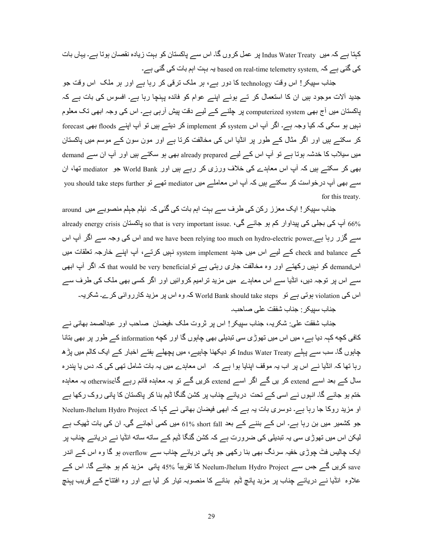کہتا ہے کہ میں Indus Water Treaty پر عمل کروں گا۔ اس سے پاکستان کو بہت زیادہ نقصان ہوتا ہے۔ یہاں بات کی گئی ہے کہ based on real-time telemetry system, کے گئی ہے۔

جناب سپیکر! اس وقت technology کا دور ہے، ہر ملک ترقی کر رہا ہے اور ہر ملک اس وقت جو جدید آلات موجود ہیں ان کا استعمال کر تے ہوئے اپنے عوام کو فائدہ پہنچا رہا ہے۔ افسوس کی بات ہے کہ پاکستان میں آج بھی computerized system پر چلنے کے لیے دفت پیش آرہی ہے۔ اس کی وجہ ابھی تک معلوم نہیں ہو سکی کہ کیا وجہ ہے۔ اگر آپ اس system کو implement کر دیتے ہیں تو آپ اپنے floods بھی forecast کر سکتے ہیں اور اگر مثال کے طور پر انڈیا اس کی مخالفت کرتا ہے اور مون سون کے موسم میں پاکستان میں سیلاب کا خدشہ ہوتا ہے تو آپ اس کے لیے already prepared بھی ہو سکتے ہیں اور آپ ان سے demand بھی کر سکتے ہیں کہ آپ اس معاہدے کی خلاف ورزی کر رہے ہیں اور World Bank جو mediator تھا، ان you should take steps further تھے تو mediator تھی اپ درخواست کر سکتے ہیں کہ آپ درخواست کر سکتے ہیں کہ آپ اس معاملے for this treaty.

جناب سپیکر ! ایک معزز رکن کی طرف سے بہت اہم بات کی گئی کہ نیلم جہلم منصوبے میں around already energy crisis ني کی بجلی کی پيداوار کم ہو جائے گی، so that is very important issue. ني کی پيداوار کم ہو سے گزر رہا ہے and we have been relying too much on hydro-electric power,ہاس کی وجہ سے اگر آپ اس کہ check and balance کہ لیے اس میں جدید system implement نبیں کرتے، آپ اپنے خارجہ تعلقات میں اسdemand کو نہیں رکھتے اور وہ مخالفت جاری رہتی ہے توemand be very beneficial کہ اگر آپ ابھی سے اس پر توجہ دیں، انڈیا سے اس معاہدے میں مزید تر امیم کروائیں اور اگر کسی بھی ملک کی طرف سے اس کی violation ہوتی ہے تو World Bank should take steps کہ وہ اس پر مزید کارروائی کرے۔ شکریہ۔

جناب سبيكر : جناب شفقت على صاحب۔

جناب شفقت علی: شکریہ، جناب سپیکر ! اس پر ثروت ملک ،فیضان صاحب اور عبدالصمد بھائی نـــر کافی کچه کہِہ دیا ہے ، میں اس میں تھوڑی سی تبدیلی بھی چاہوں گا اور کچه information کے طور پر بھی بتانا چاہوں گا۔ سب سے پہلے Indus Water Treaty کو دیکھنا چاہیے، میں پچھلے ہفتے اخبار کے ایک کالم میں پڑھ رہا تھا کہ انڈیا نے اس پر اب یہ موقف اپنایا ہوا ہے کہ اس معاہدے میں یہ بات شامل تھی کی کہ دس یا پندرہ سال کے بعد اسے extend کر یں گے اگر اسے extend کریں گے تو یہ معاہدہ قائم رہے گاotherwise یہ معاہدہ ختم ہو جائے گا۔ انبوں نے اسی کے تحت دریائے چناب پر کشن گنگا ڈیم بنا کر پاکستان کا پانی روک رکھا ہے او مزید روکا جا رہا ہے۔ دوسری بات یہ ہے کہ ابھی فیضان بھائی نے کہا کہ Neelum-Jhelum Hydro Project جو کشمیر میں بن رہا ہے۔ اس کے بننے کے بعد short fall %1% میں کمی آجائے گی۔ ان کی بات ٹھیک ہے لیکن اس میں تھوڑی سی یہ تبدیلی کی ضرورت ہے کہ کشن گنگا ٹیم کے ساته ساته انڈیا نے دریائے چناب پر ایک چالیس فٹ چوڑی خفیہ سرنگ بھی بنا رکھی جو پانی دریائے جناب سے overflow ہو گا وہ اس کے اندر ave کریں گے جس سے Neelum-Jhelum Hydro Project کا تقریباً 45% پانی مزید کم ہو جائے گا۔ اس کے علاوہ انڈیا نـــر دریائـــر چناب پر مزید پانچ ڈیم بنانـــر کا منصوبہ تیار کر لیا ہـــر اور وہ افتتاح کـــر قریب پہنچ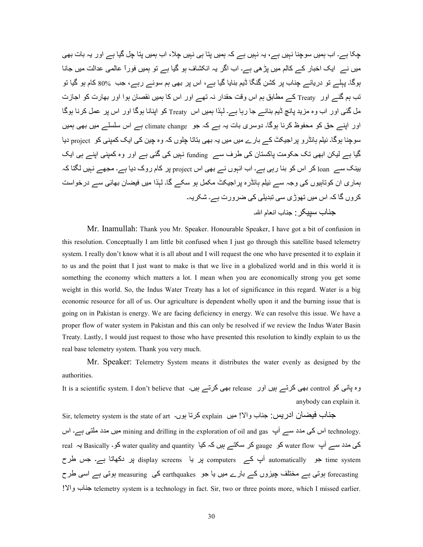چکا ہے۔ اب ہمیں سوچنا نہیں ہے ، یہ نہیں ہے کہ ہمیں پتا ہی نہیں چلا ،اب ہمیں پتا چل گیا ہے اور یہ بات بھی میں نے ایک اخبار کے کالم میں بڑ ھی ہے۔ اب اگر یہ انکشاف ہو گیا ہے تو ہمیں فوراً عالمی عدالت میں جانا ہوگا۔ پہلے تو دریائے چناب پر کشن گنگا ڈیم بنایا گیا ہے، اس پر بھی ہم سوئے رہے، جب %80 کام ہو گیا تو تب ہم گئے اور Treaty کے مطابق ہم اس وقت حقدار نہ تھے اور اس کا ہمیں نقصان ہوا اور بھارت کو اجازت مل گئبی اور اب وہ مزید بانچ ڈیم بنانے جا رہا ہے۔ لہٰذا ہمیں اس Treaty کو ابنانا ہوگا اور اس پر عمل کرنا ہوگا اور اپنے حق کو محفوظ کرنا ہوگا۔ دوسری بات یہ ہے کہ جو climate change ہے اس سلسلے میں بھی ہمیں سوچنا ہوگا۔ نیلم ہائڈرو پر اجیکٹ کے بارے میں میں یہ بھی بتاتا چلوں کہ وہ چین کی ایک کمپنی کو project دیا گیا ہے لیکن ابھی تک حکومت پاکستان کی طرف سے funding نہیں کی گئی ہے اور وہ کمپنی اپنے ہی ایک بینک سے loan کر اس کو بنا رہی ہے۔ اب انہوں نے بھی اس project پر کام روک دیا ہے۔ مجھے نہیں لگتا کہ ہماری ان کوتابیوں کی وجہ سے نیلم ہائڈرہ پر اجیکٹ مکمل ہو سکے گا۔ لہٰذا میں فیضان بھائی سے درخواست کروں گا کہ اس میں تھوڑی سی تبدیلی کی ضرورت ہے۔ شکریہ۔ جناب سببکر : جناب انعام الله۔

Mr. Inamullah: Thank you Mr. Speaker. Honourable Speaker, I have got a bit of confusion in this resolution. Conceptually I am little bit confused when I just go through this satellite based telemetry system. I really don't know what it is all about and I will request the one who have presented it to explain it to us and the point that I just want to make is that we live in a globalized world and in this world it is something the economy which matters a lot. I mean when you are economically strong you get some weight in this world. So, the Indus Water Treaty has a lot of significance in this regard. Water is a big economic resource for all of us. Our agriculture is dependent wholly upon it and the burning issue that is going on in Pakistan is energy. We are facing deficiency in energy. We can resolve this issue. We have a proper flow of water system in Pakistan and this can only be resolved if we review the Indus Water Basin Treaty. Lastly, I would just request to those who have presented this resolution to kindly explain to us the real base telemetry system. Thank you very much.

Mr. Speaker: Telemetry System means it distributes the water evenly as designed by the authorities.

وہ پانی کو control بھی کرتے ہیں اور release بھی کرتے ہیں۔ It is a scientific system. I don't believe that anybody can explain it.

Sir, telemetry system is the state of art -كرتا ہوں . والا! ميں explain كرتا ندريس: جناب والا! ميں اس کی مدد سے آپ mining and drilling in the exploration of oil and gas اس کی مدد سنے آپ technology. real ہE Basically کی مدد سے آپ water flow کو gauge کر سکتے ہیں کہ کیا water quality and quantity ہے time system جو automatically آپ کے computers پر دا display screens پر دکھاتا ہے۔ جس طرح forecasting ہوتی ہے مختلف چیزوں کے بارے میں یا جو earthquakes کی measuring ہوتی ہے اسی طرح !وا ب: >;telemetry system is a technology in fact. Sir, two or three points more, which I missed earlier.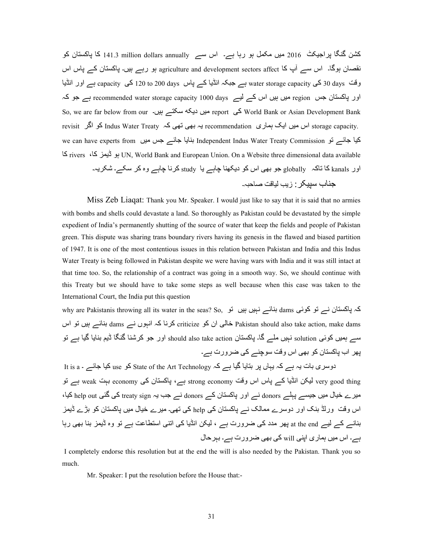کشن گنگا پراجیکٹ  $_1$ 16 میں مکمل ہو رہا ہے۔ اس سے I41.3 million dollars annually کا پاکستان کو نقصان ہوگا۔ اس سے آپ کا agriculture and development sectors affect ہو رہے ہیں۔ پاکستان کے پاس اس وقت 30 days کی water storage capacity ہے جبکہ انڈیا کے پاس 200 days کا capacity ہے اور انڈیا  $\,$ اور پاکستان جس region میں ہیں اس کے لیے recommended water storage capacity 1000 days ہے جو کہ So, we are far below from our سیں دیکہ سکتے ہیں۔ So, we are far below from our میں دیک revisit اس میں ایک ہماری recommendation ہے ہی تھی کہ Indus Water Treaty کو اگر revisit we can have experts from سنایا جائے جس میں we can have experts from سنایا ہوانے کیا جائے :Z rivers ،:Z t?Eڈ\ ہ UN, World Bank and European Union. On a Website three dimensional data available اور kanals کا تاکہ ً globally جو بھی اس کو دیکھنا چاہے یا study کرنا چاہے وہ کر سکے۔ شکریہ۔ جناب سببكر : ز بب لباقت صاحبہ۔

 Miss Zeb Liaqat: Thank you Mr. Speaker. I would just like to say that it is said that no armies with bombs and shells could devastate a land. So thoroughly as Pakistan could be devastated by the simple expedient of India's permanently shutting of the source of water that keep the fields and people of Pakistan green. This dispute was sharing trans boundary rivers having its genesis in the flawed and biased partition of 1947. It is one of the most contentious issues in this relation between Pakistan and India and this Indus Water Treaty is being followed in Pakistan despite we were having wars with India and it was still intact at that time too. So, the relationship of a contract was going in a smooth way. So, we should continue with this Treaty but we should have to take some steps as well because when this case was taken to the International Court, the India put this question

why are Pakistanis throwing all its water in the seas? So, ساکہ پاکستان نے تو کوئی dams ہنائے نہیں ہیں تو eriticize خالی ان کو pakistan should also take action, make dams بنائے ہیں نو اس $\,$  Pakistan should also take action, make dams سے بِمیں کوئی solution نہیں ملے گا۔ پاکستان should also take action اور جو کرشنا گنگا ڈیم بنایا گیا ہے تو پھر اب پاکستان کو بھی اس وقت سوچنے کی ضرورت ہے۔

دوسری بات یہ ہے کہ یہاں پر بتایا گیا ہے کہ State of the Art Technology کو use کیا جائے ۔ It is a very good thing لیکن انڈیا کے پاس اس وقت strong economy ہے، پاکستان کی economy بہت weak ہے نو میرے خیال میں جیسے پہلے donors نے اور پاکستان کے donors نے جب یہ treaty sign کی گئی help out کیا، اس وقت ورلڈ بنک اور دوسرے ممالک نـــر پاکستان کی help کی تھی۔ میرے خیال میں پاکستان کو بڑے ڈیمز بنانے کے لیے at the end بھر مدد کی ضرورت ہے ، لیکن انڈیا کی اتنی استطاعت ہے تو وہ ڈیمز بنا بھی رہا ہے۔ اس میں ہماری اپنی will کی بھی ضرورت ہے۔ بہرحال

I completely endorse this resolution but at the end the will is also needed by the Pakistan. Thank you so much.

Mr. Speaker: I put the resolution before the House that: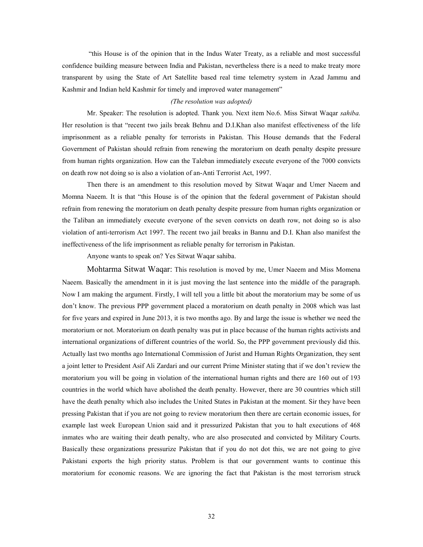"this House is of the opinion that in the Indus Water Treaty, as a reliable and most successful confidence building measure between India and Pakistan, nevertheless there is a need to make treaty more transparent by using the State of Art Satellite based real time telemetry system in Azad Jammu and Kashmir and Indian held Kashmir for timely and improved water management"

## *(The resolution was adopted)*

 Mr. Speaker: The resolution is adopted. Thank you. Next item No.6. Miss Sitwat Waqar *sahiba.* Her resolution is that "recent two jails break Behnu and D.I.Khan also manifest effectiveness of the life imprisonment as a reliable penalty for terrorists in Pakistan. This House demands that the Federal Government of Pakistan should refrain from renewing the moratorium on death penalty despite pressure from human rights organization. How can the Taleban immediately execute everyone of the 7000 convicts on death row not doing so is also a violation of an-Anti Terrorist Act, 1997.

Then there is an amendment to this resolution moved by Sitwat Waqar and Umer Naeem and Momna Naeem. It is that "this House is of the opinion that the federal government of Pakistan should refrain from renewing the moratorium on death penalty despite pressure from human rights organization or the Taliban an immediately execute everyone of the seven convicts on death row, not doing so is also violation of anti-terrorism Act 1997. The recent two jail breaks in Bannu and D.I. Khan also manifest the ineffectiveness of the life imprisonment as reliable penalty for terrorism in Pakistan.

Anyone wants to speak on? Yes Sitwat Waqar sahiba.

Mohtarma Sitwat Waqar: This resolution is moved by me, Umer Naeem and Miss Momena Naeem. Basically the amendment in it is just moving the last sentence into the middle of the paragraph. Now I am making the argument. Firstly, I will tell you a little bit about the moratorium may be some of us don't know. The previous PPP government placed a moratorium on death penalty in 2008 which was last for five years and expired in June 2013, it is two months ago. By and large the issue is whether we need the moratorium or not. Moratorium on death penalty was put in place because of the human rights activists and international organizations of different countries of the world. So, the PPP government previously did this. Actually last two months ago International Commission of Jurist and Human Rights Organization, they sent a joint letter to President Asif Ali Zardari and our current Prime Minister stating that if we don't review the moratorium you will be going in violation of the international human rights and there are 160 out of 193 countries in the world which have abolished the death penalty. However, there are 30 countries which still have the death penalty which also includes the United States in Pakistan at the moment. Sir they have been pressing Pakistan that if you are not going to review moratorium then there are certain economic issues, for example last week European Union said and it pressurized Pakistan that you to halt executions of 468 inmates who are waiting their death penalty, who are also prosecuted and convicted by Military Courts. Basically these organizations pressurize Pakistan that if you do not dot this, we are not going to give Pakistani exports the high priority status. Problem is that our government wants to continue this moratorium for economic reasons. We are ignoring the fact that Pakistan is the most terrorism struck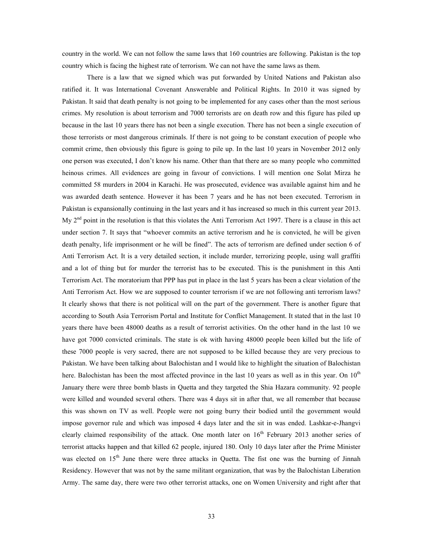country in the world. We can not follow the same laws that 160 countries are following. Pakistan is the top country which is facing the highest rate of terrorism. We can not have the same laws as them.

 There is a law that we signed which was put forwarded by United Nations and Pakistan also ratified it. It was International Covenant Answerable and Political Rights. In 2010 it was signed by Pakistan. It said that death penalty is not going to be implemented for any cases other than the most serious crimes. My resolution is about terrorism and 7000 terrorists are on death row and this figure has piled up because in the last 10 years there has not been a single execution. There has not been a single execution of those terrorists or most dangerous criminals. If there is not going to be constant execution of people who commit crime, then obviously this figure is going to pile up. In the last 10 years in November 2012 only one person was executed, I don't know his name. Other than that there are so many people who committed heinous crimes. All evidences are going in favour of convictions. I will mention one Solat Mirza he committed 58 murders in 2004 in Karachi. He was prosecuted, evidence was available against him and he was awarded death sentence. However it has been 7 years and he has not been executed. Terrorism in Pakistan is expansionally continuing in the last years and it has increased so much in this current year 2013. My 2nd point in the resolution is that this violates the Anti Terrorism Act 1997. There is a clause in this act under section 7. It says that "whoever commits an active terrorism and he is convicted, he will be given death penalty, life imprisonment or he will be fined". The acts of terrorism are defined under section 6 of Anti Terrorism Act. It is a very detailed section, it include murder, terrorizing people, using wall graffiti and a lot of thing but for murder the terrorist has to be executed. This is the punishment in this Anti Terrorism Act. The moratorium that PPP has put in place in the last 5 years has been a clear violation of the Anti Terrorism Act. How we are supposed to counter terrorism if we are not following anti terrorism laws? It clearly shows that there is not political will on the part of the government. There is another figure that according to South Asia Terrorism Portal and Institute for Conflict Management. It stated that in the last 10 years there have been 48000 deaths as a result of terrorist activities. On the other hand in the last 10 we have got 7000 convicted criminals. The state is ok with having 48000 people been killed but the life of these 7000 people is very sacred, there are not supposed to be killed because they are very precious to Pakistan. We have been talking about Balochistan and I would like to highlight the situation of Balochistan here. Balochistan has been the most affected province in the last 10 years as well as in this year. On  $10<sup>th</sup>$ January there were three bomb blasts in Quetta and they targeted the Shia Hazara community. 92 people were killed and wounded several others. There was 4 days sit in after that, we all remember that because this was shown on TV as well. People were not going burry their bodied until the government would impose governor rule and which was imposed 4 days later and the sit in was ended. Lashkar-e-Jhangvi clearly claimed responsibility of the attack. One month later on  $16<sup>th</sup>$  February 2013 another series of terrorist attacks happen and that killed 62 people, injured 180. Only 10 days later after the Prime Minister was elected on 15<sup>th</sup> June there were three attacks in Quetta. The fist one was the burning of Jinnah Residency. However that was not by the same militant organization, that was by the Balochistan Liberation Army. The same day, there were two other terrorist attacks, one on Women University and right after that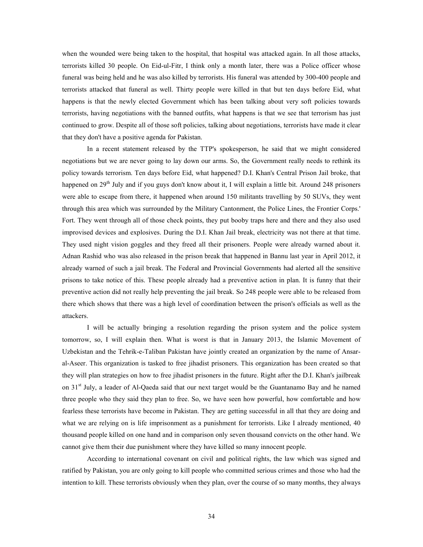when the wounded were being taken to the hospital, that hospital was attacked again. In all those attacks, terrorists killed 30 people. On Eid-ul-Fitr, I think only a month later, there was a Police officer whose funeral was being held and he was also killed by terrorists. His funeral was attended by 300-400 people and terrorists attacked that funeral as well. Thirty people were killed in that but ten days before Eid, what happens is that the newly elected Government which has been talking about very soft policies towards terrorists, having negotiations with the banned outfits, what happens is that we see that terrorism has just continued to grow. Despite all of those soft policies, talking about negotiations, terrorists have made it clear that they don't have a positive agenda for Pakistan.

 In a recent statement released by the TTP's spokesperson, he said that we might considered negotiations but we are never going to lay down our arms. So, the Government really needs to rethink its policy towards terrorism. Ten days before Eid, what happened? D.I. Khan's Central Prison Jail broke, that happened on 29<sup>th</sup> July and if you guys don't know about it, I will explain a little bit. Around 248 prisoners were able to escape from there, it happened when around 150 militants travelling by 50 SUVs, they went through this area which was surrounded by the Military Cantonment, the Police Lines, the Frontier Corps.' Fort. They went through all of those check points, they put booby traps here and there and they also used improvised devices and explosives. During the D.I. Khan Jail break, electricity was not there at that time. They used night vision goggles and they freed all their prisoners. People were already warned about it. Adnan Rashid who was also released in the prison break that happened in Bannu last year in April 2012, it already warned of such a jail break. The Federal and Provincial Governments had alerted all the sensitive prisons to take notice of this. These people already had a preventive action in plan. It is funny that their preventive action did not really help preventing the jail break. So 248 people were able to be released from there which shows that there was a high level of coordination between the prison's officials as well as the attackers.

 I will be actually bringing a resolution regarding the prison system and the police system tomorrow, so, I will explain then. What is worst is that in January 2013, the Islamic Movement of Uzbekistan and the Tehrik-e-Taliban Pakistan have jointly created an organization by the name of Ansaral-Aseer. This organization is tasked to free jihadist prisoners. This organization has been created so that they will plan strategies on how to free jihadist prisoners in the future. Right after the D.I. Khan's jailbreak on 31<sup>st</sup> July, a leader of Al-Qaeda said that our next target would be the Guantanamo Bay and he named three people who they said they plan to free. So, we have seen how powerful, how comfortable and how fearless these terrorists have become in Pakistan. They are getting successful in all that they are doing and what we are relying on is life imprisonment as a punishment for terrorists. Like I already mentioned, 40 thousand people killed on one hand and in comparison only seven thousand convicts on the other hand. We cannot give them their due punishment where they have killed so many innocent people.

 According to international covenant on civil and political rights, the law which was signed and ratified by Pakistan, you are only going to kill people who committed serious crimes and those who had the intention to kill. These terrorists obviously when they plan, over the course of so many months, they always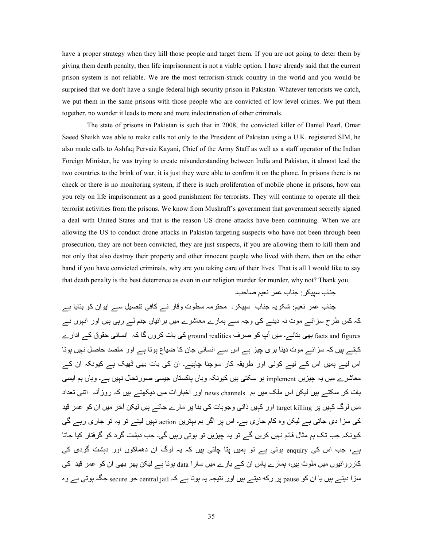have a proper strategy when they kill those people and target them. If you are not going to deter them by giving them death penalty, then life imprisonment is not a viable option. I have already said that the current prison system is not reliable. We are the most terrorism-struck country in the world and you would be surprised that we don't have a single federal high security prison in Pakistan. Whatever terrorists we catch, we put them in the same prisons with those people who are convicted of low level crimes. We put them together, no wonder it leads to more and more indoctrination of other criminals.

 The state of prisons in Pakistan is such that in 2008, the convicted killer of Daniel Pearl, Omar Saeed Shaikh was able to make calls not only to the President of Pakistan using a U.K. registered SIM, he also made calls to Ashfaq Pervaiz Kayani, Chief of the Army Staff as well as a staff operator of the Indian Foreign Minister, he was trying to create misunderstanding between India and Pakistan, it almost lead the two countries to the brink of war, it is just they were able to confirm it on the phone. In prisons there is no check or there is no monitoring system, if there is such proliferation of mobile phone in prisons, how can you rely on life imprisonment as a good punishment for terrorists. They will continue to operate all their terrorist activities from the prisons. We know from Mushraff's government that government secretly signed a deal with United States and that is the reason US drone attacks have been continuing. When we are allowing the US to conduct drone attacks in Pakistan targeting suspects who have not been through been prosecution, they are not been convicted, they are just suspects, if you are allowing them to kill them and not only that also destroy their property and other innocent people who lived with them, then on the other hand if you have convicted criminals, why are you taking care of their lives. That is all I would like to say that death penalty is the best deterrence as even in our religion murder for murder, why not? Thank you.

جناب سيپكر : جناب عمر نعيم صاحب۔

جناب عمر نعیم: شکریہ جناب سپیکر۔ محترمہ سطوت وقار نے کافی تفصیل سے ایوان کو بتایا ہے کہ کس طرح سزائـــر موت نہ دینـــر کی وجہ ســـر ہمار ے معاشر ے میں برائیاں جنم لـــر رہی ہیں اور انہوں نـــر facts and figures بھی بتائے۔ میں آپ کو صرف ground realities کی بات کروں گا کہ انسانی حقوق کے ادار ے کہتے ہیں کہ سزائے موت دینا بری چیز ہے اس سے انسانی جان کا ضیاع ہوتا ہے اور مقصد حاصل نہیں ہوتا اس لیے ہمیں اس کے لیے کوئی اور طریقہ کار سوچنا چاہیے۔ ان کی بات بھی ٹھیک ہے کیونکہ ان کے معاشر ے میں یہ جیزیں implement ہو سکتی ہیں کیونکہ وہاں پاکستان جیسی صورتحال نہیں ہے۔ وہاں ہم ایسی بات کر سکتے ہیں لیکن اس ملک میں ہم news channels اور اخبار ات میں دیکھتے ہیں کہ روز آنہ اتنی تعداد میں لوگ کہیں پر target killing اور کہیں ذاتی وجوہات کی بنا پر مارے جاتے ہیں لیکن آخر میں ان کو عمر قید کی سزا دی جاتی ہے لیکن وہ کام جاری ہے۔ اس پر اگر ہم بہترین action نہیں لیتے تو یہ تو جاری رہے گی کیونکہ جب تک ہم مثال قائم نہیں کریں گے تو یہ چیزیں تو ہوتی رہیں گی۔ جب دہشت گرد کو گرفتار کیا جاتا ہے، جب اس کی enquiry ہوتی ہے تو ہمیں پتا چلتی ہیں کہ یہ لوگ ان دھماکوں اور دہشت گردی کی کارروائیوں میں ملوث ہیں، ہمارے پاس ان کے بارے میں سارا data ہوتا ہے لیکن پھر بھی ان کو عمر قید کی سز ا دیتے ہیں یا ان کو <sub>pause</sub> پر رکه دیتے ہیں اور نتیجہ یہ ہوتا ہے کہ central jail جو secure جگہ ہوتی ہے وہ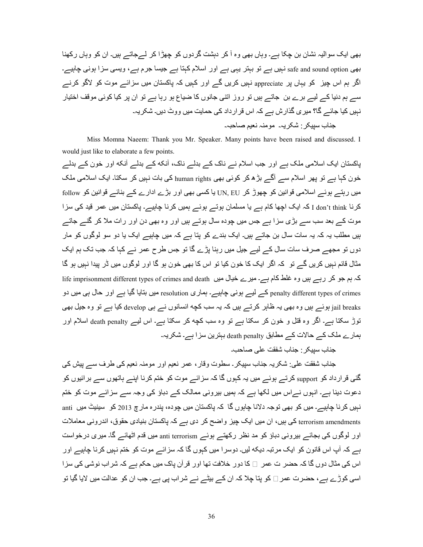بھی ایک سوالیہ نشان بن چکا ہے۔ وہاں بھی وہ آ کر دہشت گردوں کو چھڑا کر لےجاتے ہیں۔ ان کو وہاں رکھنا بھی safe and sound option نہیں ہے تو بہتر یہی ہے اور اسلام کہتا ہے جیسا جرم ہے، ویسی سزا ہونی چاہیے۔ اگر ہم اس چیز کو یہاں پر appreciate نہیں کریں گے اور کہیں کہ پاکستان میں سزائے موت کو لاگو کرنے سے ہم دنیا کے لیے برے بن جاتے ہیں تو روز اتنی جانوں کا ضیاع ہو رہا ہے تو ان پر کیا کوئی موقف اختیار `` نہیں کیا جائے گا؟ میری گذارش ہے کہ اس قرارداد کی حمایت میں ووٹ دیں۔ شکریہ۔ جناب سبیکر : شکر یہ۔ مومنہ نعیم صاحبہ۔

 Miss Momna Naeem: Thank you Mr. Speaker. Many points have been raised and discussed. I would just like to elaborate a few points.

پاکستان ایک اسلامی ملک ہے اور جب اسلام نے ناک کے بدلے ناک، آنکه کے بدلے آنکه اور خون کے بدلے خون کہا ہے تو پھر اسلام سے آگے بڑھ کر کوئی بھی human rights کی بات نہیں کر سکتا۔ ایک اسلامی ملک میں رہتے ہوئے اسلامی قوانین کو چھوڑ کر UN, EU یا کسی بھی اور بڑے ادارے کے بنائے قوانین کو follow کرنا I don't think کہ ایک اچھا کام ہے یا مسلمان ہوتے ہوئے ہمیں کرنا چاہیے۔ پاکستان میں عمر قید کی سزا موت کے بعد سب سے بڑی سزا ہے جس میں چودہ سال ہوتے ہیں اور وہ بھی دن اور رات ملا کر گنے جاتے ہیں مطلب یہ کہ یہ سات سال بن جاتے ہیں۔ ایک بندے کو پتا ہے کہ میں چاہیے ایک یا دو سو لوگوں کو مار دوں تو مجھے صرف سات سال کے لیے جیل میں رہنا پڑے گا تو جس طرح عمر نے کہا کہ جب تک ہم ایک مثال قائم نہیں کریں گے تو کہ اگر ایک کا خون کیا تو اس کا بھی خون ہو گا اور لوگوں میں ڈر پیدا نہیں ہو گا کہ ہم جو کر رہے ہیں وہ غلط کام ہے۔ میرے خیال میں life imprisonment different types of crimes and death penalty different types of crimes کے لیے ہونی چاہیے۔ ہماری resolution میں بتایا گیا ہے اور حال ہی میں دو jail breaks ہوئے ہیں وہ بھی یہ ظاہر کرتے ہیں کہ یہ سب کچه انسانوں نے ہی develop کیا ہے تو وہ جیل بھی نوڑ سکتا ہے۔ اگر وہ قتل و خون کر سکتا ہے تو وہ سب کچه کر سکتا ہے۔ اس لیے death penalty اسلام اور ہمارے ملک کے حالات کے مطابق death penalty بہترین سزا ہے۔ شکریہ۔

جناب سبیکر : جناب شفقت علی صاحب۔

جناب شفقت علی: شکریہ جناب سپیکر۔ سطوت وقار ، عمر نعیم اور مومنہ نعیم کی طرف سے پیش کی گئی قرارداد کو support کرتے ہوئے میں یہ کہوں گا کہ سزائے موت کو ختم کرنا اپنے ہاتھوں سے برائیوں کو دعوت دینا ہے۔ انہوں نے اس میں لکھا ہے کہ ہمیں بیرونی ممالک کے دباؤ کی وجہ سے سزائے موت کو ختم نہیں کر نا چاہیے۔ میں کو بھی توجہ دلانا چاہوں گا کہ پاکستان میں چودہ، پندر ہ مار چ 2013 کو۔ سینیٹ میں anti terrorism amendments کی بیں، ان میں ایک چیز واضح کر دی ہے کہ پاکستان بنیادی حقوق، اندرونی معاملات اور لوگوں کی بجائے بیرونی دباؤ کو مد نظر رکھتے ہوئے anti terrorism میں قدم اٹھائے گا۔ میری درخواست ہے کہ آپ اس قانون کو ایک مرتبہ دیکه لیں۔ دوسرا میں کہوں گا کہ سزائے موت کو ختم نہیں کرنا چاہیے اور اس کی مثال دوں گا کہ حضر ت عمر اے کا دور خلافت تھا اور قرآن باک میں حکم ہے کہ شراب نوشی کی سزا اسی کوڑے ہے، حضرت عمر □ کو پتا چلا کہ ان کے بیٹے نے شراب پی ہے۔ جب ان کو عدالت میں لایا گیا تو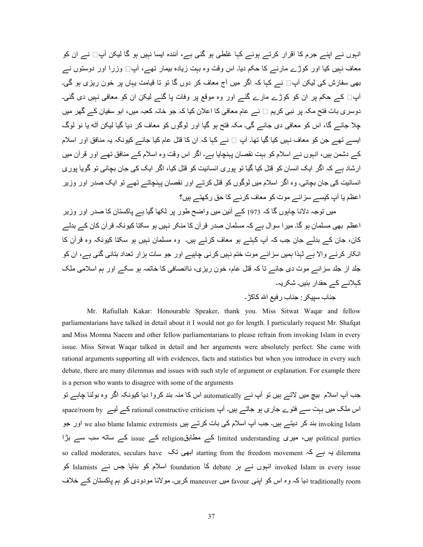انہوں نے اپنے جرم کا اقرار کرتے ہوئے کہا غلطی ہو گئی ہے، آئندہ ایسا نہیں ہو گا لیکن آپ□ نے ان کو معاف نبیں کیا اور کوڑے مارنے کا حکم دیا۔ اس وقت وہ ببت زیادہ بیمار تھے، آپ□ وزرا اور دوستوں نے بھی سفارش کی لیکن آپ∏ نے کہا کہ اگر میں آج معاف کر دوں گا تو تا قیامت یہاں پر خون ریزی ہو گی۔ ۔<br>آپ∏ کے حکم پر ان کو کوڑے مارے گئے اور وہ موقع پر وفات پا گئے لیکن ان کو معافی نہیں دی گئی۔ دوسری بات فتح مکہ پر نبی کریم □ نـــر عام معافی کا اعلان کیا کہ جو خانہ کعبہ میں، ابو سفیان کـــر گھر ِ میں چلا جائے گا، اس کو معافی دی جائے گی۔ مکہ فتح ہو گیا اور لوگوں کو معاف کر دیا گیا لیکن آٹه یا نو لوگ ایسے تھے جن کو معاف نہیں کیا گیا تھا۔ آپ □ نے کہا کہ ان کا قتل عام کیا جائے کیونکہ یہ منافق اور اسلام کے دشمن ہیں، انہوں نے اسلام کو بہت نقصان پہنچایا ہے۔ اگر اس وقت وہ اسلام کے منافق تھے اور قرآن میں ارشاد ہے کہ اگر ایک انسان کو قتل کیا گیا تو پوری انسانیت کو قتل کیا، اگر ایک کی جان بچائی تو گویا پوری انسانیت کی جان بچائی۔ وہ اگر اسلام میں لوگوں کو قتل کرتے اور نقصان پہنچاتے تھے تو ایک صدر اور وزیر اعظم یا آپ کیسے سزائے موت کو معاف کرنے کا حق رکھتے ہیں؟

میں توجہ دلانا جابوں گا کہ 1973 کے آئین میں واضح طور پر لکھا گیا ہے پاکستان کا صدر اور وزیر اعظم بھی مسلمان ہو گا۔ میر ا سوال ہے کہ مسلمان صدر قرآن کا منکر نہیں ہو سکتا کیونکہ قرآن کان کے بدلے کان، جان کے بدلے جان جب کہ آپ کہتے ہو معاف کرتے ہیں۔ وہ مسلمان نہیں ہو سکتا کیونکہ وہ قرآن کا انکار کرنے والا ہے لبذا ہمیں سزائے موت ختم نہیں کرنے چاہیے اور جو سات ہزار تعداد بتائی گئی ہے، ان کو جلد از جلد سزائـــر موت دي جائـــر تا كہ قتل عام، خون ريزي، ناانصـافي كا خاتمہ ہو سكـــر اور ہم اسلامي ملك کہلانے کے حقدار بنیں۔ شکریہ۔

جناب سپیکر : جناب رفیع الله کاکڑ ۔

 Mr. Rafiullah Kakar: Honourable Speaker, thank you. Miss Sitwat Waqar and fellow parliamentarians have talked in detail about it I would not go for length. I particularly request Mr. Shafqat and Miss Momna Naeem and other fellow parliamentarians to please refrain from invoking Islam in every issue. Miss Sitwat Waqar talked in detail and her arguments were absolutely perfect. She came with rational arguments supporting all with evidences, facts and statistics but when you introduce in every such debate, there are many dilemmas and issues with such style of argument or explanation. For example there is a person who wants to disagree with some of the arguments

جب آپ اسلام بیچ میں لاتے ہیں تو آپ نے automatically اس کا منہ بند کروا دیا کیونکہ اگر وہ بولنا چاہے تو اس ملک میں بہت سے فتوے جاری ہو جاتے ہیں۔ آپ rational constructive criticism کے لیے space/room by invoking Islam بند کر دیتے ہیں۔ جب آپ اسلام کی بات کرتے ہیں we also blame Islamic extremists اور جو political parties ہیں، میری limited understanding کے مطابقreligion کے issue کے ساته سب سے بڑا so called moderates, seculars have  $\zeta$  ابھی تک starting from the freedom movement ہے ہے کہ invoked Islam in every issue انہوں نے ہر debate کا foundation اسلام کو بنایا جس نے Islamists کو traditionally room دیا کہ وہ اس کو اپنی favour میں maneuver کریں۔ مولانا مودودی کو ہم پاکستان کے خلاف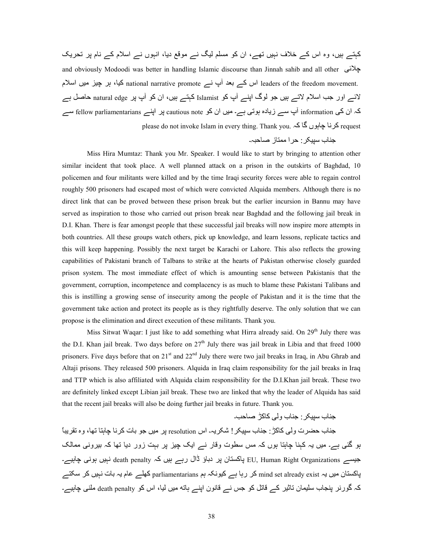کہتے ہیں، وہ اس کے خلاف نہیں تھے، ان کو مسلم لیگ نے موقع دیا، انہوں نے اسلام کے نام پر تحریک and obviously Modoodi was better in handling Islamic discourse than Jinnah sahib and all other يجلاني .leaders of the freedom movement اس کے بعد أَپ نـــر pational narrative promote کیا، ہر چیز میں اسلام لائے اور جب اسلام لاتے ہیں جو لوگ اپنے آپ کو Islamist کہتے ہیں، ان کو آپ پر natural edge حاصل ہے کہ ان کی information آپ سے زیادہ ہوتی ہے۔ میں ان کو cautious note ہر اپنے fellow parliamentarians سے please do not invoke Islam in every thing. Thank you. کرنا چاہوں گا کہ  $\epsilon$ 

جناب سبیکر : حر ا ممتاز صاحبہ۔

 Miss Hira Mumtaz: Thank you Mr. Speaker. I would like to start by bringing to attention other similar incident that took place. A well planned attack on a prison in the outskirts of Baghdad, 10 policemen and four militants were killed and by the time Iraqi security forces were able to regain control roughly 500 prisoners had escaped most of which were convicted Alquida members. Although there is no direct link that can be proved between these prison break but the earlier incursion in Bannu may have served as inspiration to those who carried out prison break near Baghdad and the following jail break in D.I. Khan. There is fear amongst people that these successful jail breaks will now inspire more attempts in both countries. All these groups watch others, pick up knowledge, and learn lessons, replicate tactics and this will keep happening. Possibly the next target be Karachi or Lahore. This also reflects the growing capabilities of Pakistani branch of Talbans to strike at the hearts of Pakistan otherwise closely guarded prison system. The most immediate effect of which is amounting sense between Pakistanis that the government, corruption, incompetence and complacency is as much to blame these Pakistani Talibans and this is instilling a growing sense of insecurity among the people of Pakistan and it is the time that the government take action and protect its people as is they rightfully deserve. The only solution that we can propose is the elimination and direct execution of these militants. Thank you.

Miss Sitwat Waqar: I just like to add something what Hirra already said. On  $29<sup>th</sup>$  July there was the D.I. Khan jail break. Two days before on  $27<sup>th</sup>$  July there was jail break in Libia and that freed 1000 prisoners. Five days before that on  $21<sup>st</sup>$  and  $22<sup>nd</sup>$  July there were two jail breaks in Iraq, in Abu Ghrab and Altaji prisons. They released 500 prisoners. Alquida in Iraq claim responsibility for the jail breaks in Iraq and TTP which is also affiliated with Alquida claim responsibility for the D.I.Khan jail break. These two are definitely linked except Libian jail break. These two are linked that why the leader of Alquida has said that the recent jail breaks will also be doing further jail breaks in future. Thank you.

جناب سبیکر : جناب و لی کاکڑ ٰ صـاحب۔ جناب حضرت ولَّى كاكڑ : جناب سيبكر ! شكريہ۔ اس resolution بر ميں جو بات كر نا جابنا تھا، و ہ تقر بباً ہو گئی ہے۔ میں یہ کہنا چاہتا ہوں کہ مس سطوت وقار نے ایک چیز پر بہت زور دیا تھا کہ بیرونی ممالک جیسے EU, Human Right Organizations ہیں کہ death penalty نہیں ہونی چاہیے۔ پاکستان میں یہ mind set already exist کر رہا ہے کیونکہ ہم parliamentarians کھلے عام یہ بات نہیں کر سکتے کہ گورنر پنجاب سلیمان تاثیر کے قاتل کو جس نے قانون اپنے ہاته میں لیا، اس کو death penalty ملنی چاہیے۔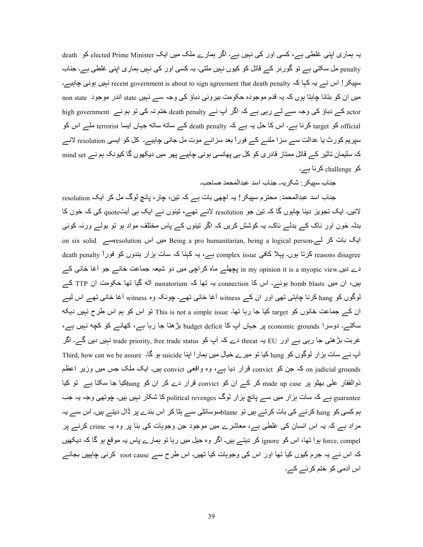یہ ہماری اپنی غلطی ہے، کسی اور کی نہیں ہے۔ اگر ہمارے ملک میں ایک elected Prime Minister کو death penalty مل سکتی ہے تو گورنر کے قاتل کو کیوں نہیں ملتی۔ یہ کسی اور کی نہیں ہماری اپنی غلطی ہے۔ جناب سپیکر! اس نسر یہ کہا کہ recent government is about to sign agreement that death penalty نہیں ہونی چاہیسہ۔ میں ان کو بتانا چاہتا ہوں کہ یہ قدم موجودہ حکومت بیرونی دباؤ کی وجہ سے نہیں state اندر موجود non state n high government کے دباؤ کی وجہ سے لے رہی ہے کہ اگر آپ نے death penalty ختم نہ کی تو ہم نے official کو target کرنا ہے۔ اس کا حل یہ ہے کہ death penalty کے ساته ساته جہاں ایسا terrorist ملے اس کو سپریم کورٹ یا عدالت سے سزا ملنے کے فوراً بعد سزائے موت مل جانی چاہیے۔ کل کو ایسی resolution لائے کہ سلیمان تاثیر کے قاتل ممتاز قادری کو کل ہی پھانسی ہونی چاہیے پھر میں دیکھوں گا کیونکہ ہم نے mind set کو challenge کرنا ہے۔

جناب سبیکر : شکر یہ۔ جناب اسد عبدالمحمد صاحب۔

جناب اسد عبدالمحمد: محترم سیپکر ! یہ اچھی بات ہے کہ تین، چار ، پانچ لوگ مل کر ایک resolution لائیں۔ ایک تجویز دینا چاہوں گا کہ تین جو resolution لائے تھے، تینوں نے ایک ہی آیتquote کی کہ خون کا بدلہ خون اور ناک کے بدلے ناک۔ یہ کوشش کریں کہ اگر تینوں کے پاس مختلف مواد ہو تو بولے ورنہ کوئی on six solid میں اس nesolution ایک بات کر لہ۔ Being a pro humanitarian, being a logical person۔ reasons disagree کرتا ہوں۔ پہلا کافی complex issue ہے، یہ کہنا کہ سات بزار بندوں کو فوراً death penalty دے دیں in my opinion it is a myopic view پچھلے ماہ کر اچی میں دو شیعہ جماعت خانے جو آغا خانی کے بیں، ان میں bomb blasts ہوئے۔ اس کا connection یہ تھا کہ moratorium اٹه گیا تھا حکومت ان TTP کے لوگوں کو hang کرنا چاہتی تھی اور ان کے witness آغا خانی تھے۔ چونکہ وہ witness آغا خانی تھے اس لیے ان کے جماعت خانوں کو target کیا جا رہا تھا۔ This is not a simple issue تو اس کو ہم اس طرح نہیں دیکه سکتے۔ دوسرا conomic grounds پر جہاں آپ کا budget deficit بڑھتا جا رہا ہے، کھانے کو کچه نہیں ہے، غربت بڑھتی جا رہی ہے اور EU یہ trade priority, free trade status ہے کہ آپ کو trade priority, free trade status Third, how can we be assure . کیا تو میرے خیال میں ہمارا اپنا suicide ہو گا۔ Third, how can we be assure on judicial grounds کہ جن کو convict قرار دیا ہے، وہ واقعی convict بیں۔ ایک ملک جس میں وزیر اعظم ذوالفقار علی بھٹو پر made up case کر کے ان کو convict قرار دے کر ان کو hangکیا جا سکتا ہے تو کیا guarantee ہے کہ سات ہزار میں سے پانچ ہزار لوگ political revenges کا شکار نہیں ہیں۔ چوتھی وجہ یہ جب ہم کسی کو hang کرنے کی بات کرتے ہیں تو blameسوسائٹی سے ہٹا کر اس بندے پر ڈال دیتے ہیں۔ اس سے یہ مراد ہے کہ یہ اس انسان کی غلطی ہے، معاشرے میں موجود جن وجوہات کی بنا پر وہ یہ crime کرنے پر force, compel ہوا تھا، اس کو ignore کر دیتے ہیں۔ اگر وہ جیل میں رہا تو ہمارے پاس یہ موقع ہو گا کہ دیکھیں کہ اس نـــر یہ جرم کیوں کیا تھا اور اس کی وجوہات کیا تھیں۔ اس طرح ســـر root cause کرنی چاہییں بجائـــر اس آدمی کو ختم کرنے کے۔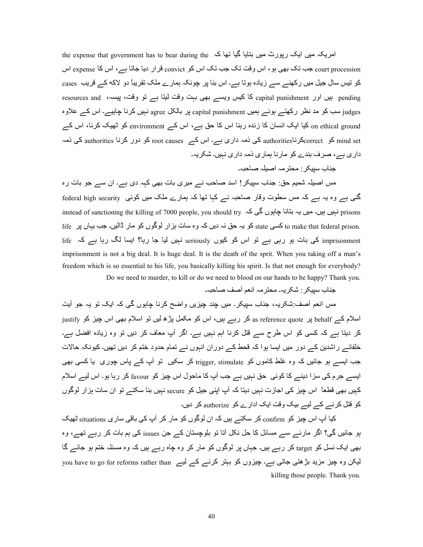the expense that government has to bear during the میں بنایا گیا تھا کہ court procession جب تک بھی ہو ، اس وقت تک جب تک اس کو convict قرار دیا جاتا ہے، اس کا expense اس کو تیس سال جیل میں رکھنے سے زیادہ ہوتا ہے۔ اس بنا پر چونکہ ہمارے ملک تقریباً دو لاکه کے قریب cases resources and ہیں اور capital punishment کا کیس ویسے بھی بہت وقت لیتا ہے تو وقت، پیسہ، resources and judges سب کو مد نظر رکھتے ہوئے ہمیں capital punishment پر بالکل agree نہیں کرنا چاہیے۔ اس کے علاوہ on ethical ground کیا ایک انسان کا زندہ رہنا اس کا حق ہے، اس کے environment کو ٹھیک کرنا، اس کے mind set کو authorities کی ذمہ داری ہے۔ اس کے root causes کو دور کرنا authorities کی ذمہ داری ہے، صرف بندے کو مارنا ہماری ذمہ داری نہیں۔ شکریہ۔

جناب سببکر : محتر مہ اصبلہ صاحبہ۔

مس اصبلہ شمیم حق: جناب سپیکر ! اسد صاحب نــــر میری بات بھی کہہ دی ہـــر- ان ســـر جو بات رہ گئی ہے وہ یہ ہے کہ مس سطوت وقار صاحبہ نے کہا تھا کہ ہمارے ملک میں کوئی federal high security instead of sanctioning the killing of 7000 people, you should try نبیں۔ میں یہ بنانا چاہوں گی کہ instead of sanctioning the killing of 7000 people, you should try .to make that federal prison کر یہ حق نہ دیں کہ وہ سات ہزار لوگوں کو مار ڈالیں۔ جب یہاں پر life کو to make tha imprisonment کی بات ہو رہی ہے تو اس کو کیوں seriously نہیں لیا جا رہا؟ ایسا لگ رہا ہے کہ life imprisonment is not a big deal. It is huge deal. It is the death of the sprit. When you taking off a man's freedom which is so essential to his life, you basically killing his spirit. Is that not enough for everybody? Do we need to murder, to kill or do we need to blood on our hands to be happy? Thank you.

جناب سیبکر · شکر یہ۔ محتر مہ انعم آصف صاحبہ۔

مس انعم آصف ِشکر یہ، جناب سبیکر ِ۔ میں جند جیز یں واضح کر نا جابوں گے، کہ ایک تو یہ جو آیت justify اسلام کے behalf پر as reference quote کر رہے ہیں، اس کو مکمل پڑھ لیں تو اسلام بھی اس چیز کو کر دیتا ہے کہ کسی کو اس طرح سے قتل کرنا اہم نہیں ہے۔ اگر آپ معاف کر دیں تو وہ زیادہ افضل ہے۔ خلفائے راشدین کے دور میں ایسا ہوا کہ قحط کے دوران انہوں نے تمام حدود ختم کر دیں تھیں۔ کیونکہ حالات جب ایسے ہو جائیں کہ وہ غلط کاموں کو trigger, stimulate کر سکیں تو آپ کے پاس چوری یا کسی بھی ایسے جرم کی سزا دینے کا کوئی حق نہیں ہے جب آپ کا ماحول اس چیز کو favour کر رہا ہو۔ اس لیے اسلام کہیں بھی قطعاً اس چیز کی اجازت نہیں دیتا کہ آپ اپنی جیل کو secure نہیں بنا سکتے تو ان سات ہزار لوگوں کو فتل کر نے کے لیے بیک وقت ایک ادارے کو authorize کر دیں۔

کیا آپ اس چیز کو confirm کر سکتے ہیں کہ ان لوگوں کو مار کر آپ کی باقی ساری situations ٹھیک بو جائیں گی؟ اگر مارنے سے مسائل کا حل نکل آتا تو بلوچستان کے جن issues کی ہم بات کر رہے تھے، وہ بھی ایک نسل کو target کر رہے ہیں۔ جہاں پر لوگوں کو مار کر وہ چاہ رہے ہیں کہ وہ مسئلہ ختم ہو جائے گا ۔ you have to go for reforms rather than کلیکن وہ چیز مزید بڑھتی جاتی ہے۔ چیزوں کو بہتر کرنے کے لیے killing those people. Thank you.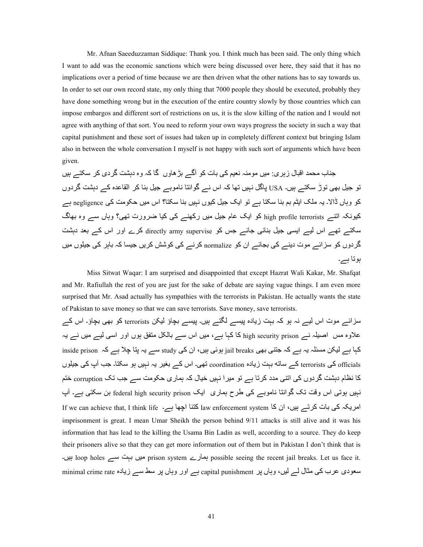Mr. Afnan Saeeduzzaman Siddique: Thank you. I think much has been said. The only thing which I want to add was the economic sanctions which were being discussed over here, they said that it has no implications over a period of time because we are then driven what the other nations has to say towards us. In order to set our own record state, my only thing that 7000 people they should be executed, probably they have done something wrong but in the execution of the entire country slowly by those countries which can impose embargos and different sort of restrictions on us, it is the slow killing of the nation and I would not agree with anything of that sort. You need to reform your own ways progress the society in such a way that capital punishment and these sort of issues had taken up in completely different context but bringing Islam also in between the whole conversation I myself is not happy with such sort of arguments which have been given.

جناب محمد اقبال ز بر ی: میں مو منہ نعیم کے، بات کو آگےے بڑ ھاوں گا کہ وہ دہشت گر دی کر سکتے ہیں تو جیل بھی توڑ سکتے ہیں۔ USA پاگل نہیں تھا کہ اس نے گوانتا ناموبے جیل بنا کر القاعدہ کے دہشت گردوں کو وہاں ڈالا۔ یہ ملک ایٹم بم بنا سکتا ہے تو ایک جیل کیوں نہیں بنا سکتا؟ اس میں حکومت کی negligence ہے کیونکہ اننے high profile terrorists کو ایک عام جیل میں رکھنے کے کیا ضرورت تھے،؟ وہاں سے وہ بھاگ سکتے تھے اس لیے ایسی جیل بنائی جائے جس کو directly army supervise کرے اور اس کے بعد دہشت گردوں کو سز ائے موت دینے کی بجائے ان کو normalize کرنے کی کوشش کریں جیسا کہ باہر کی جیلوں میں ہوتا ہے۔

 Miss Sitwat Waqar: I am surprised and disappointed that except Hazrat Wali Kakar, Mr. Shafqat and Mr. Rafiullah the rest of you are just for the sake of debate are saying vague things. I am even more surprised that Mr. Asad actually has sympathies with the terrorists in Pakistan. He actually wants the state of Pakistan to save money so that we can save terrorists. Save money, save terrorists.

سزائے موت اس لیے نہ ہو کہ بہت زیادہ بیسے لگتے ہیں۔ بیسے بچاؤ لیکن terrorists کو بھی بچاؤ۔ اس کے علاوہ مس اصبلہ نے high security prison کا کہا ہے، میں اس سے بالکل متفق ہوں اور اسی لیے میں نے یہ inside prison ہے لیکن مسئلہ یہ ہے کہ جتنی بھی jail breaks ہوئی ہیں، ان کی study سے یہ بتا چلا ہے کہ inside prison officials کی terrorists کے ساته بہت زیادہ coordination تھی۔ اس کے بغیر یہ نہیں ہو سکتا۔ جب آپ کی جیلوں کا نظام دہشت گردوں کی اتنی مدد کرتا ہے تو میرا نہیں خیال کہ ہماری حکومت سے جب تک corruption ختم نبیں ہوتی اس وقت تک گوانتا ناموبے کی طرح ہماری ایک federal high security prison بن سکتی ہے۔ آپ If we can achieve that, I think life ۔ امریکہ کی بات کرتے ہیں، ان کا imprisonment is great. I mean Umar Sheikh the person behind 9/11 attacks is still alive and it was his information that has lead to the killing the Usama Bin Ladin as well, according to a source. They do keep their prisoners alive so that they can get more information out of them but in Pakistan I don't think that is ہ میں بہت سے: loop holes ہیں بہت سے: possible seeing the recent jail breaks. Let us face it. سعودی عرب کی مثال لے لیں، وہاں پر capital punishment ہے اور وہاں پر سط سے زیادہ minimal crime rate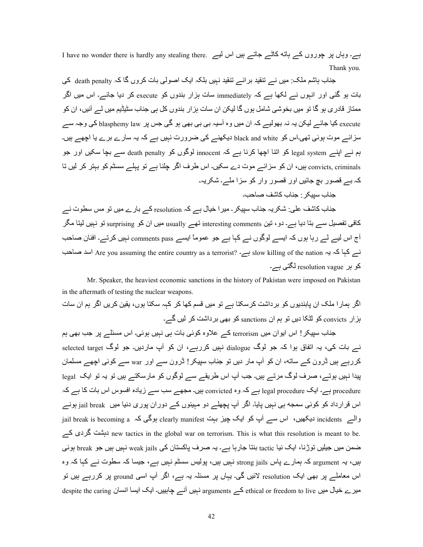I have no wonder there is hardly any stealing there. ہے۔ وہاں پر چوروں کے ہاته کاٹے جاتے ہیں اس لیے Thank you.

جناب باشم ملک: میں نـــر تنقید بر ائـــر تنقید نـہیں بلکہ ایک اصولی بات کروں گا کہ death penalty کی بات ہو گئی اور انہوں نے لکھا ہے کہ immediately سات ہزار بندوں کو execute کر دیا جائے۔ اس میں اگر ممتاز ِ قادر ی ہو گا تو میں بخوشی شامل ہوں گا لیکن ان سات ہز ار بندوں کل ہی جناب سٹیڈیم میں لـــر آئیں، ان کو execute کیا جائے لیکن یہ نہ بھولیے کہ ان میں وہ آسیہ ہی ہی بھی ہو گی جس پر blasphemy law کی وجہ سے سزائے موت ہوئی تھی۔اس کو black and white دیکھنے کی ضرورت نہیں ہے کہ یہ سارے برے یا اچھے ہیں۔ ہم نے اپنے legal system کو اتنا اچھا کرنا ہے کہ innocent لوگوں کو death penalty سے بچا سکیں اور جو convicts, criminals ہیں، ان کو سزائے موت دے سکیں۔ اس طرف اگر چلنا ہے تو پہلے سسٹم کو بہتر کر لیں تا کہ بے قصور بچ جائیں اور قصور وار کو سزا ملے۔ شکریہ۔ جناب سبیکر - جناب کاشف صباحب۔

جناب کاشف علی: شکریہ جناب سپیکر۔ میر ا خیال ہے کہ resolution کے بار ے میں تو مس سطوت نے کافی تفصیل سے بتا دیا ہے۔ دو ، تین interesting comments تھے usually میں ان کو surprising تو نہیں لیتا مگر آج اس لیے لے رہا ہوں کہ ایسے لوگوں نے کہا ہے جو عموماً ایسے comments pass نہیں کرتے۔ افنان صاحب نسر کہا کہ یہ slow killing of the nation ہے۔ slow killing of the nation ہے۔ slow killing of the hation اسد صاحب کو بر resolution vague لگتی ہے۔

 Mr. Speaker, the heaviest economic sanctions in the history of Pakistan were imposed on Pakistan in the aftermath of testing the nuclear weapons.

 ت:8 ان Oہ 4Wا ںE4Z R6E ،ں\ہ :[58 ہہZ 4Z :^Z OU~ ں6\ @j ہے :[584Z lpدا4V \Z ں\Ef;V:L ان DJ@ را:?ہ 4Wا ے۔W ں6Q 4Z lpدا4V `^V \Z sanctions ان Oہ\ j ںEد :5ٹQ \Z convicts ارtہ

جناب سپیکر ! اس ایوان میں terrorism کے علاوہ کوئی بات ہی نہیں ہوئی۔ اس مسئلے پر جب بھی ہم نسر بات کی، یہ اتفاق ہوا کہ جو لوگ dialogue نبیں کررہے، ان کو آپ ماردیں۔ جو لوگ selected target کررہے ہیں ڈرون کے ساته، ان کو آپ مار دیں تو جناب ِسپیکر! ڈرون سے اور war سے کوئی اچھے مسلمان یپدا نہیں ہوتے، صرف لوگ مرتے ہیں۔ جب آپ اس طریقے سے لوگوں کو مارسکتے ہیں تو یہ تو ایک legal procedure ہے۔ ایک legal procedure ہے کہ وہ convicted ہیں۔ مجھے سب سے زیادہ افسوس اس بات کا ہے کہ اس قرارداد کو کوئی سمجه ہی نہیں پایا۔ اگر آپ پچھلے دو مہینوں کے دوران پوری دنیا میں jail break ہونے jail break is becoming a ہوگی کہ clearly manifest بوکی کہ jail break is becoming a ہوالہ ہوگی کہ ہیں دہت کردی کے new tactics in the global war on terrorism. This is what this resolution is meant to be. ضمن میں جیلیں توڑنا، ایک نیا tactic بنتا جار ہا ہے۔ یہ صرف پاکستان کی weak jails نہیں ہیں جو break ہوئی ہیں، یہ argument کہ ہمارے پاس strong jails نہیں ہیں، پولیس سسٹم نہیں ہے، جیسا کہ سطوت نے کہا کہ وہ اس معاملے پر بھی ایک resolution لائیں گی۔ یہاں پر مسئلہ یہ ہے، اگر آپ اسی ground پر کررہے ہیں تو میرے خیال میں ethical or freedom to live کے arguments نہیں آنے چاہییں۔ ایک ایسا انسان despite the caring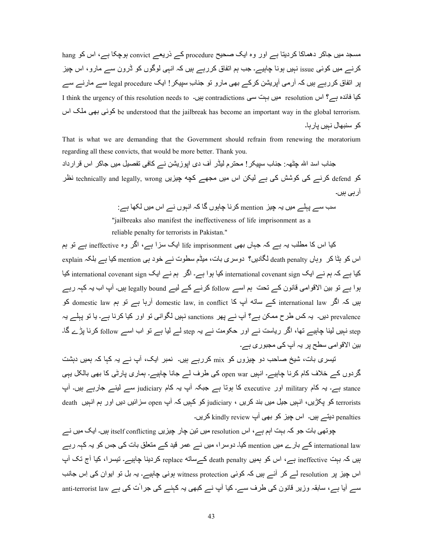مسجد میں جاکر دھماکا کردیتا ہے اور وہ ایک صحیح procedure کے ذریعے convict ہوچکا ہے، اس کو hang کرنے میں کوئی issue نہیں ہونا چاہیے۔ جب ہم اتفاق کررہے ہیں کہ انہی لوگوں کو ڈرون سے مارو، اس چیز پر اتفاق کررہے ہیں کہ آرمی آپریشن کرکے بھی مارو تو جناب ِسپیکر ! ایک legal procedure سے مارنے سے I think the urgency of this resolution needs to ہیں ۔6 contradictions اس ہوں ہے؟ اس resolution میں بہت سی اس be understood that the jailbreak has become an important way in the global terrorism. كو سنبھال نہيں يار با۔

That is what we are demanding that the Government should refrain from renewing the moratorium regarding all these convicts, that would be more better. Thank you.

جناب اسد اللہ چٹھہ: جناب سپیکر ! محترم لیڈر آف دی اپوزیشن نے کافی تفصیل میں جاکر اس قرارداد 4، کرنے کی کوشش کی ہے لیکن اس میں مجھے کچه چیزیں technically and legally, wrong نظر ار ہی ہیں۔

8M 8ے LہJے @6ں Eہ a6t mention Z4C: a:ہ\ں W: Zہ اCہ\ں Cے اس @6ں Q5^: ہے :

"jailbreaks also manifest the ineffectiveness of life imprisonment as a

reliable penalty for terrorists in Pakistan."

کیا اس کا مطلب یہ ہے کہ جہاں بھی life imprisonment ایک سزا ہے، اگر وہ ineffective ہے تو ہم اس کو ہٹا کر وہاں death penalty لگادیں؟ دوسری بات، میڈم سطوت نے خود ہی mention کیا ہے بلکہ explain کیا ہے کہ ہم نے ایک international covenant sign کیا ہوا ہے۔ اگر ہم نے ایک international covenant sign کیا ہوا ہے تو بین الاقوامی قانون کے تحت ہم اسے follow کرنے کے لیے legally bound ہیں۔ آپ اب یہ کہہ رہے بیں کہ اگر international law کے ساته آپ کا domestic law, in conflict آرہا ہے تو ہم domestic law کو prevalence دیں۔ یہ کس طرح ممکن ہے؟ آپ نے پھر sanctions نہیں لگوانی تو اور کیا کرنا ہے۔ یا تو پہلے یہ tep نہیں لینا چاہیے تھا، اگر ریاست نے اور حکومت نے بہ step لے لیا ہے تو اب اسے follow کرنا پڑے گا۔ بین الاقوامی سطح پر یہ آپ ک*ی* مجبوری ہے۔

تیسری بات، شیخ صاحب دو چیزوں کو mix کررہے ہیں۔ نمبر ایک، آپ نـــر یہ کہا کہ ہمیں دہشت گردوں کے خلاف کام کرنا چاہیے۔ انہیں open war کی طرف لے جانا چاہیے۔ ہماری پارٹی کا بھی بالکل یہی stance ہے۔ یہ کام military اور executive کا ہوتا ہے جبکہ آپ یہ کام judiciary سے لینے جارہے ہیں۔ آپ terrorists کو یکڑیں، انہیں جیل میں بند کریں ، judiciary کو کہیں کہ آپ open سزائیں دیں اور ہم انہیں death penalties دیتے ہیں۔ اس چیز کو بھی آپ kindly review کریں۔

چوتھی بات جو کہ بہت اہم ہے ، اس resolution میں نین چار چیزیں itself conflicting ہیں۔ ایک میں نے international law کے بارے میں mention کیا۔ دوسرا، میں نے عمر قید کے متعلق بات کی جس کو یہ کہہ رہے بیں کہ بہت ineffective ہے، اس کو ہمیں death penalty کے ساته replace کردینا چاہیے۔ تیسرا، کیا آج تک آپ اس چیز پر resolution لے کر آئے ہیں کہ کوئی witness protection ہونی چاہیے۔ یہ بل تو ایوان کی اِس جانب سے آیا ہے، سابقہ وزیر قانون کی طرف سے۔ کیا آپ نے کبھی یہ کہنے کی جرات کی ہے anti-terrorist law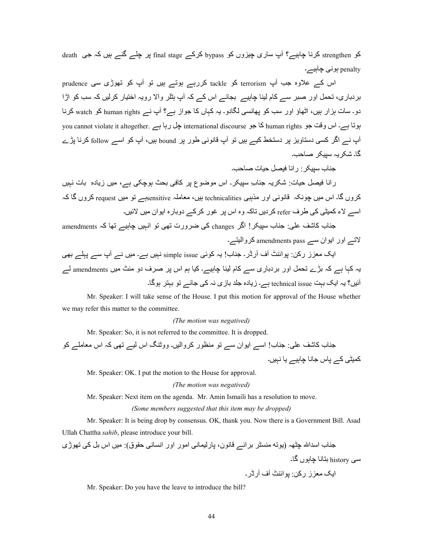کو strengthen کرنا چاہیے؟ آپ ساری چیزوں کو bypass کرکے final stage پر چلے گئے ہیں کہ جی death penalty ہونی چاہیے۔

اس کے علاوہ جب آپ terrorism کو tackle کررہے ہوتے ہیں تو آپ کو تھوڑی سی prudence بر دباری، تحمل اور صبر سے کام لینا چاہیے۔ بجائے اس کے کہ آپ ہٹلر والا روپہ اختیار کر لیں کہ سب کو اڑا دو۔ سات ہزار ہیں، اٹھاؤ اور سب کو پھانسی لگادو۔ یہ کہاں کا جواز ہے؟ آپ نے human rights کو watch کرنا you cannot violate it altogether. ہی نا ہے : international discourse ہیں کا جو human rights کا جو human rights آپ نے اگر کسی دستاویز پر دستخط کیے ہیں تو آپ قانونی طور پر bound ہیں، آپ کو اسے follow کرنا پڑے گا۔ شکر بہ سببکر ۔صاحب۔

حناب سیبکر 10 فراد فیصل حیات صباحی۔

رانا فیصل حیات: شکریہ جناب ِ سبیکر۔ اس موضوع پر کافی بحث ہوچکی ہے، میں زیادہ بات نہیں کروں گا۔ اس میں چونکہ قانونی اور مذہبی technicalities ہیں، معاملہ sensitiveہے تو میں request کروں گا کہ اسے لاء کمیٹے کے طرف refer کر دیں تاکہ وہ اس پر غور کرکے دوبارہ ایوان میں لائیں۔

جناب کاشف علی: جناب سبیکر! اگر changes کی ضرورت نھی نو انہیں چاہیے تھا کہ amendments  $\epsilon$ ان اور ابوان سے amendments pass کروالېتے۔

ایک معزز رکن: پوائنٹ آف آرڈر۔ جناب! یہ کوئی simple issue نبیں ہے۔ میں نے آپ سے پہلے بھی یہ کہا ہے کہ بڑے تحمل اور بردباری سے کام لینا چاہیے۔ کیا ہم اس پر صرف دو منٹ میں amendments لے آئیں؟ یہ ایک بہت technical issue ہے۔ زیادہ جلد بازی نہ کی جائے تو بہتر ہوگا۔

 Mr. Speaker: I will take sense of the House. I put this motion for approval of the House whether we may refer this matter to the committee.

#### *(The motion was negatived)*

Mr. Speaker: So, it is not referred to the committee. It is dropped.

 >;:ب Z:p J`:;< :ب! ا8ے اE\ان 8ے j\·;@ \ر Z4واQ6ں۔ ووٹ;Ç اس Q6ے j `^Zہ اس @:@Jے Z \ Z?6ٹ` Zے L:س >:C: a:ہ6ے E: Cہ6ں۔

Mr. Speaker: OK. I put the motion to the House for approval.

### *(The motion was negatived)*

Mr. Speaker: Next item on the agenda. Mr. Amin Ismaili has a resolution to move.

## *(Some members suggested that this item may be dropped)*

 Mr. Speaker: It is being drop by consensus. OK, thank you. Now there is a Government Bill. Asad Ullah Chattha *sahib*, please introduce your bill.

nڑ^\j `Z ¶V اس ں6 @:)ق\P `C:UCا اور ر@\ا` C:?6Qر:L ،ن\C:~ ےeا4V 4ٹU;@ |j\E) ہ^ٹa Tاf8ا ب: >;

سی history بنانا چاہوں گا۔

اDE@ tز رRZ: L\اe;ٹ iف iرڈر۔

Mr. Speaker: Do you have the leave to introduce the bill?